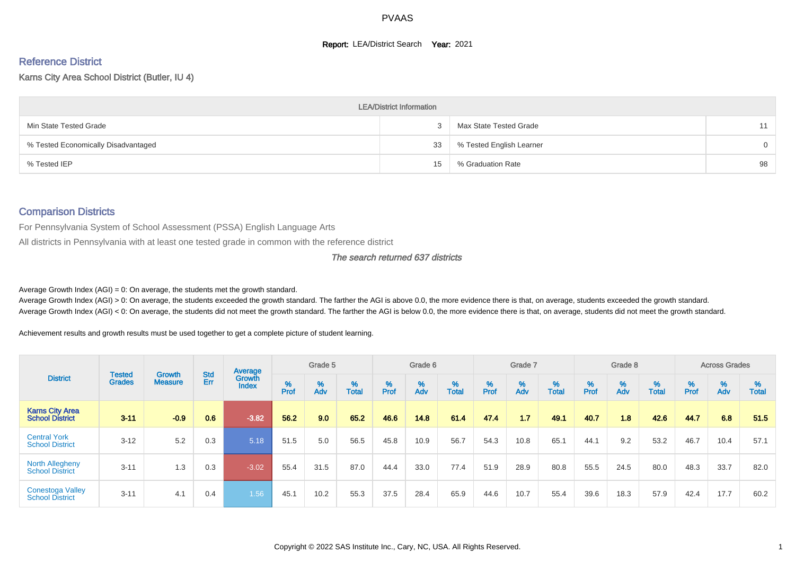#### **Report: LEA/District Search Year: 2021**

# Reference District

Karns City Area School District (Butler, IU 4)

|                                     | <b>LEA/District Information</b> |                          |          |
|-------------------------------------|---------------------------------|--------------------------|----------|
| Min State Tested Grade              |                                 | Max State Tested Grade   | 11       |
| % Tested Economically Disadvantaged | 33                              | % Tested English Learner | $\Omega$ |
| % Tested IEP                        | 15                              | % Graduation Rate        | 98       |

#### Comparison Districts

For Pennsylvania System of School Assessment (PSSA) English Language Arts

All districts in Pennsylvania with at least one tested grade in common with the reference district

#### The search returned 637 districts

Average Growth Index  $(AGI) = 0$ : On average, the students met the growth standard.

Average Growth Index (AGI) > 0: On average, the students exceeded the growth standard. The farther the AGI is above 0.0, the more evidence there is that, on average, students exceeded the growth standard. Average Growth Index (AGI) < 0: On average, the students did not meet the growth standard. The farther the AGI is below 0.0, the more evidence there is that, on average, students did not meet the growth standard.

Achievement results and growth results must be used together to get a complete picture of student learning.

| <b>District</b>                                   |                                |                                 |            | Average                |           | Grade 5  |                   |        | Grade 6  |                   |           | Grade 7  |                   |           | Grade 8  |                   |           | <b>Across Grades</b> |                   |
|---------------------------------------------------|--------------------------------|---------------------------------|------------|------------------------|-----------|----------|-------------------|--------|----------|-------------------|-----------|----------|-------------------|-----------|----------|-------------------|-----------|----------------------|-------------------|
|                                                   | <b>Tested</b><br><b>Grades</b> | <b>Growth</b><br><b>Measure</b> | Std<br>Err | Growth<br><b>Index</b> | %<br>Prof | %<br>Adv | %<br><b>Total</b> | % Pref | %<br>Adv | %<br><b>Total</b> | %<br>Prof | %<br>Adv | %<br><b>Total</b> | %<br>Prof | %<br>Adv | %<br><b>Total</b> | %<br>Prof | %<br>Adv             | %<br><b>Total</b> |
| <b>Karns City Area</b><br><b>School District</b>  | $3 - 11$                       | $-0.9$                          | 0.6        | $-3.82$                | 56.2      | 9.0      | 65.2              | 46.6   | 14.8     | 61.4              | 47.4      | 1.7      | 49.1              | 40.7      | 1.8      | 42.6              | 44.7      | 6.8                  | 51.5              |
| <b>Central York</b><br><b>School District</b>     | $3 - 12$                       | 5.2                             | 0.3        | 5.18                   | 51.5      | 5.0      | 56.5              | 45.8   | 10.9     | 56.7              | 54.3      | 10.8     | 65.1              | 44.1      | 9.2      | 53.2              | 46.7      | 10.4                 | 57.1              |
| <b>North Allegheny</b><br><b>School District</b>  | $3 - 11$                       | 1.3                             | 0.3        | $-3.02$                | 55.4      | 31.5     | 87.0              | 44.4   | 33.0     | 77.4              | 51.9      | 28.9     | 80.8              | 55.5      | 24.5     | 80.0              | 48.3      | 33.7                 | 82.0              |
| <b>Conestoga Valley</b><br><b>School District</b> | $3 - 11$                       | 4.1                             | 0.4        | 1.56                   | 45.1      | 10.2     | 55.3              | 37.5   | 28.4     | 65.9              | 44.6      | 10.7     | 55.4              | 39.6      | 18.3     | 57.9              | 42.4      | 17.7                 | 60.2              |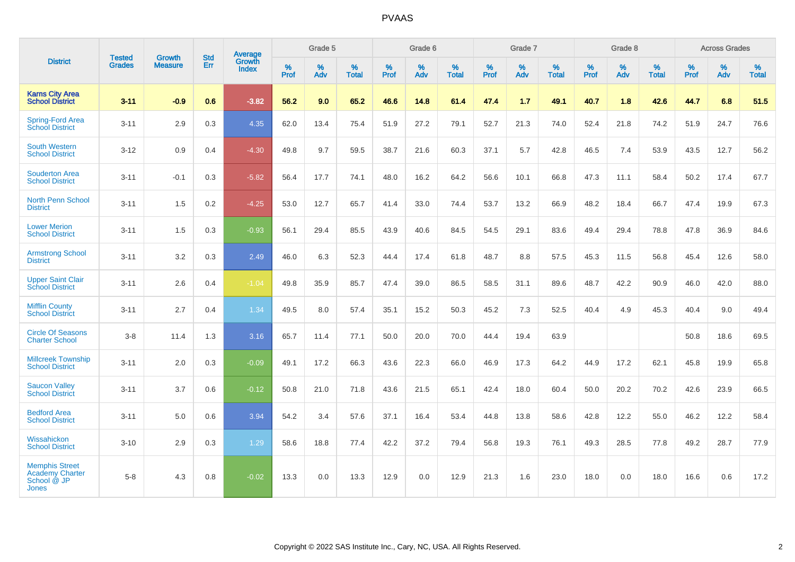| <b>District</b>                                                                | <b>Tested</b> | <b>Growth</b>  | <b>Std</b> | <b>Average</b>  |           | Grade 5  |                   |                  | Grade 6  |                   |           | Grade 7  |                   |                  | Grade 8  |                   |                  | <b>Across Grades</b> |                   |
|--------------------------------------------------------------------------------|---------------|----------------|------------|-----------------|-----------|----------|-------------------|------------------|----------|-------------------|-----------|----------|-------------------|------------------|----------|-------------------|------------------|----------------------|-------------------|
|                                                                                | <b>Grades</b> | <b>Measure</b> | Err        | Growth<br>Index | %<br>Prof | %<br>Adv | %<br><b>Total</b> | %<br><b>Prof</b> | %<br>Adv | %<br><b>Total</b> | %<br>Prof | %<br>Adv | %<br><b>Total</b> | %<br><b>Prof</b> | %<br>Adv | %<br><b>Total</b> | %<br><b>Prof</b> | %<br>Adv             | %<br><b>Total</b> |
| <b>Karns City Area</b><br><b>School District</b>                               | $3 - 11$      | $-0.9$         | 0.6        | $-3.82$         | 56.2      | 9.0      | 65.2              | 46.6             | 14.8     | 61.4              | 47.4      | 1.7      | 49.1              | 40.7             | 1.8      | 42.6              | 44.7             | 6.8                  | 51.5              |
| <b>Spring-Ford Area</b><br><b>School District</b>                              | $3 - 11$      | 2.9            | 0.3        | 4.35            | 62.0      | 13.4     | 75.4              | 51.9             | 27.2     | 79.1              | 52.7      | 21.3     | 74.0              | 52.4             | 21.8     | 74.2              | 51.9             | 24.7                 | 76.6              |
| <b>South Western</b><br><b>School District</b>                                 | $3 - 12$      | 0.9            | 0.4        | $-4.30$         | 49.8      | 9.7      | 59.5              | 38.7             | 21.6     | 60.3              | 37.1      | 5.7      | 42.8              | 46.5             | 7.4      | 53.9              | 43.5             | 12.7                 | 56.2              |
| <b>Souderton Area</b><br><b>School District</b>                                | $3 - 11$      | $-0.1$         | 0.3        | $-5.82$         | 56.4      | 17.7     | 74.1              | 48.0             | 16.2     | 64.2              | 56.6      | 10.1     | 66.8              | 47.3             | 11.1     | 58.4              | 50.2             | 17.4                 | 67.7              |
| <b>North Penn School</b><br><b>District</b>                                    | $3 - 11$      | 1.5            | 0.2        | $-4.25$         | 53.0      | 12.7     | 65.7              | 41.4             | 33.0     | 74.4              | 53.7      | 13.2     | 66.9              | 48.2             | 18.4     | 66.7              | 47.4             | 19.9                 | 67.3              |
| <b>Lower Merion</b><br><b>School District</b>                                  | $3 - 11$      | 1.5            | 0.3        | $-0.93$         | 56.1      | 29.4     | 85.5              | 43.9             | 40.6     | 84.5              | 54.5      | 29.1     | 83.6              | 49.4             | 29.4     | 78.8              | 47.8             | 36.9                 | 84.6              |
| <b>Armstrong School</b><br><b>District</b>                                     | $3 - 11$      | 3.2            | 0.3        | 2.49            | 46.0      | 6.3      | 52.3              | 44.4             | 17.4     | 61.8              | 48.7      | 8.8      | 57.5              | 45.3             | 11.5     | 56.8              | 45.4             | 12.6                 | 58.0              |
| <b>Upper Saint Clair</b><br><b>School District</b>                             | $3 - 11$      | 2.6            | 0.4        | $-1.04$         | 49.8      | 35.9     | 85.7              | 47.4             | 39.0     | 86.5              | 58.5      | 31.1     | 89.6              | 48.7             | 42.2     | 90.9              | 46.0             | 42.0                 | 88.0              |
| <b>Mifflin County</b><br><b>School District</b>                                | $3 - 11$      | 2.7            | 0.4        | 1.34            | 49.5      | 8.0      | 57.4              | 35.1             | 15.2     | 50.3              | 45.2      | 7.3      | 52.5              | 40.4             | 4.9      | 45.3              | 40.4             | 9.0                  | 49.4              |
| <b>Circle Of Seasons</b><br><b>Charter School</b>                              | $3 - 8$       | 11.4           | 1.3        | 3.16            | 65.7      | 11.4     | 77.1              | 50.0             | 20.0     | 70.0              | 44.4      | 19.4     | 63.9              |                  |          |                   | 50.8             | 18.6                 | 69.5              |
| <b>Millcreek Township</b><br><b>School District</b>                            | $3 - 11$      | 2.0            | 0.3        | $-0.09$         | 49.1      | 17.2     | 66.3              | 43.6             | 22.3     | 66.0              | 46.9      | 17.3     | 64.2              | 44.9             | 17.2     | 62.1              | 45.8             | 19.9                 | 65.8              |
| <b>Saucon Valley</b><br><b>School District</b>                                 | $3 - 11$      | 3.7            | 0.6        | $-0.12$         | 50.8      | 21.0     | 71.8              | 43.6             | 21.5     | 65.1              | 42.4      | 18.0     | 60.4              | 50.0             | 20.2     | 70.2              | 42.6             | 23.9                 | 66.5              |
| <b>Bedford Area</b><br><b>School District</b>                                  | $3 - 11$      | 5.0            | 0.6        | 3.94            | 54.2      | 3.4      | 57.6              | 37.1             | 16.4     | 53.4              | 44.8      | 13.8     | 58.6              | 42.8             | 12.2     | 55.0              | 46.2             | 12.2                 | 58.4              |
| Wissahickon<br><b>School District</b>                                          | $3 - 10$      | 2.9            | 0.3        | 1.29            | 58.6      | 18.8     | 77.4              | 42.2             | 37.2     | 79.4              | 56.8      | 19.3     | 76.1              | 49.3             | 28.5     | 77.8              | 49.2             | 28.7                 | 77.9              |
| <b>Memphis Street</b><br><b>Academy Charter</b><br>School @ JP<br><b>Jones</b> | $5 - 8$       | 4.3            | 0.8        | $-0.02$         | 13.3      | 0.0      | 13.3              | 12.9             | 0.0      | 12.9              | 21.3      | 1.6      | 23.0              | 18.0             | 0.0      | 18.0              | 16.6             | 0.6                  | 17.2              |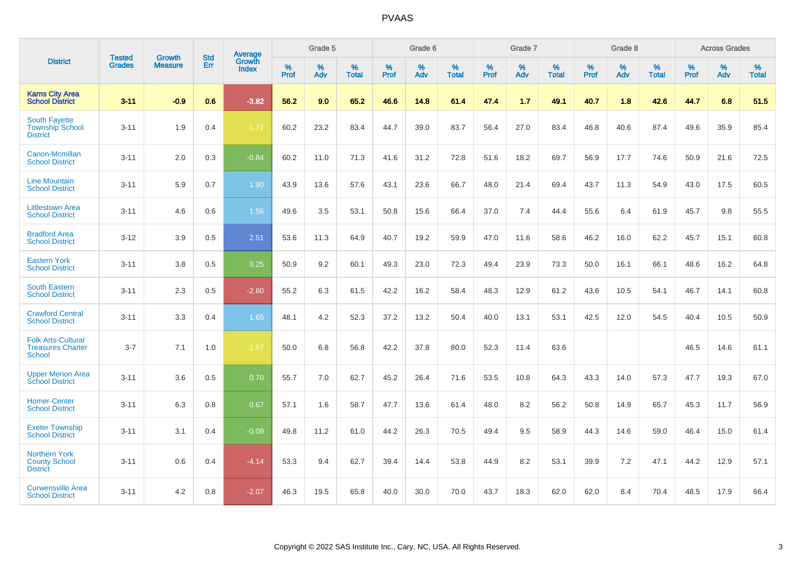|                                                                        | <b>Tested</b> | <b>Growth</b>  | <b>Std</b> | Average                       |           | Grade 5  |                   |           | Grade 6  |                   |           | Grade 7  |                   |           | Grade 8  |                   |           | <b>Across Grades</b> |                   |
|------------------------------------------------------------------------|---------------|----------------|------------|-------------------------------|-----------|----------|-------------------|-----------|----------|-------------------|-----------|----------|-------------------|-----------|----------|-------------------|-----------|----------------------|-------------------|
| <b>District</b>                                                        | <b>Grades</b> | <b>Measure</b> | Err        | <b>Growth</b><br><b>Index</b> | %<br>Prof | %<br>Adv | %<br><b>Total</b> | %<br>Prof | %<br>Adv | %<br><b>Total</b> | %<br>Prof | %<br>Adv | %<br><b>Total</b> | %<br>Prof | %<br>Adv | %<br><b>Total</b> | %<br>Prof | %<br>Adv             | %<br><b>Total</b> |
| <b>Karns City Area</b><br><b>School District</b>                       | $3 - 11$      | $-0.9$         | 0.6        | $-3.82$                       | 56.2      | 9.0      | 65.2              | 46.6      | 14.8     | 61.4              | 47.4      | 1.7      | 49.1              | 40.7      | 1.8      | 42.6              | 44.7      | 6.8                  | 51.5              |
| <b>South Fayette</b><br><b>Township School</b><br><b>District</b>      | $3 - 11$      | 1.9            | 0.4        | $-1.71$                       | 60.2      | 23.2     | 83.4              | 44.7      | 39.0     | 83.7              | 56.4      | 27.0     | 83.4              | 46.8      | 40.6     | 87.4              | 49.6      | 35.9                 | 85.4              |
| Canon-Mcmillan<br><b>School District</b>                               | $3 - 11$      | 2.0            | 0.3        | $-0.84$                       | 60.2      | 11.0     | 71.3              | 41.6      | 31.2     | 72.8              | 51.6      | 18.2     | 69.7              | 56.9      | 17.7     | 74.6              | 50.9      | 21.6                 | 72.5              |
| <b>Line Mountain</b><br><b>School District</b>                         | $3 - 11$      | 5.9            | 0.7        | 1.90                          | 43.9      | 13.6     | 57.6              | 43.1      | 23.6     | 66.7              | 48.0      | 21.4     | 69.4              | 43.7      | 11.3     | 54.9              | 43.0      | 17.5                 | 60.5              |
| <b>Littlestown Area</b><br><b>School District</b>                      | $3 - 11$      | 4.6            | 0.6        | 1.56                          | 49.6      | 3.5      | 53.1              | 50.8      | 15.6     | 66.4              | 37.0      | 7.4      | 44.4              | 55.6      | 6.4      | 61.9              | 45.7      | 9.8                  | 55.5              |
| <b>Bradford Area</b><br><b>School District</b>                         | $3 - 12$      | 3.9            | 0.5        | 2.51                          | 53.6      | 11.3     | 64.9              | 40.7      | 19.2     | 59.9              | 47.0      | 11.6     | 58.6              | 46.2      | 16.0     | 62.2              | 45.7      | 15.1                 | 60.8              |
| <b>Eastern York</b><br><b>School District</b>                          | $3 - 11$      | 3.8            | 0.5        | 0.25                          | 50.9      | 9.2      | 60.1              | 49.3      | 23.0     | 72.3              | 49.4      | 23.9     | 73.3              | 50.0      | 16.1     | 66.1              | 48.6      | 16.2                 | 64.8              |
| <b>South Eastern</b><br><b>School District</b>                         | $3 - 11$      | 2.3            | 0.5        | $-2.60$                       | 55.2      | 6.3      | 61.5              | 42.2      | 16.2     | 58.4              | 48.3      | 12.9     | 61.2              | 43.6      | 10.5     | 54.1              | 46.7      | 14.1                 | 60.8              |
| <b>Crawford Central</b><br><b>School District</b>                      | $3 - 11$      | 3.3            | 0.4        | 1.65                          | 48.1      | 4.2      | 52.3              | 37.2      | 13.2     | 50.4              | 40.0      | 13.1     | 53.1              | 42.5      | 12.0     | 54.5              | 40.4      | 10.5                 | 50.9              |
| <b>Folk Arts-Cultural</b><br><b>Treasures Charter</b><br><b>School</b> | $3 - 7$       | 7.1            | 1.0        | $-1.67$                       | 50.0      | 6.8      | 56.8              | 42.2      | 37.8     | 80.0              | 52.3      | 11.4     | 63.6              |           |          |                   | 46.5      | 14.6                 | 61.1              |
| <b>Upper Merion Area</b><br><b>School District</b>                     | $3 - 11$      | 3.6            | 0.5        | 0.70                          | 55.7      | 7.0      | 62.7              | 45.2      | 26.4     | 71.6              | 53.5      | 10.8     | 64.3              | 43.3      | 14.0     | 57.3              | 47.7      | 19.3                 | 67.0              |
| <b>Homer-Center</b><br><b>School District</b>                          | $3 - 11$      | 6.3            | 0.8        | 0.67                          | 57.1      | 1.6      | 58.7              | 47.7      | 13.6     | 61.4              | 48.0      | 8.2      | 56.2              | 50.8      | 14.9     | 65.7              | 45.3      | 11.7                 | 56.9              |
| <b>Exeter Township</b><br><b>School District</b>                       | $3 - 11$      | 3.1            | 0.4        | $-0.09$                       | 49.8      | 11.2     | 61.0              | 44.2      | 26.3     | 70.5              | 49.4      | 9.5      | 58.9              | 44.3      | 14.6     | 59.0              | 46.4      | 15.0                 | 61.4              |
| <b>Northern York</b><br><b>County School</b><br><b>District</b>        | $3 - 11$      | 0.6            | 0.4        | $-4.14$                       | 53.3      | 9.4      | 62.7              | 39.4      | 14.4     | 53.8              | 44.9      | 8.2      | 53.1              | 39.9      | 7.2      | 47.1              | 44.2      | 12.9                 | 57.1              |
| <b>Curwensville Area</b><br><b>School District</b>                     | $3 - 11$      | 4.2            | 0.8        | $-2.07$                       | 46.3      | 19.5     | 65.8              | 40.0      | 30.0     | 70.0              | 43.7      | 18.3     | 62.0              | 62.0      | 8.4      | 70.4              | 48.5      | 17.9                 | 66.4              |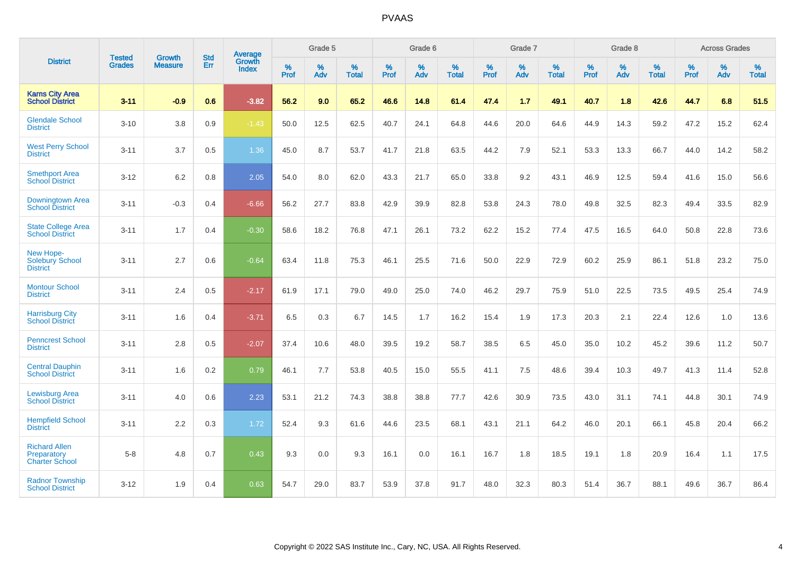|                                                              | <b>Tested</b> | <b>Growth</b>  | <b>Std</b> | <b>Average</b>         |           | Grade 5  |                   |           | Grade 6  |                   |           | Grade 7  |                   |           | Grade 8  |                   |           | <b>Across Grades</b> |                   |
|--------------------------------------------------------------|---------------|----------------|------------|------------------------|-----------|----------|-------------------|-----------|----------|-------------------|-----------|----------|-------------------|-----------|----------|-------------------|-----------|----------------------|-------------------|
| <b>District</b>                                              | <b>Grades</b> | <b>Measure</b> | Err        | Growth<br><b>Index</b> | %<br>Prof | %<br>Adv | %<br><b>Total</b> | %<br>Prof | %<br>Adv | %<br><b>Total</b> | %<br>Prof | %<br>Adv | %<br><b>Total</b> | %<br>Prof | %<br>Adv | %<br><b>Total</b> | %<br>Prof | %<br>Adv             | %<br><b>Total</b> |
| <b>Karns City Area</b><br><b>School District</b>             | $3 - 11$      | $-0.9$         | 0.6        | $-3.82$                | 56.2      | 9.0      | 65.2              | 46.6      | 14.8     | 61.4              | 47.4      | 1.7      | 49.1              | 40.7      | 1.8      | 42.6              | 44.7      | 6.8                  | 51.5              |
| <b>Glendale School</b><br><b>District</b>                    | $3 - 10$      | 3.8            | 0.9        | $-1.43$                | 50.0      | 12.5     | 62.5              | 40.7      | 24.1     | 64.8              | 44.6      | 20.0     | 64.6              | 44.9      | 14.3     | 59.2              | 47.2      | 15.2                 | 62.4              |
| <b>West Perry School</b><br><b>District</b>                  | $3 - 11$      | 3.7            | 0.5        | 1.36                   | 45.0      | 8.7      | 53.7              | 41.7      | 21.8     | 63.5              | 44.2      | 7.9      | 52.1              | 53.3      | 13.3     | 66.7              | 44.0      | 14.2                 | 58.2              |
| <b>Smethport Area</b><br><b>School District</b>              | $3 - 12$      | 6.2            | 0.8        | 2.05                   | 54.0      | 8.0      | 62.0              | 43.3      | 21.7     | 65.0              | 33.8      | 9.2      | 43.1              | 46.9      | 12.5     | 59.4              | 41.6      | 15.0                 | 56.6              |
| Downingtown Area<br><b>School District</b>                   | $3 - 11$      | $-0.3$         | 0.4        | $-6.66$                | 56.2      | 27.7     | 83.8              | 42.9      | 39.9     | 82.8              | 53.8      | 24.3     | 78.0              | 49.8      | 32.5     | 82.3              | 49.4      | 33.5                 | 82.9              |
| <b>State College Area</b><br><b>School District</b>          | $3 - 11$      | 1.7            | 0.4        | $-0.30$                | 58.6      | 18.2     | 76.8              | 47.1      | 26.1     | 73.2              | 62.2      | 15.2     | 77.4              | 47.5      | 16.5     | 64.0              | 50.8      | 22.8                 | 73.6              |
| New Hope-<br><b>Solebury School</b><br><b>District</b>       | $3 - 11$      | 2.7            | 0.6        | $-0.64$                | 63.4      | 11.8     | 75.3              | 46.1      | 25.5     | 71.6              | 50.0      | 22.9     | 72.9              | 60.2      | 25.9     | 86.1              | 51.8      | 23.2                 | 75.0              |
| <b>Montour School</b><br><b>District</b>                     | $3 - 11$      | 2.4            | 0.5        | $-2.17$                | 61.9      | 17.1     | 79.0              | 49.0      | 25.0     | 74.0              | 46.2      | 29.7     | 75.9              | 51.0      | 22.5     | 73.5              | 49.5      | 25.4                 | 74.9              |
| <b>Harrisburg City</b><br><b>School District</b>             | $3 - 11$      | 1.6            | 0.4        | $-3.71$                | 6.5       | 0.3      | 6.7               | 14.5      | 1.7      | 16.2              | 15.4      | 1.9      | 17.3              | 20.3      | 2.1      | 22.4              | 12.6      | 1.0                  | 13.6              |
| <b>Penncrest School</b><br><b>District</b>                   | $3 - 11$      | 2.8            | 0.5        | $-2.07$                | 37.4      | 10.6     | 48.0              | 39.5      | 19.2     | 58.7              | 38.5      | 6.5      | 45.0              | 35.0      | 10.2     | 45.2              | 39.6      | 11.2                 | 50.7              |
| <b>Central Dauphin</b><br><b>School District</b>             | $3 - 11$      | 1.6            | 0.2        | 0.79                   | 46.1      | 7.7      | 53.8              | 40.5      | 15.0     | 55.5              | 41.1      | 7.5      | 48.6              | 39.4      | 10.3     | 49.7              | 41.3      | 11.4                 | 52.8              |
| <b>Lewisburg Area</b><br><b>School District</b>              | $3 - 11$      | 4.0            | 0.6        | 2.23                   | 53.1      | 21.2     | 74.3              | 38.8      | 38.8     | 77.7              | 42.6      | 30.9     | 73.5              | 43.0      | 31.1     | 74.1              | 44.8      | 30.1                 | 74.9              |
| <b>Hempfield School</b><br><b>District</b>                   | $3 - 11$      | 2.2            | 0.3        | 1.72                   | 52.4      | 9.3      | 61.6              | 44.6      | 23.5     | 68.1              | 43.1      | 21.1     | 64.2              | 46.0      | 20.1     | 66.1              | 45.8      | 20.4                 | 66.2              |
| <b>Richard Allen</b><br>Preparatory<br><b>Charter School</b> | $5-8$         | 4.8            | 0.7        | 0.43                   | 9.3       | 0.0      | 9.3               | 16.1      | 0.0      | 16.1              | 16.7      | 1.8      | 18.5              | 19.1      | 1.8      | 20.9              | 16.4      | 1.1                  | 17.5              |
| <b>Radnor Township</b><br><b>School District</b>             | $3 - 12$      | 1.9            | 0.4        | 0.63                   | 54.7      | 29.0     | 83.7              | 53.9      | 37.8     | 91.7              | 48.0      | 32.3     | 80.3              | 51.4      | 36.7     | 88.1              | 49.6      | 36.7                 | 86.4              |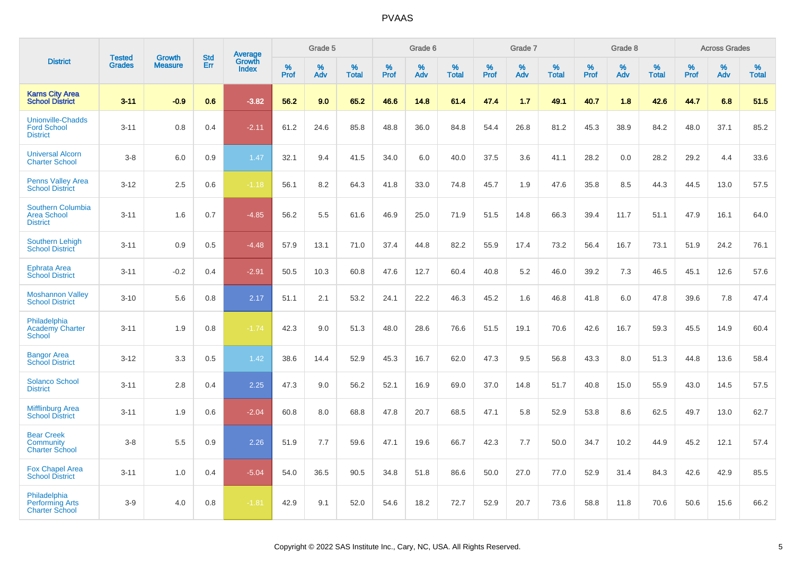|                                                                   |                                |                                 |                   | Average                |                  | Grade 5  |                   |                  | Grade 6  |                   |                  | Grade 7  |                   |           | Grade 8  |                   |                  | <b>Across Grades</b> |                   |
|-------------------------------------------------------------------|--------------------------------|---------------------------------|-------------------|------------------------|------------------|----------|-------------------|------------------|----------|-------------------|------------------|----------|-------------------|-----------|----------|-------------------|------------------|----------------------|-------------------|
| <b>District</b>                                                   | <b>Tested</b><br><b>Grades</b> | <b>Growth</b><br><b>Measure</b> | <b>Std</b><br>Err | Growth<br><b>Index</b> | %<br><b>Prof</b> | %<br>Adv | %<br><b>Total</b> | %<br><b>Prof</b> | %<br>Adv | %<br><b>Total</b> | %<br><b>Prof</b> | %<br>Adv | %<br><b>Total</b> | %<br>Prof | %<br>Adv | %<br><b>Total</b> | %<br><b>Prof</b> | %<br>Adv             | %<br><b>Total</b> |
| <b>Karns City Area</b><br><b>School District</b>                  | $3 - 11$                       | $-0.9$                          | 0.6               | $-3.82$                | 56.2             | 9.0      | 65.2              | 46.6             | 14.8     | 61.4              | 47.4             | 1.7      | 49.1              | 40.7      | 1.8      | 42.6              | 44.7             | 6.8                  | 51.5              |
| <b>Unionville-Chadds</b><br><b>Ford School</b><br><b>District</b> | $3 - 11$                       | 0.8                             | 0.4               | $-2.11$                | 61.2             | 24.6     | 85.8              | 48.8             | 36.0     | 84.8              | 54.4             | 26.8     | 81.2              | 45.3      | 38.9     | 84.2              | 48.0             | 37.1                 | 85.2              |
| <b>Universal Alcorn</b><br><b>Charter School</b>                  | $3-8$                          | 6.0                             | 0.9               | 1.47                   | 32.1             | 9.4      | 41.5              | 34.0             | 6.0      | 40.0              | 37.5             | 3.6      | 41.1              | 28.2      | 0.0      | 28.2              | 29.2             | 4.4                  | 33.6              |
| <b>Penns Valley Area</b><br><b>School District</b>                | $3 - 12$                       | 2.5                             | 0.6               | $-1.18$                | 56.1             | 8.2      | 64.3              | 41.8             | 33.0     | 74.8              | 45.7             | 1.9      | 47.6              | 35.8      | 8.5      | 44.3              | 44.5             | 13.0                 | 57.5              |
| Southern Columbia<br><b>Area School</b><br><b>District</b>        | $3 - 11$                       | 1.6                             | 0.7               | $-4.85$                | 56.2             | 5.5      | 61.6              | 46.9             | 25.0     | 71.9              | 51.5             | 14.8     | 66.3              | 39.4      | 11.7     | 51.1              | 47.9             | 16.1                 | 64.0              |
| <b>Southern Lehigh</b><br><b>School District</b>                  | $3 - 11$                       | 0.9                             | 0.5               | $-4.48$                | 57.9             | 13.1     | 71.0              | 37.4             | 44.8     | 82.2              | 55.9             | 17.4     | 73.2              | 56.4      | 16.7     | 73.1              | 51.9             | 24.2                 | 76.1              |
| <b>Ephrata Area</b><br><b>School District</b>                     | $3 - 11$                       | $-0.2$                          | 0.4               | $-2.91$                | 50.5             | 10.3     | 60.8              | 47.6             | 12.7     | 60.4              | 40.8             | 5.2      | 46.0              | 39.2      | 7.3      | 46.5              | 45.1             | 12.6                 | 57.6              |
| <b>Moshannon Valley</b><br><b>School District</b>                 | $3 - 10$                       | 5.6                             | 0.8               | 2.17                   | 51.1             | 2.1      | 53.2              | 24.1             | 22.2     | 46.3              | 45.2             | 1.6      | 46.8              | 41.8      | 6.0      | 47.8              | 39.6             | 7.8                  | 47.4              |
| Philadelphia<br><b>Academy Charter</b><br><b>School</b>           | $3 - 11$                       | 1.9                             | 0.8               | $-1.74$                | 42.3             | 9.0      | 51.3              | 48.0             | 28.6     | 76.6              | 51.5             | 19.1     | 70.6              | 42.6      | 16.7     | 59.3              | 45.5             | 14.9                 | 60.4              |
| <b>Bangor Area</b><br><b>School District</b>                      | $3 - 12$                       | 3.3                             | 0.5               | 1.42                   | 38.6             | 14.4     | 52.9              | 45.3             | 16.7     | 62.0              | 47.3             | 9.5      | 56.8              | 43.3      | 8.0      | 51.3              | 44.8             | 13.6                 | 58.4              |
| <b>Solanco School</b><br><b>District</b>                          | $3 - 11$                       | 2.8                             | 0.4               | 2.25                   | 47.3             | 9.0      | 56.2              | 52.1             | 16.9     | 69.0              | 37.0             | 14.8     | 51.7              | 40.8      | 15.0     | 55.9              | 43.0             | 14.5                 | 57.5              |
| <b>Mifflinburg Area</b><br><b>School District</b>                 | $3 - 11$                       | 1.9                             | 0.6               | $-2.04$                | 60.8             | 8.0      | 68.8              | 47.8             | 20.7     | 68.5              | 47.1             | 5.8      | 52.9              | 53.8      | 8.6      | 62.5              | 49.7             | 13.0                 | 62.7              |
| <b>Bear Creek</b><br>Community<br><b>Charter School</b>           | $3-8$                          | 5.5                             | 0.9               | 2.26                   | 51.9             | 7.7      | 59.6              | 47.1             | 19.6     | 66.7              | 42.3             | 7.7      | 50.0              | 34.7      | 10.2     | 44.9              | 45.2             | 12.1                 | 57.4              |
| <b>Fox Chapel Area</b><br><b>School District</b>                  | $3 - 11$                       | 1.0                             | 0.4               | $-5.04$                | 54.0             | 36.5     | 90.5              | 34.8             | 51.8     | 86.6              | 50.0             | 27.0     | 77.0              | 52.9      | 31.4     | 84.3              | 42.6             | 42.9                 | 85.5              |
| Philadelphia<br><b>Performing Arts</b><br><b>Charter School</b>   | $3-9$                          | 4.0                             | 0.8               | $-1.81$                | 42.9             | 9.1      | 52.0              | 54.6             | 18.2     | 72.7              | 52.9             | 20.7     | 73.6              | 58.8      | 11.8     | 70.6              | 50.6             | 15.6                 | 66.2              |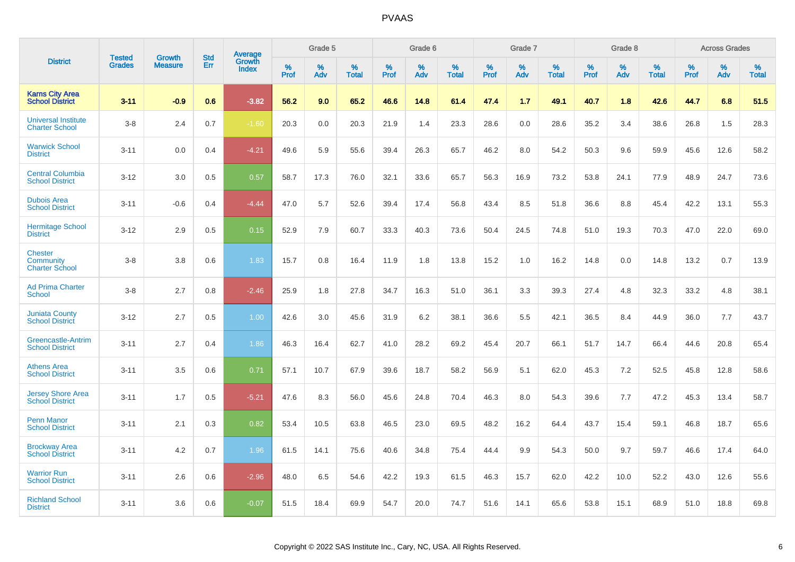|                                                             |                         | <b>Growth</b>  | <b>Std</b> | Average                |              | Grade 5     |                      |              | Grade 6     |                      |              | Grade 7     |                      |              | Grade 8     |                      |                     | <b>Across Grades</b> |                      |
|-------------------------------------------------------------|-------------------------|----------------|------------|------------------------|--------------|-------------|----------------------|--------------|-------------|----------------------|--------------|-------------|----------------------|--------------|-------------|----------------------|---------------------|----------------------|----------------------|
| <b>District</b>                                             | Tested<br><b>Grades</b> | <b>Measure</b> | Err        | Growth<br><b>Index</b> | $\%$<br>Prof | $\%$<br>Adv | $\%$<br><b>Total</b> | $\%$<br>Prof | $\%$<br>Adv | $\%$<br><b>Total</b> | $\%$<br>Prof | $\%$<br>Adv | $\%$<br><b>Total</b> | $\%$<br>Prof | $\%$<br>Adv | $\%$<br><b>Total</b> | $\%$<br><b>Prof</b> | $\%$<br>Adv          | $\%$<br><b>Total</b> |
| <b>Karns City Area</b><br><b>School District</b>            | $3 - 11$                | $-0.9$         | 0.6        | $-3.82$                | 56.2         | 9.0         | 65.2                 | 46.6         | 14.8        | 61.4                 | 47.4         | 1.7         | 49.1                 | 40.7         | 1.8         | 42.6                 | 44.7                | 6.8                  | 51.5                 |
| <b>Universal Institute</b><br><b>Charter School</b>         | $3 - 8$                 | 2.4            | 0.7        | $-1.60$                | 20.3         | 0.0         | 20.3                 | 21.9         | 1.4         | 23.3                 | 28.6         | 0.0         | 28.6                 | 35.2         | 3.4         | 38.6                 | 26.8                | 1.5                  | 28.3                 |
| <b>Warwick School</b><br><b>District</b>                    | $3 - 11$                | 0.0            | 0.4        | $-4.21$                | 49.6         | 5.9         | 55.6                 | 39.4         | 26.3        | 65.7                 | 46.2         | 8.0         | 54.2                 | 50.3         | 9.6         | 59.9                 | 45.6                | 12.6                 | 58.2                 |
| <b>Central Columbia</b><br><b>School District</b>           | $3 - 12$                | 3.0            | 0.5        | 0.57                   | 58.7         | 17.3        | 76.0                 | 32.1         | 33.6        | 65.7                 | 56.3         | 16.9        | 73.2                 | 53.8         | 24.1        | 77.9                 | 48.9                | 24.7                 | 73.6                 |
| <b>Dubois Area</b><br><b>School District</b>                | $3 - 11$                | $-0.6$         | 0.4        | $-4.44$                | 47.0         | 5.7         | 52.6                 | 39.4         | 17.4        | 56.8                 | 43.4         | 8.5         | 51.8                 | 36.6         | 8.8         | 45.4                 | 42.2                | 13.1                 | 55.3                 |
| <b>Hermitage School</b><br><b>District</b>                  | $3 - 12$                | 2.9            | 0.5        | 0.15                   | 52.9         | 7.9         | 60.7                 | 33.3         | 40.3        | 73.6                 | 50.4         | 24.5        | 74.8                 | 51.0         | 19.3        | 70.3                 | 47.0                | 22.0                 | 69.0                 |
| <b>Chester</b><br><b>Community</b><br><b>Charter School</b> | $3 - 8$                 | 3.8            | 0.6        | 1.83                   | 15.7         | 0.8         | 16.4                 | 11.9         | 1.8         | 13.8                 | 15.2         | 1.0         | 16.2                 | 14.8         | 0.0         | 14.8                 | 13.2                | 0.7                  | 13.9                 |
| <b>Ad Prima Charter</b><br><b>School</b>                    | $3 - 8$                 | 2.7            | 0.8        | $-2.46$                | 25.9         | 1.8         | 27.8                 | 34.7         | 16.3        | 51.0                 | 36.1         | 3.3         | 39.3                 | 27.4         | 4.8         | 32.3                 | 33.2                | 4.8                  | 38.1                 |
| <b>Juniata County</b><br><b>School District</b>             | $3 - 12$                | 2.7            | 0.5        | 1.00                   | 42.6         | 3.0         | 45.6                 | 31.9         | 6.2         | 38.1                 | 36.6         | 5.5         | 42.1                 | 36.5         | 8.4         | 44.9                 | 36.0                | 7.7                  | 43.7                 |
| <b>Greencastle-Antrim</b><br><b>School District</b>         | $3 - 11$                | 2.7            | 0.4        | 1.86                   | 46.3         | 16.4        | 62.7                 | 41.0         | 28.2        | 69.2                 | 45.4         | 20.7        | 66.1                 | 51.7         | 14.7        | 66.4                 | 44.6                | 20.8                 | 65.4                 |
| <b>Athens Area</b><br><b>School District</b>                | $3 - 11$                | 3.5            | 0.6        | 0.71                   | 57.1         | 10.7        | 67.9                 | 39.6         | 18.7        | 58.2                 | 56.9         | 5.1         | 62.0                 | 45.3         | 7.2         | 52.5                 | 45.8                | 12.8                 | 58.6                 |
| <b>Jersey Shore Area</b><br><b>School District</b>          | $3 - 11$                | 1.7            | 0.5        | $-5.21$                | 47.6         | 8.3         | 56.0                 | 45.6         | 24.8        | 70.4                 | 46.3         | 8.0         | 54.3                 | 39.6         | 7.7         | 47.2                 | 45.3                | 13.4                 | 58.7                 |
| <b>Penn Manor</b><br><b>School District</b>                 | $3 - 11$                | 2.1            | 0.3        | 0.82                   | 53.4         | 10.5        | 63.8                 | 46.5         | 23.0        | 69.5                 | 48.2         | 16.2        | 64.4                 | 43.7         | 15.4        | 59.1                 | 46.8                | 18.7                 | 65.6                 |
| <b>Brockway Area</b><br><b>School District</b>              | $3 - 11$                | 4.2            | 0.7        | 1.96                   | 61.5         | 14.1        | 75.6                 | 40.6         | 34.8        | 75.4                 | 44.4         | 9.9         | 54.3                 | 50.0         | 9.7         | 59.7                 | 46.6                | 17.4                 | 64.0                 |
| <b>Warrior Run</b><br><b>School District</b>                | $3 - 11$                | 2.6            | 0.6        | $-2.96$                | 48.0         | 6.5         | 54.6                 | 42.2         | 19.3        | 61.5                 | 46.3         | 15.7        | 62.0                 | 42.2         | 10.0        | 52.2                 | 43.0                | 12.6                 | 55.6                 |
| <b>Richland School</b><br><b>District</b>                   | $3 - 11$                | 3.6            | 0.6        | $-0.07$                | 51.5         | 18.4        | 69.9                 | 54.7         | 20.0        | 74.7                 | 51.6         | 14.1        | 65.6                 | 53.8         | 15.1        | 68.9                 | 51.0                | 18.8                 | 69.8                 |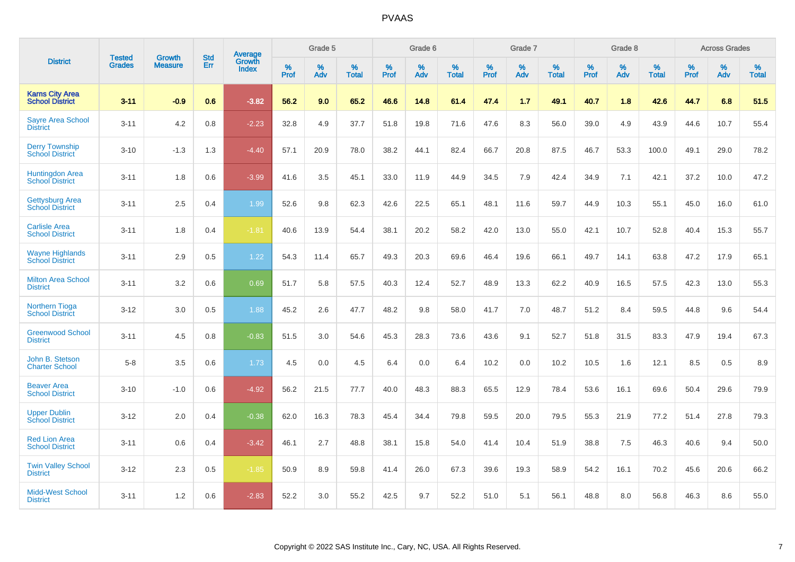| <b>District</b>                                  |                                |                                 | <b>Std</b> | <b>Average</b>         |           | Grade 5  |                   |           | Grade 6  |                   |              | Grade 7  |                   |           | Grade 8  |                   |           | <b>Across Grades</b> |                   |
|--------------------------------------------------|--------------------------------|---------------------------------|------------|------------------------|-----------|----------|-------------------|-----------|----------|-------------------|--------------|----------|-------------------|-----------|----------|-------------------|-----------|----------------------|-------------------|
|                                                  | <b>Tested</b><br><b>Grades</b> | <b>Growth</b><br><b>Measure</b> | Err        | Growth<br><b>Index</b> | %<br>Prof | %<br>Adv | %<br><b>Total</b> | %<br>Prof | %<br>Adv | %<br><b>Total</b> | $\%$<br>Prof | %<br>Adv | %<br><b>Total</b> | %<br>Prof | %<br>Adv | %<br><b>Total</b> | %<br>Prof | %<br>Adv             | %<br><b>Total</b> |
| <b>Karns City Area</b><br><b>School District</b> | $3 - 11$                       | $-0.9$                          | 0.6        | $-3.82$                | 56.2      | 9.0      | 65.2              | 46.6      | 14.8     | 61.4              | 47.4         | 1.7      | 49.1              | 40.7      | 1.8      | 42.6              | 44.7      | 6.8                  | 51.5              |
| <b>Sayre Area School</b><br><b>District</b>      | $3 - 11$                       | 4.2                             | 0.8        | $-2.23$                | 32.8      | 4.9      | 37.7              | 51.8      | 19.8     | 71.6              | 47.6         | 8.3      | 56.0              | 39.0      | 4.9      | 43.9              | 44.6      | 10.7                 | 55.4              |
| <b>Derry Township</b><br><b>School District</b>  | $3 - 10$                       | $-1.3$                          | 1.3        | $-4.40$                | 57.1      | 20.9     | 78.0              | 38.2      | 44.1     | 82.4              | 66.7         | 20.8     | 87.5              | 46.7      | 53.3     | 100.0             | 49.1      | 29.0                 | 78.2              |
| Huntingdon Area<br>School District               | $3 - 11$                       | 1.8                             | 0.6        | $-3.99$                | 41.6      | 3.5      | 45.1              | 33.0      | 11.9     | 44.9              | 34.5         | 7.9      | 42.4              | 34.9      | 7.1      | 42.1              | 37.2      | 10.0                 | 47.2              |
| <b>Gettysburg Area</b><br><b>School District</b> | $3 - 11$                       | 2.5                             | 0.4        | 1.99                   | 52.6      | 9.8      | 62.3              | 42.6      | 22.5     | 65.1              | 48.1         | 11.6     | 59.7              | 44.9      | 10.3     | 55.1              | 45.0      | 16.0                 | 61.0              |
| <b>Carlisle Area</b><br><b>School District</b>   | $3 - 11$                       | 1.8                             | 0.4        | $-1.81$                | 40.6      | 13.9     | 54.4              | 38.1      | 20.2     | 58.2              | 42.0         | 13.0     | 55.0              | 42.1      | 10.7     | 52.8              | 40.4      | 15.3                 | 55.7              |
| <b>Wayne Highlands</b><br><b>School District</b> | $3 - 11$                       | 2.9                             | 0.5        | 1.22                   | 54.3      | 11.4     | 65.7              | 49.3      | 20.3     | 69.6              | 46.4         | 19.6     | 66.1              | 49.7      | 14.1     | 63.8              | 47.2      | 17.9                 | 65.1              |
| <b>Milton Area School</b><br><b>District</b>     | $3 - 11$                       | 3.2                             | 0.6        | 0.69                   | 51.7      | 5.8      | 57.5              | 40.3      | 12.4     | 52.7              | 48.9         | 13.3     | 62.2              | 40.9      | 16.5     | 57.5              | 42.3      | 13.0                 | 55.3              |
| <b>Northern Tioga</b><br><b>School District</b>  | $3 - 12$                       | 3.0                             | 0.5        | 1.88                   | 45.2      | 2.6      | 47.7              | 48.2      | 9.8      | 58.0              | 41.7         | 7.0      | 48.7              | 51.2      | 8.4      | 59.5              | 44.8      | 9.6                  | 54.4              |
| <b>Greenwood School</b><br><b>District</b>       | $3 - 11$                       | 4.5                             | 0.8        | $-0.83$                | 51.5      | 3.0      | 54.6              | 45.3      | 28.3     | 73.6              | 43.6         | 9.1      | 52.7              | 51.8      | 31.5     | 83.3              | 47.9      | 19.4                 | 67.3              |
| John B. Stetson<br><b>Charter School</b>         | $5 - 8$                        | 3.5                             | 0.6        | 1.73                   | 4.5       | 0.0      | 4.5               | 6.4       | 0.0      | 6.4               | 10.2         | 0.0      | 10.2              | 10.5      | 1.6      | 12.1              | 8.5       | 0.5                  | 8.9               |
| <b>Beaver Area</b><br><b>School District</b>     | $3 - 10$                       | $-1.0$                          | 0.6        | $-4.92$                | 56.2      | 21.5     | 77.7              | 40.0      | 48.3     | 88.3              | 65.5         | 12.9     | 78.4              | 53.6      | 16.1     | 69.6              | 50.4      | 29.6                 | 79.9              |
| <b>Upper Dublin</b><br><b>School District</b>    | $3 - 12$                       | 2.0                             | 0.4        | $-0.38$                | 62.0      | 16.3     | 78.3              | 45.4      | 34.4     | 79.8              | 59.5         | 20.0     | 79.5              | 55.3      | 21.9     | 77.2              | 51.4      | 27.8                 | 79.3              |
| <b>Red Lion Area</b><br><b>School District</b>   | $3 - 11$                       | 0.6                             | 0.4        | $-3.42$                | 46.1      | 2.7      | 48.8              | 38.1      | 15.8     | 54.0              | 41.4         | 10.4     | 51.9              | 38.8      | 7.5      | 46.3              | 40.6      | 9.4                  | 50.0              |
| <b>Twin Valley School</b><br><b>District</b>     | $3 - 12$                       | 2.3                             | 0.5        | $-1.85$                | 50.9      | 8.9      | 59.8              | 41.4      | 26.0     | 67.3              | 39.6         | 19.3     | 58.9              | 54.2      | 16.1     | 70.2              | 45.6      | 20.6                 | 66.2              |
| <b>Midd-West School</b><br><b>District</b>       | $3 - 11$                       | 1.2                             | 0.6        | $-2.83$                | 52.2      | 3.0      | 55.2              | 42.5      | 9.7      | 52.2              | 51.0         | 5.1      | 56.1              | 48.8      | 8.0      | 56.8              | 46.3      | 8.6                  | 55.0              |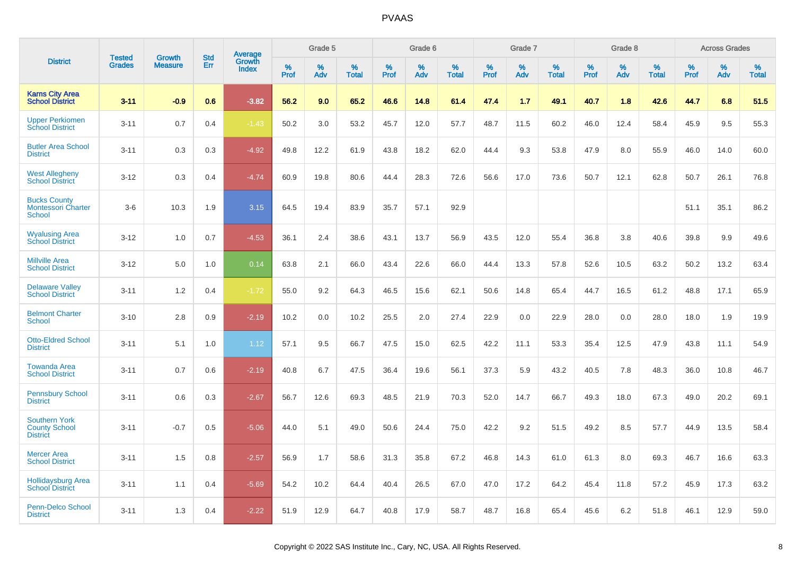| <b>District</b>                                                 | <b>Tested</b> | <b>Growth</b>  | <b>Std</b> | <b>Average</b>         |              | Grade 5  |                   |              | Grade 6  |                   |              | Grade 7  |                   |              | Grade 8  |                   |              | <b>Across Grades</b> |                   |
|-----------------------------------------------------------------|---------------|----------------|------------|------------------------|--------------|----------|-------------------|--------------|----------|-------------------|--------------|----------|-------------------|--------------|----------|-------------------|--------------|----------------------|-------------------|
|                                                                 | <b>Grades</b> | <b>Measure</b> | Err        | Growth<br><b>Index</b> | $\%$<br>Prof | %<br>Adv | %<br><b>Total</b> | $\%$<br>Prof | %<br>Adv | %<br><b>Total</b> | $\%$<br>Prof | %<br>Adv | %<br><b>Total</b> | $\%$<br>Prof | %<br>Adv | %<br><b>Total</b> | $\%$<br>Prof | %<br>Adv             | %<br><b>Total</b> |
| <b>Karns City Area</b><br><b>School District</b>                | $3 - 11$      | $-0.9$         | 0.6        | $-3.82$                | 56.2         | 9.0      | 65.2              | 46.6         | 14.8     | 61.4              | 47.4         | 1.7      | 49.1              | 40.7         | 1.8      | 42.6              | 44.7         | 6.8                  | 51.5              |
| <b>Upper Perkiomen</b><br><b>School District</b>                | $3 - 11$      | 0.7            | 0.4        | $-1.43$                | 50.2         | 3.0      | 53.2              | 45.7         | 12.0     | 57.7              | 48.7         | 11.5     | 60.2              | 46.0         | 12.4     | 58.4              | 45.9         | 9.5                  | 55.3              |
| <b>Butler Area School</b><br><b>District</b>                    | $3 - 11$      | 0.3            | 0.3        | $-4.92$                | 49.8         | 12.2     | 61.9              | 43.8         | 18.2     | 62.0              | 44.4         | 9.3      | 53.8              | 47.9         | 8.0      | 55.9              | 46.0         | 14.0                 | 60.0              |
| <b>West Allegheny</b><br><b>School District</b>                 | $3 - 12$      | 0.3            | 0.4        | $-4.74$                | 60.9         | 19.8     | 80.6              | 44.4         | 28.3     | 72.6              | 56.6         | 17.0     | 73.6              | 50.7         | 12.1     | 62.8              | 50.7         | 26.1                 | 76.8              |
| <b>Bucks County</b><br><b>Montessori Charter</b><br>School      | $3-6$         | 10.3           | 1.9        | 3.15                   | 64.5         | 19.4     | 83.9              | 35.7         | 57.1     | 92.9              |              |          |                   |              |          |                   | 51.1         | 35.1                 | 86.2              |
| <b>Wyalusing Area</b><br><b>School District</b>                 | $3 - 12$      | 1.0            | 0.7        | $-4.53$                | 36.1         | 2.4      | 38.6              | 43.1         | 13.7     | 56.9              | 43.5         | 12.0     | 55.4              | 36.8         | 3.8      | 40.6              | 39.8         | 9.9                  | 49.6              |
| <b>Millville Area</b><br><b>School District</b>                 | $3 - 12$      | 5.0            | 1.0        | 0.14                   | 63.8         | 2.1      | 66.0              | 43.4         | 22.6     | 66.0              | 44.4         | 13.3     | 57.8              | 52.6         | 10.5     | 63.2              | 50.2         | 13.2                 | 63.4              |
| <b>Delaware Valley</b><br><b>School District</b>                | $3 - 11$      | 1.2            | 0.4        | $-1.72$                | 55.0         | 9.2      | 64.3              | 46.5         | 15.6     | 62.1              | 50.6         | 14.8     | 65.4              | 44.7         | 16.5     | 61.2              | 48.8         | 17.1                 | 65.9              |
| <b>Belmont Charter</b><br><b>School</b>                         | $3 - 10$      | 2.8            | 0.9        | $-2.19$                | 10.2         | 0.0      | 10.2              | 25.5         | 2.0      | 27.4              | 22.9         | 0.0      | 22.9              | 28.0         | 0.0      | 28.0              | 18.0         | 1.9                  | 19.9              |
| <b>Otto-Eldred School</b><br><b>District</b>                    | $3 - 11$      | 5.1            | 1.0        | 1.12                   | 57.1         | 9.5      | 66.7              | 47.5         | 15.0     | 62.5              | 42.2         | 11.1     | 53.3              | 35.4         | 12.5     | 47.9              | 43.8         | 11.1                 | 54.9              |
| <b>Towanda Area</b><br><b>School District</b>                   | $3 - 11$      | 0.7            | 0.6        | $-2.19$                | 40.8         | 6.7      | 47.5              | 36.4         | 19.6     | 56.1              | 37.3         | 5.9      | 43.2              | 40.5         | 7.8      | 48.3              | 36.0         | 10.8                 | 46.7              |
| <b>Pennsbury School</b><br><b>District</b>                      | $3 - 11$      | 0.6            | 0.3        | $-2.67$                | 56.7         | 12.6     | 69.3              | 48.5         | 21.9     | 70.3              | 52.0         | 14.7     | 66.7              | 49.3         | 18.0     | 67.3              | 49.0         | 20.2                 | 69.1              |
| <b>Southern York</b><br><b>County School</b><br><b>District</b> | $3 - 11$      | $-0.7$         | 0.5        | $-5.06$                | 44.0         | 5.1      | 49.0              | 50.6         | 24.4     | 75.0              | 42.2         | 9.2      | 51.5              | 49.2         | 8.5      | 57.7              | 44.9         | 13.5                 | 58.4              |
| <b>Mercer Area</b><br><b>School District</b>                    | $3 - 11$      | 1.5            | 0.8        | $-2.57$                | 56.9         | 1.7      | 58.6              | 31.3         | 35.8     | 67.2              | 46.8         | 14.3     | 61.0              | 61.3         | 8.0      | 69.3              | 46.7         | 16.6                 | 63.3              |
| <b>Hollidaysburg Area</b><br><b>School District</b>             | $3 - 11$      | 1.1            | 0.4        | $-5.69$                | 54.2         | 10.2     | 64.4              | 40.4         | 26.5     | 67.0              | 47.0         | 17.2     | 64.2              | 45.4         | 11.8     | 57.2              | 45.9         | 17.3                 | 63.2              |
| <b>Penn-Delco School</b><br><b>District</b>                     | $3 - 11$      | 1.3            | 0.4        | $-2.22$                | 51.9         | 12.9     | 64.7              | 40.8         | 17.9     | 58.7              | 48.7         | 16.8     | 65.4              | 45.6         | 6.2      | 51.8              | 46.1         | 12.9                 | 59.0              |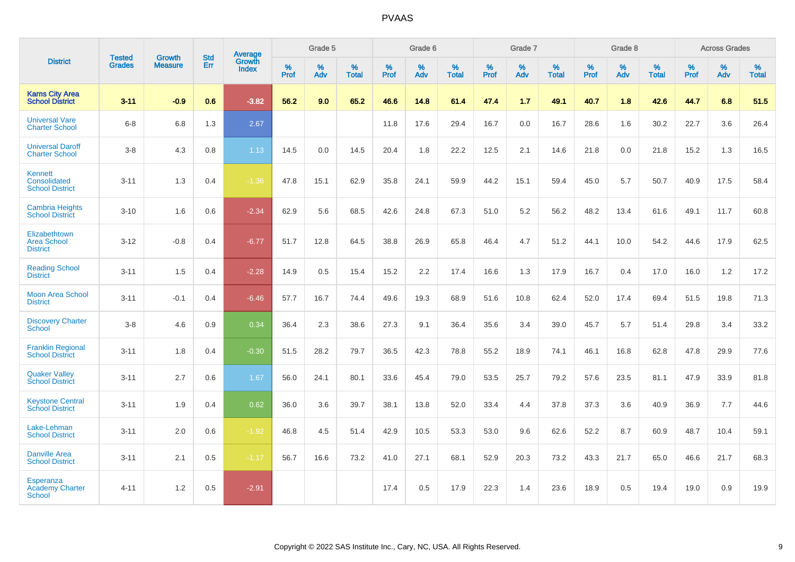|                                                             | <b>Tested</b> | <b>Growth</b>  | <b>Std</b> | <b>Average</b>         |           | Grade 5  |                   |           | Grade 6  |                   |           | Grade 7  |                   |           | Grade 8  |                   |           | <b>Across Grades</b> |                   |
|-------------------------------------------------------------|---------------|----------------|------------|------------------------|-----------|----------|-------------------|-----------|----------|-------------------|-----------|----------|-------------------|-----------|----------|-------------------|-----------|----------------------|-------------------|
| <b>District</b>                                             | <b>Grades</b> | <b>Measure</b> | Err        | Growth<br><b>Index</b> | %<br>Prof | %<br>Adv | %<br><b>Total</b> | %<br>Prof | %<br>Adv | %<br><b>Total</b> | %<br>Prof | %<br>Adv | %<br><b>Total</b> | %<br>Prof | %<br>Adv | %<br><b>Total</b> | %<br>Prof | %<br>Adv             | %<br><b>Total</b> |
| <b>Karns City Area</b><br><b>School District</b>            | $3 - 11$      | $-0.9$         | 0.6        | $-3.82$                | 56.2      | 9.0      | 65.2              | 46.6      | 14.8     | 61.4              | 47.4      | 1.7      | 49.1              | 40.7      | 1.8      | 42.6              | 44.7      | 6.8                  | 51.5              |
| <b>Universal Vare</b><br><b>Charter School</b>              | $6 - 8$       | 6.8            | 1.3        | 2.67                   |           |          |                   | 11.8      | 17.6     | 29.4              | 16.7      | 0.0      | 16.7              | 28.6      | 1.6      | 30.2              | 22.7      | 3.6                  | 26.4              |
| <b>Universal Daroff</b><br><b>Charter School</b>            | $3 - 8$       | 4.3            | 0.8        | 1.13                   | 14.5      | 0.0      | 14.5              | 20.4      | 1.8      | 22.2              | 12.5      | 2.1      | 14.6              | 21.8      | 0.0      | 21.8              | 15.2      | 1.3                  | 16.5              |
| <b>Kennett</b><br>Consolidated<br><b>School District</b>    | $3 - 11$      | 1.3            | 0.4        | $-1.36$                | 47.8      | 15.1     | 62.9              | 35.8      | 24.1     | 59.9              | 44.2      | 15.1     | 59.4              | 45.0      | 5.7      | 50.7              | 40.9      | 17.5                 | 58.4              |
| <b>Cambria Heights</b><br><b>School District</b>            | $3 - 10$      | 1.6            | 0.6        | $-2.34$                | 62.9      | 5.6      | 68.5              | 42.6      | 24.8     | 67.3              | 51.0      | 5.2      | 56.2              | 48.2      | 13.4     | 61.6              | 49.1      | 11.7                 | 60.8              |
| Elizabethtown<br><b>Area School</b><br><b>District</b>      | $3 - 12$      | $-0.8$         | 0.4        | $-6.77$                | 51.7      | 12.8     | 64.5              | 38.8      | 26.9     | 65.8              | 46.4      | 4.7      | 51.2              | 44.1      | 10.0     | 54.2              | 44.6      | 17.9                 | 62.5              |
| <b>Reading School</b><br><b>District</b>                    | $3 - 11$      | 1.5            | 0.4        | $-2.28$                | 14.9      | 0.5      | 15.4              | 15.2      | 2.2      | 17.4              | 16.6      | 1.3      | 17.9              | 16.7      | 0.4      | 17.0              | 16.0      | 1.2                  | 17.2              |
| <b>Moon Area School</b><br><b>District</b>                  | $3 - 11$      | $-0.1$         | 0.4        | $-6.46$                | 57.7      | 16.7     | 74.4              | 49.6      | 19.3     | 68.9              | 51.6      | 10.8     | 62.4              | 52.0      | 17.4     | 69.4              | 51.5      | 19.8                 | 71.3              |
| <b>Discovery Charter</b><br><b>School</b>                   | $3 - 8$       | 4.6            | 0.9        | 0.34                   | 36.4      | 2.3      | 38.6              | 27.3      | 9.1      | 36.4              | 35.6      | 3.4      | 39.0              | 45.7      | 5.7      | 51.4              | 29.8      | 3.4                  | 33.2              |
| <b>Franklin Regional</b><br><b>School District</b>          | $3 - 11$      | 1.8            | 0.4        | $-0.30$                | 51.5      | 28.2     | 79.7              | 36.5      | 42.3     | 78.8              | 55.2      | 18.9     | 74.1              | 46.1      | 16.8     | 62.8              | 47.8      | 29.9                 | 77.6              |
| <b>Quaker Valley</b><br><b>School District</b>              | $3 - 11$      | 2.7            | 0.6        | 1.67                   | 56.0      | 24.1     | 80.1              | 33.6      | 45.4     | 79.0              | 53.5      | 25.7     | 79.2              | 57.6      | 23.5     | 81.1              | 47.9      | 33.9                 | 81.8              |
| <b>Keystone Central</b><br><b>School District</b>           | $3 - 11$      | 1.9            | 0.4        | 0.62                   | 36.0      | 3.6      | 39.7              | 38.1      | 13.8     | 52.0              | 33.4      | 4.4      | 37.8              | 37.3      | 3.6      | 40.9              | 36.9      | 7.7                  | 44.6              |
| Lake-Lehman<br><b>School District</b>                       | $3 - 11$      | 2.0            | 0.6        | $-1.92$                | 46.8      | 4.5      | 51.4              | 42.9      | 10.5     | 53.3              | 53.0      | 9.6      | 62.6              | 52.2      | 8.7      | 60.9              | 48.7      | 10.4                 | 59.1              |
| <b>Danville Area</b><br><b>School District</b>              | $3 - 11$      | 2.1            | 0.5        | $-1.17$                | 56.7      | 16.6     | 73.2              | 41.0      | 27.1     | 68.1              | 52.9      | 20.3     | 73.2              | 43.3      | 21.7     | 65.0              | 46.6      | 21.7                 | 68.3              |
| <b>Esperanza</b><br><b>Academy Charter</b><br><b>School</b> | $4 - 11$      | 1.2            | 0.5        | $-2.91$                |           |          |                   | 17.4      | 0.5      | 17.9              | 22.3      | 1.4      | 23.6              | 18.9      | 0.5      | 19.4              | 19.0      | 0.9                  | 19.9              |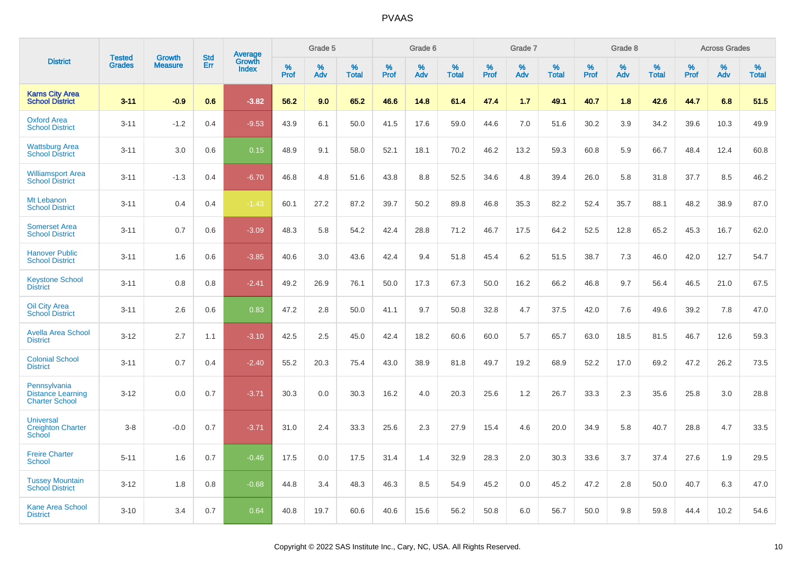| <b>District</b>                                                   | <b>Tested</b> |                                 | <b>Std</b> | Average                |              | Grade 5  |                   |              | Grade 6  |                   |              | Grade 7  |                   |              | Grade 8  |                   |              | <b>Across Grades</b> |                   |
|-------------------------------------------------------------------|---------------|---------------------------------|------------|------------------------|--------------|----------|-------------------|--------------|----------|-------------------|--------------|----------|-------------------|--------------|----------|-------------------|--------------|----------------------|-------------------|
|                                                                   | <b>Grades</b> | <b>Growth</b><br><b>Measure</b> | Err        | Growth<br><b>Index</b> | $\%$<br>Prof | %<br>Adv | %<br><b>Total</b> | $\%$<br>Prof | %<br>Adv | %<br><b>Total</b> | $\%$<br>Prof | %<br>Adv | %<br><b>Total</b> | $\%$<br>Prof | %<br>Adv | %<br><b>Total</b> | $\%$<br>Prof | %<br>Adv             | %<br><b>Total</b> |
| <b>Karns City Area</b><br><b>School District</b>                  | $3 - 11$      | $-0.9$                          | 0.6        | $-3.82$                | 56.2         | 9.0      | 65.2              | 46.6         | 14.8     | 61.4              | 47.4         | 1.7      | 49.1              | 40.7         | 1.8      | 42.6              | 44.7         | 6.8                  | 51.5              |
| <b>Oxford Area</b><br><b>School District</b>                      | $3 - 11$      | $-1.2$                          | 0.4        | $-9.53$                | 43.9         | 6.1      | 50.0              | 41.5         | 17.6     | 59.0              | 44.6         | 7.0      | 51.6              | 30.2         | 3.9      | 34.2              | 39.6         | 10.3                 | 49.9              |
| <b>Wattsburg Area</b><br><b>School District</b>                   | $3 - 11$      | 3.0                             | 0.6        | 0.15                   | 48.9         | 9.1      | 58.0              | 52.1         | 18.1     | 70.2              | 46.2         | 13.2     | 59.3              | 60.8         | 5.9      | 66.7              | 48.4         | 12.4                 | 60.8              |
| <b>Williamsport Area</b><br><b>School District</b>                | $3 - 11$      | $-1.3$                          | 0.4        | $-6.70$                | 46.8         | 4.8      | 51.6              | 43.8         | 8.8      | 52.5              | 34.6         | 4.8      | 39.4              | 26.0         | 5.8      | 31.8              | 37.7         | 8.5                  | 46.2              |
| Mt Lebanon<br><b>School District</b>                              | $3 - 11$      | 0.4                             | 0.4        | $-1.43$                | 60.1         | 27.2     | 87.2              | 39.7         | 50.2     | 89.8              | 46.8         | 35.3     | 82.2              | 52.4         | 35.7     | 88.1              | 48.2         | 38.9                 | 87.0              |
| <b>Somerset Area</b><br><b>School District</b>                    | $3 - 11$      | 0.7                             | 0.6        | $-3.09$                | 48.3         | 5.8      | 54.2              | 42.4         | 28.8     | 71.2              | 46.7         | 17.5     | 64.2              | 52.5         | 12.8     | 65.2              | 45.3         | 16.7                 | 62.0              |
| <b>Hanover Public</b><br><b>School District</b>                   | $3 - 11$      | 1.6                             | 0.6        | $-3.85$                | 40.6         | 3.0      | 43.6              | 42.4         | 9.4      | 51.8              | 45.4         | 6.2      | 51.5              | 38.7         | 7.3      | 46.0              | 42.0         | 12.7                 | 54.7              |
| <b>Keystone School</b><br><b>District</b>                         | $3 - 11$      | 0.8                             | 0.8        | $-2.41$                | 49.2         | 26.9     | 76.1              | 50.0         | 17.3     | 67.3              | 50.0         | 16.2     | 66.2              | 46.8         | 9.7      | 56.4              | 46.5         | 21.0                 | 67.5              |
| <b>Oil City Area</b><br><b>School District</b>                    | $3 - 11$      | 2.6                             | 0.6        | 0.83                   | 47.2         | 2.8      | 50.0              | 41.1         | 9.7      | 50.8              | 32.8         | 4.7      | 37.5              | 42.0         | 7.6      | 49.6              | 39.2         | 7.8                  | 47.0              |
| <b>Avella Area School</b><br><b>District</b>                      | $3 - 12$      | 2.7                             | 1.1        | $-3.10$                | 42.5         | 2.5      | 45.0              | 42.4         | 18.2     | 60.6              | 60.0         | 5.7      | 65.7              | 63.0         | 18.5     | 81.5              | 46.7         | 12.6                 | 59.3              |
| <b>Colonial School</b><br><b>District</b>                         | $3 - 11$      | 0.7                             | 0.4        | $-2.40$                | 55.2         | 20.3     | 75.4              | 43.0         | 38.9     | 81.8              | 49.7         | 19.2     | 68.9              | 52.2         | 17.0     | 69.2              | 47.2         | 26.2                 | 73.5              |
| Pennsylvania<br><b>Distance Learning</b><br><b>Charter School</b> | $3 - 12$      | 0.0                             | 0.7        | $-3.71$                | 30.3         | 0.0      | 30.3              | 16.2         | 4.0      | 20.3              | 25.6         | 1.2      | 26.7              | 33.3         | 2.3      | 35.6              | 25.8         | 3.0                  | 28.8              |
| <b>Universal</b><br><b>Creighton Charter</b><br>School            | $3 - 8$       | $-0.0$                          | 0.7        | $-3.71$                | 31.0         | 2.4      | 33.3              | 25.6         | 2.3      | 27.9              | 15.4         | 4.6      | 20.0              | 34.9         | 5.8      | 40.7              | 28.8         | 4.7                  | 33.5              |
| <b>Freire Charter</b><br><b>School</b>                            | $5 - 11$      | 1.6                             | 0.7        | $-0.46$                | 17.5         | 0.0      | 17.5              | 31.4         | 1.4      | 32.9              | 28.3         | 2.0      | 30.3              | 33.6         | 3.7      | 37.4              | 27.6         | 1.9                  | 29.5              |
| <b>Tussey Mountain</b><br><b>School District</b>                  | $3 - 12$      | 1.8                             | 0.8        | $-0.68$                | 44.8         | 3.4      | 48.3              | 46.3         | 8.5      | 54.9              | 45.2         | 0.0      | 45.2              | 47.2         | 2.8      | 50.0              | 40.7         | 6.3                  | 47.0              |
| <b>Kane Area School</b><br><b>District</b>                        | $3 - 10$      | 3.4                             | 0.7        | 0.64                   | 40.8         | 19.7     | 60.6              | 40.6         | 15.6     | 56.2              | 50.8         | 6.0      | 56.7              | 50.0         | 9.8      | 59.8              | 44.4         | 10.2                 | 54.6              |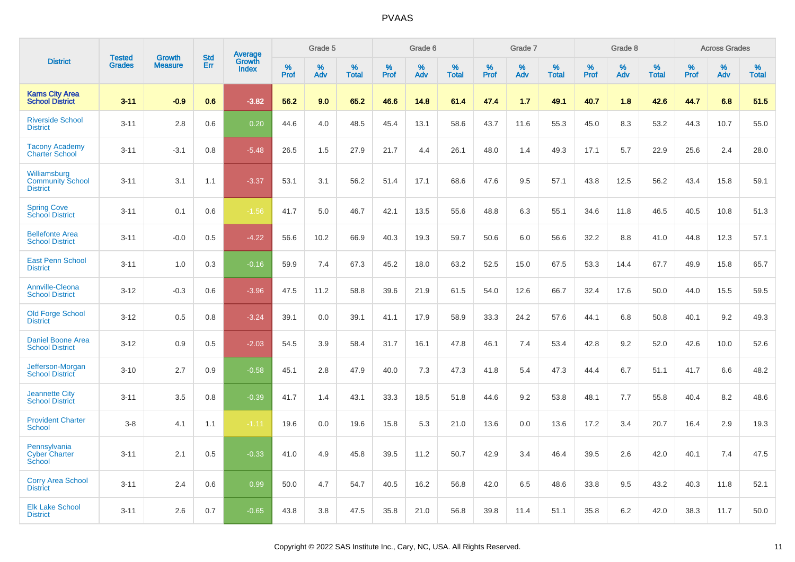| <b>District</b>                                            | <b>Tested</b> | <b>Growth</b>  | <b>Std</b> | Average                |              | Grade 5  |                   |              | Grade 6  |                   |              | Grade 7  |                   |              | Grade 8  |                   |              | <b>Across Grades</b> |                   |
|------------------------------------------------------------|---------------|----------------|------------|------------------------|--------------|----------|-------------------|--------------|----------|-------------------|--------------|----------|-------------------|--------------|----------|-------------------|--------------|----------------------|-------------------|
|                                                            | <b>Grades</b> | <b>Measure</b> | Err        | Growth<br><b>Index</b> | $\%$<br>Prof | %<br>Adv | %<br><b>Total</b> | $\%$<br>Prof | %<br>Adv | %<br><b>Total</b> | $\%$<br>Prof | %<br>Adv | %<br><b>Total</b> | $\%$<br>Prof | %<br>Adv | %<br><b>Total</b> | $\%$<br>Prof | %<br>Adv             | %<br><b>Total</b> |
| <b>Karns City Area</b><br><b>School District</b>           | $3 - 11$      | $-0.9$         | 0.6        | $-3.82$                | 56.2         | 9.0      | 65.2              | 46.6         | 14.8     | 61.4              | 47.4         | 1.7      | 49.1              | 40.7         | 1.8      | 42.6              | 44.7         | 6.8                  | 51.5              |
| <b>Riverside School</b><br><b>District</b>                 | $3 - 11$      | 2.8            | 0.6        | 0.20                   | 44.6         | 4.0      | 48.5              | 45.4         | 13.1     | 58.6              | 43.7         | 11.6     | 55.3              | 45.0         | 8.3      | 53.2              | 44.3         | 10.7                 | 55.0              |
| <b>Tacony Academy</b><br><b>Charter School</b>             | $3 - 11$      | $-3.1$         | 0.8        | $-5.48$                | 26.5         | 1.5      | 27.9              | 21.7         | 4.4      | 26.1              | 48.0         | 1.4      | 49.3              | 17.1         | 5.7      | 22.9              | 25.6         | 2.4                  | 28.0              |
| Williamsburg<br><b>Community School</b><br><b>District</b> | $3 - 11$      | 3.1            | 1.1        | $-3.37$                | 53.1         | 3.1      | 56.2              | 51.4         | 17.1     | 68.6              | 47.6         | 9.5      | 57.1              | 43.8         | 12.5     | 56.2              | 43.4         | 15.8                 | 59.1              |
| <b>Spring Cove</b><br>School District                      | $3 - 11$      | 0.1            | 0.6        | $-1.56$                | 41.7         | 5.0      | 46.7              | 42.1         | 13.5     | 55.6              | 48.8         | 6.3      | 55.1              | 34.6         | 11.8     | 46.5              | 40.5         | 10.8                 | 51.3              |
| <b>Bellefonte Area</b><br><b>School District</b>           | $3 - 11$      | $-0.0$         | 0.5        | $-4.22$                | 56.6         | 10.2     | 66.9              | 40.3         | 19.3     | 59.7              | 50.6         | 6.0      | 56.6              | 32.2         | 8.8      | 41.0              | 44.8         | 12.3                 | 57.1              |
| <b>East Penn School</b><br><b>District</b>                 | $3 - 11$      | 1.0            | 0.3        | $-0.16$                | 59.9         | 7.4      | 67.3              | 45.2         | 18.0     | 63.2              | 52.5         | 15.0     | 67.5              | 53.3         | 14.4     | 67.7              | 49.9         | 15.8                 | 65.7              |
| <b>Annville-Cleona</b><br><b>School District</b>           | $3 - 12$      | $-0.3$         | 0.6        | $-3.96$                | 47.5         | 11.2     | 58.8              | 39.6         | 21.9     | 61.5              | 54.0         | 12.6     | 66.7              | 32.4         | 17.6     | 50.0              | 44.0         | 15.5                 | 59.5              |
| <b>Old Forge School</b><br><b>District</b>                 | $3 - 12$      | 0.5            | 0.8        | $-3.24$                | 39.1         | 0.0      | 39.1              | 41.1         | 17.9     | 58.9              | 33.3         | 24.2     | 57.6              | 44.1         | 6.8      | 50.8              | 40.1         | 9.2                  | 49.3              |
| <b>Daniel Boone Area</b><br><b>School District</b>         | $3 - 12$      | 0.9            | 0.5        | $-2.03$                | 54.5         | 3.9      | 58.4              | 31.7         | 16.1     | 47.8              | 46.1         | 7.4      | 53.4              | 42.8         | 9.2      | 52.0              | 42.6         | 10.0                 | 52.6              |
| Jefferson-Morgan<br><b>School District</b>                 | $3 - 10$      | 2.7            | 0.9        | $-0.58$                | 45.1         | 2.8      | 47.9              | 40.0         | 7.3      | 47.3              | 41.8         | 5.4      | 47.3              | 44.4         | 6.7      | 51.1              | 41.7         | 6.6                  | 48.2              |
| <b>Jeannette City</b><br><b>School District</b>            | $3 - 11$      | 3.5            | 0.8        | $-0.39$                | 41.7         | 1.4      | 43.1              | 33.3         | 18.5     | 51.8              | 44.6         | 9.2      | 53.8              | 48.1         | 7.7      | 55.8              | 40.4         | 8.2                  | 48.6              |
| <b>Provident Charter</b><br><b>School</b>                  | $3 - 8$       | 4.1            | 1.1        | $-1.11$                | 19.6         | 0.0      | 19.6              | 15.8         | 5.3      | 21.0              | 13.6         | 0.0      | 13.6              | 17.2         | 3.4      | 20.7              | 16.4         | 2.9                  | 19.3              |
| Pennsylvania<br><b>Cyber Charter</b><br>School             | $3 - 11$      | 2.1            | 0.5        | $-0.33$                | 41.0         | 4.9      | 45.8              | 39.5         | 11.2     | 50.7              | 42.9         | 3.4      | 46.4              | 39.5         | 2.6      | 42.0              | 40.1         | 7.4                  | 47.5              |
| <b>Corry Area School</b><br><b>District</b>                | $3 - 11$      | 2.4            | 0.6        | 0.99                   | 50.0         | 4.7      | 54.7              | 40.5         | 16.2     | 56.8              | 42.0         | 6.5      | 48.6              | 33.8         | 9.5      | 43.2              | 40.3         | 11.8                 | 52.1              |
| <b>Elk Lake School</b><br><b>District</b>                  | $3 - 11$      | 2.6            | 0.7        | $-0.65$                | 43.8         | 3.8      | 47.5              | 35.8         | 21.0     | 56.8              | 39.8         | 11.4     | 51.1              | 35.8         | 6.2      | 42.0              | 38.3         | 11.7                 | 50.0              |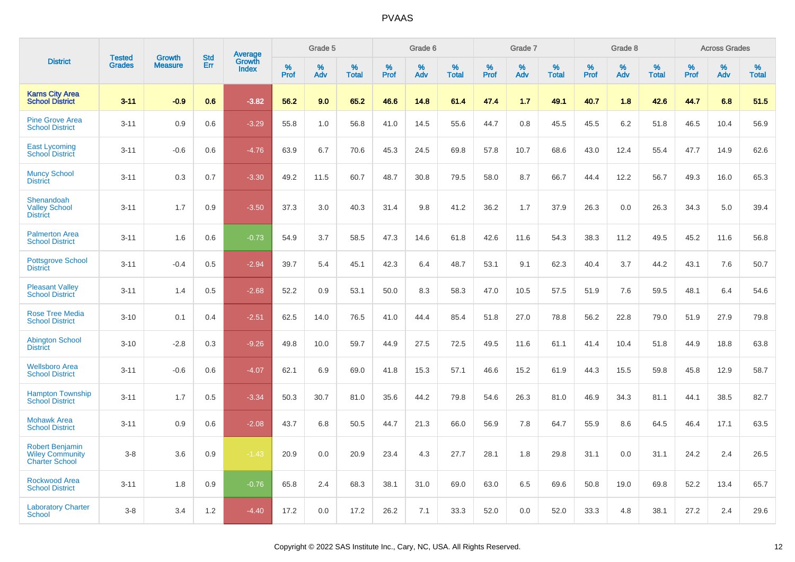|                                                                           | <b>Tested</b> | <b>Growth</b>  | <b>Std</b> | Average                |              | Grade 5  |                   |              | Grade 6  |                   |              | Grade 7  |                   |              | Grade 8  |                   |              | <b>Across Grades</b> |                   |
|---------------------------------------------------------------------------|---------------|----------------|------------|------------------------|--------------|----------|-------------------|--------------|----------|-------------------|--------------|----------|-------------------|--------------|----------|-------------------|--------------|----------------------|-------------------|
| <b>District</b>                                                           | <b>Grades</b> | <b>Measure</b> | Err        | Growth<br><b>Index</b> | $\%$<br>Prof | %<br>Adv | %<br><b>Total</b> | $\%$<br>Prof | %<br>Adv | %<br><b>Total</b> | $\%$<br>Prof | %<br>Adv | %<br><b>Total</b> | $\%$<br>Prof | %<br>Adv | %<br><b>Total</b> | $\%$<br>Prof | %<br>Adv             | %<br><b>Total</b> |
| <b>Karns City Area</b><br><b>School District</b>                          | $3 - 11$      | $-0.9$         | 0.6        | $-3.82$                | 56.2         | 9.0      | 65.2              | 46.6         | 14.8     | 61.4              | 47.4         | 1.7      | 49.1              | 40.7         | 1.8      | 42.6              | 44.7         | 6.8                  | 51.5              |
| <b>Pine Grove Area</b><br><b>School District</b>                          | $3 - 11$      | 0.9            | 0.6        | $-3.29$                | 55.8         | 1.0      | 56.8              | 41.0         | 14.5     | 55.6              | 44.7         | 0.8      | 45.5              | 45.5         | 6.2      | 51.8              | 46.5         | 10.4                 | 56.9              |
| <b>East Lycoming</b><br><b>School District</b>                            | $3 - 11$      | $-0.6$         | 0.6        | $-4.76$                | 63.9         | 6.7      | 70.6              | 45.3         | 24.5     | 69.8              | 57.8         | 10.7     | 68.6              | 43.0         | 12.4     | 55.4              | 47.7         | 14.9                 | 62.6              |
| <b>Muncy School</b><br><b>District</b>                                    | $3 - 11$      | 0.3            | 0.7        | $-3.30$                | 49.2         | 11.5     | 60.7              | 48.7         | 30.8     | 79.5              | 58.0         | 8.7      | 66.7              | 44.4         | 12.2     | 56.7              | 49.3         | 16.0                 | 65.3              |
| Shenandoah<br><b>Valley School</b><br><b>District</b>                     | $3 - 11$      | 1.7            | 0.9        | $-3.50$                | 37.3         | 3.0      | 40.3              | 31.4         | 9.8      | 41.2              | 36.2         | 1.7      | 37.9              | 26.3         | 0.0      | 26.3              | 34.3         | 5.0                  | 39.4              |
| <b>Palmerton Area</b><br><b>School District</b>                           | $3 - 11$      | 1.6            | 0.6        | $-0.73$                | 54.9         | 3.7      | 58.5              | 47.3         | 14.6     | 61.8              | 42.6         | 11.6     | 54.3              | 38.3         | 11.2     | 49.5              | 45.2         | 11.6                 | 56.8              |
| <b>Pottsgrove School</b><br><b>District</b>                               | $3 - 11$      | $-0.4$         | 0.5        | $-2.94$                | 39.7         | 5.4      | 45.1              | 42.3         | 6.4      | 48.7              | 53.1         | 9.1      | 62.3              | 40.4         | 3.7      | 44.2              | 43.1         | 7.6                  | 50.7              |
| <b>Pleasant Valley</b><br><b>School District</b>                          | $3 - 11$      | 1.4            | 0.5        | $-2.68$                | 52.2         | 0.9      | 53.1              | 50.0         | 8.3      | 58.3              | 47.0         | 10.5     | 57.5              | 51.9         | 7.6      | 59.5              | 48.1         | 6.4                  | 54.6              |
| <b>Rose Tree Media</b><br><b>School District</b>                          | $3 - 10$      | 0.1            | 0.4        | $-2.51$                | 62.5         | 14.0     | 76.5              | 41.0         | 44.4     | 85.4              | 51.8         | 27.0     | 78.8              | 56.2         | 22.8     | 79.0              | 51.9         | 27.9                 | 79.8              |
| <b>Abington School</b><br><b>District</b>                                 | $3 - 10$      | $-2.8$         | 0.3        | $-9.26$                | 49.8         | 10.0     | 59.7              | 44.9         | 27.5     | 72.5              | 49.5         | 11.6     | 61.1              | 41.4         | 10.4     | 51.8              | 44.9         | 18.8                 | 63.8              |
| <b>Wellsboro Area</b><br><b>School District</b>                           | $3 - 11$      | $-0.6$         | 0.6        | $-4.07$                | 62.1         | 6.9      | 69.0              | 41.8         | 15.3     | 57.1              | 46.6         | 15.2     | 61.9              | 44.3         | 15.5     | 59.8              | 45.8         | 12.9                 | 58.7              |
| <b>Hampton Township</b><br><b>School District</b>                         | $3 - 11$      | 1.7            | 0.5        | $-3.34$                | 50.3         | 30.7     | 81.0              | 35.6         | 44.2     | 79.8              | 54.6         | 26.3     | 81.0              | 46.9         | 34.3     | 81.1              | 44.1         | 38.5                 | 82.7              |
| <b>Mohawk Area</b><br><b>School District</b>                              | $3 - 11$      | 0.9            | 0.6        | $-2.08$                | 43.7         | 6.8      | 50.5              | 44.7         | 21.3     | 66.0              | 56.9         | 7.8      | 64.7              | 55.9         | 8.6      | 64.5              | 46.4         | 17.1                 | 63.5              |
| <b>Robert Benjamin</b><br><b>Wiley Community</b><br><b>Charter School</b> | $3 - 8$       | 3.6            | 0.9        | $-1.43$                | 20.9         | 0.0      | 20.9              | 23.4         | 4.3      | 27.7              | 28.1         | 1.8      | 29.8              | 31.1         | 0.0      | 31.1              | 24.2         | 2.4                  | 26.5              |
| <b>Rockwood Area</b><br><b>School District</b>                            | $3 - 11$      | 1.8            | 0.9        | $-0.76$                | 65.8         | 2.4      | 68.3              | 38.1         | 31.0     | 69.0              | 63.0         | 6.5      | 69.6              | 50.8         | 19.0     | 69.8              | 52.2         | 13.4                 | 65.7              |
| <b>Laboratory Charter</b><br><b>School</b>                                | $3 - 8$       | 3.4            | 1.2        | $-4.40$                | 17.2         | 0.0      | 17.2              | 26.2         | 7.1      | 33.3              | 52.0         | 0.0      | 52.0              | 33.3         | 4.8      | 38.1              | 27.2         | 2.4                  | 29.6              |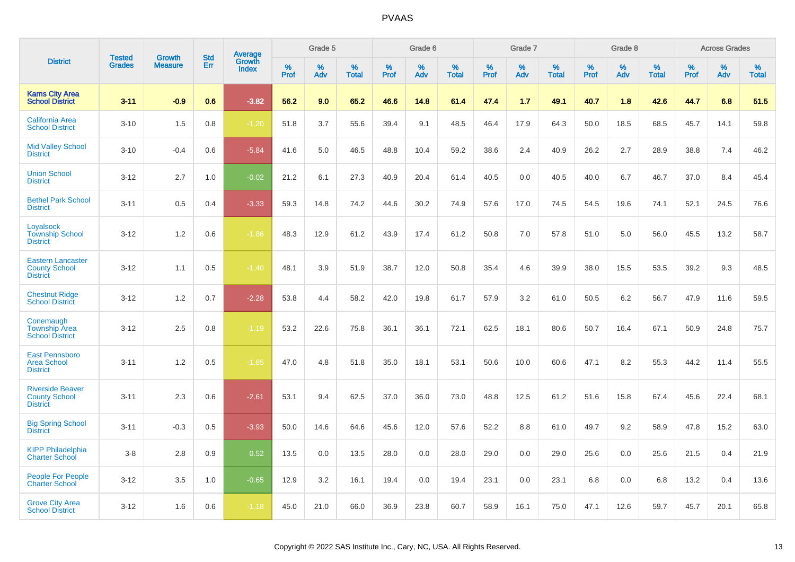|                                                                     | <b>Tested</b> | <b>Growth</b>  | <b>Std</b> | Average                |           | Grade 5  |                   |           | Grade 6  |                   |           | Grade 7  |                   |           | Grade 8  |                   |              | <b>Across Grades</b> |                   |
|---------------------------------------------------------------------|---------------|----------------|------------|------------------------|-----------|----------|-------------------|-----------|----------|-------------------|-----------|----------|-------------------|-----------|----------|-------------------|--------------|----------------------|-------------------|
| <b>District</b>                                                     | <b>Grades</b> | <b>Measure</b> | Err        | Growth<br><b>Index</b> | %<br>Prof | %<br>Adv | %<br><b>Total</b> | %<br>Prof | %<br>Adv | %<br><b>Total</b> | %<br>Prof | %<br>Adv | %<br><b>Total</b> | %<br>Prof | %<br>Adv | %<br><b>Total</b> | $\%$<br>Prof | %<br>Adv             | %<br><b>Total</b> |
| <b>Karns City Area</b><br><b>School District</b>                    | $3 - 11$      | $-0.9$         | 0.6        | $-3.82$                | 56.2      | 9.0      | 65.2              | 46.6      | 14.8     | 61.4              | 47.4      | 1.7      | 49.1              | 40.7      | 1.8      | 42.6              | 44.7         | 6.8                  | 51.5              |
| <b>California Area</b><br><b>School District</b>                    | $3 - 10$      | 1.5            | 0.8        | $-1.20$                | 51.8      | 3.7      | 55.6              | 39.4      | 9.1      | 48.5              | 46.4      | 17.9     | 64.3              | 50.0      | 18.5     | 68.5              | 45.7         | 14.1                 | 59.8              |
| <b>Mid Valley School</b><br><b>District</b>                         | $3 - 10$      | $-0.4$         | 0.6        | $-5.84$                | 41.6      | 5.0      | 46.5              | 48.8      | 10.4     | 59.2              | 38.6      | 2.4      | 40.9              | 26.2      | 2.7      | 28.9              | 38.8         | 7.4                  | 46.2              |
| <b>Union School</b><br><b>District</b>                              | $3 - 12$      | 2.7            | 1.0        | $-0.02$                | 21.2      | 6.1      | 27.3              | 40.9      | 20.4     | 61.4              | 40.5      | 0.0      | 40.5              | 40.0      | 6.7      | 46.7              | 37.0         | 8.4                  | 45.4              |
| <b>Bethel Park School</b><br><b>District</b>                        | $3 - 11$      | 0.5            | 0.4        | $-3.33$                | 59.3      | 14.8     | 74.2              | 44.6      | 30.2     | 74.9              | 57.6      | 17.0     | 74.5              | 54.5      | 19.6     | 74.1              | 52.1         | 24.5                 | 76.6              |
| Loyalsock<br><b>Township School</b><br><b>District</b>              | $3 - 12$      | 1.2            | 0.6        | $-1.86$                | 48.3      | 12.9     | 61.2              | 43.9      | 17.4     | 61.2              | 50.8      | 7.0      | 57.8              | 51.0      | 5.0      | 56.0              | 45.5         | 13.2                 | 58.7              |
| <b>Eastern Lancaster</b><br><b>County School</b><br><b>District</b> | $3 - 12$      | 1.1            | 0.5        | $-1.40$                | 48.1      | 3.9      | 51.9              | 38.7      | 12.0     | 50.8              | 35.4      | 4.6      | 39.9              | 38.0      | 15.5     | 53.5              | 39.2         | 9.3                  | 48.5              |
| <b>Chestnut Ridge</b><br><b>School District</b>                     | $3 - 12$      | 1.2            | 0.7        | $-2.28$                | 53.8      | 4.4      | 58.2              | 42.0      | 19.8     | 61.7              | 57.9      | 3.2      | 61.0              | 50.5      | 6.2      | 56.7              | 47.9         | 11.6                 | 59.5              |
| Conemaugh<br><b>Township Area</b><br><b>School District</b>         | $3 - 12$      | 2.5            | 0.8        | $-1.19$                | 53.2      | 22.6     | 75.8              | 36.1      | 36.1     | 72.1              | 62.5      | 18.1     | 80.6              | 50.7      | 16.4     | 67.1              | 50.9         | 24.8                 | 75.7              |
| <b>East Pennsboro</b><br><b>Area School</b><br><b>District</b>      | $3 - 11$      | 1.2            | 0.5        | $-1.85$                | 47.0      | 4.8      | 51.8              | 35.0      | 18.1     | 53.1              | 50.6      | 10.0     | 60.6              | 47.1      | 8.2      | 55.3              | 44.2         | 11.4                 | 55.5              |
| <b>Riverside Beaver</b><br><b>County School</b><br><b>District</b>  | $3 - 11$      | 2.3            | 0.6        | $-2.61$                | 53.1      | 9.4      | 62.5              | 37.0      | 36.0     | 73.0              | 48.8      | 12.5     | 61.2              | 51.6      | 15.8     | 67.4              | 45.6         | 22.4                 | 68.1              |
| <b>Big Spring School</b><br><b>District</b>                         | $3 - 11$      | $-0.3$         | 0.5        | $-3.93$                | 50.0      | 14.6     | 64.6              | 45.6      | 12.0     | 57.6              | 52.2      | 8.8      | 61.0              | 49.7      | 9.2      | 58.9              | 47.8         | 15.2                 | 63.0              |
| <b>KIPP Philadelphia</b><br><b>Charter School</b>                   | $3-8$         | 2.8            | 0.9        | 0.52                   | 13.5      | 0.0      | 13.5              | 28.0      | 0.0      | 28.0              | 29.0      | 0.0      | 29.0              | 25.6      | 0.0      | 25.6              | 21.5         | 0.4                  | 21.9              |
| <b>People For People</b><br><b>Charter School</b>                   | $3 - 12$      | 3.5            | 1.0        | $-0.65$                | 12.9      | 3.2      | 16.1              | 19.4      | 0.0      | 19.4              | 23.1      | 0.0      | 23.1              | 6.8       | 0.0      | 6.8               | 13.2         | 0.4                  | 13.6              |
| <b>Grove City Area</b><br><b>School District</b>                    | $3 - 12$      | 1.6            | 0.6        | $-1.18$                | 45.0      | 21.0     | 66.0              | 36.9      | 23.8     | 60.7              | 58.9      | 16.1     | 75.0              | 47.1      | 12.6     | 59.7              | 45.7         | 20.1                 | 65.8              |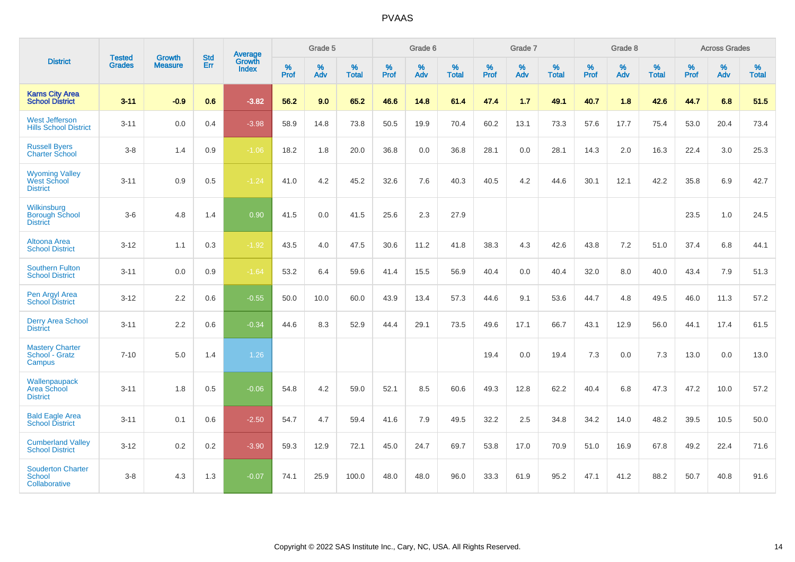|                                                         | <b>Tested</b> | <b>Growth</b>  | <b>Std</b> | Average                |           | Grade 5  |                   |           | Grade 6  |                   |           | Grade 7  |                   |           | Grade 8  |                   |           | <b>Across Grades</b> |                   |
|---------------------------------------------------------|---------------|----------------|------------|------------------------|-----------|----------|-------------------|-----------|----------|-------------------|-----------|----------|-------------------|-----------|----------|-------------------|-----------|----------------------|-------------------|
| <b>District</b>                                         | <b>Grades</b> | <b>Measure</b> | <b>Err</b> | Growth<br><b>Index</b> | %<br>Prof | %<br>Adv | %<br><b>Total</b> | %<br>Prof | %<br>Adv | %<br><b>Total</b> | %<br>Prof | %<br>Adv | %<br><b>Total</b> | %<br>Prof | %<br>Adv | %<br><b>Total</b> | %<br>Prof | %<br>Adv             | %<br><b>Total</b> |
| <b>Karns City Area</b><br>School District               | $3 - 11$      | $-0.9$         | 0.6        | $-3.82$                | 56.2      | 9.0      | 65.2              | 46.6      | 14.8     | 61.4              | 47.4      | 1.7      | 49.1              | 40.7      | 1.8      | 42.6              | 44.7      | 6.8                  | 51.5              |
| <b>West Jefferson</b><br><b>Hills School District</b>   | $3 - 11$      | 0.0            | 0.4        | $-3.98$                | 58.9      | 14.8     | 73.8              | 50.5      | 19.9     | 70.4              | 60.2      | 13.1     | 73.3              | 57.6      | 17.7     | 75.4              | 53.0      | 20.4                 | 73.4              |
| <b>Russell Byers</b><br><b>Charter School</b>           | $3 - 8$       | 1.4            | 0.9        | $-1.06$                | 18.2      | 1.8      | 20.0              | 36.8      | 0.0      | 36.8              | 28.1      | 0.0      | 28.1              | 14.3      | 2.0      | 16.3              | 22.4      | 3.0                  | 25.3              |
| <b>Wyoming Valley</b><br>West School<br><b>District</b> | $3 - 11$      | 0.9            | 0.5        | $-1.24$                | 41.0      | 4.2      | 45.2              | 32.6      | 7.6      | 40.3              | 40.5      | 4.2      | 44.6              | 30.1      | 12.1     | 42.2              | 35.8      | 6.9                  | 42.7              |
| Wilkinsburg<br><b>Borough School</b><br><b>District</b> | $3-6$         | 4.8            | 1.4        | 0.90                   | 41.5      | 0.0      | 41.5              | 25.6      | 2.3      | 27.9              |           |          |                   |           |          |                   | 23.5      | 1.0                  | 24.5              |
| <b>Altoona Area</b><br><b>School District</b>           | $3 - 12$      | 1.1            | 0.3        | $-1.92$                | 43.5      | 4.0      | 47.5              | 30.6      | 11.2     | 41.8              | 38.3      | 4.3      | 42.6              | 43.8      | 7.2      | 51.0              | 37.4      | 6.8                  | 44.1              |
| <b>Southern Fulton</b><br><b>School District</b>        | $3 - 11$      | 0.0            | 0.9        | $-1.64$                | 53.2      | 6.4      | 59.6              | 41.4      | 15.5     | 56.9              | 40.4      | 0.0      | 40.4              | 32.0      | 8.0      | 40.0              | 43.4      | 7.9                  | 51.3              |
| Pen Argyl Area<br><b>School District</b>                | $3 - 12$      | 2.2            | 0.6        | $-0.55$                | 50.0      | 10.0     | 60.0              | 43.9      | 13.4     | 57.3              | 44.6      | 9.1      | 53.6              | 44.7      | 4.8      | 49.5              | 46.0      | 11.3                 | 57.2              |
| <b>Derry Area School</b><br><b>District</b>             | $3 - 11$      | 2.2            | 0.6        | $-0.34$                | 44.6      | 8.3      | 52.9              | 44.4      | 29.1     | 73.5              | 49.6      | 17.1     | 66.7              | 43.1      | 12.9     | 56.0              | 44.1      | 17.4                 | 61.5              |
| <b>Mastery Charter</b><br>School - Gratz<br>Campus      | $7 - 10$      | 5.0            | 1.4        | 1.26                   |           |          |                   |           |          |                   | 19.4      | 0.0      | 19.4              | 7.3       | 0.0      | 7.3               | 13.0      | 0.0                  | 13.0              |
| Wallenpaupack<br>Area School<br><b>District</b>         | $3 - 11$      | 1.8            | 0.5        | $-0.06$                | 54.8      | 4.2      | 59.0              | 52.1      | 8.5      | 60.6              | 49.3      | 12.8     | 62.2              | 40.4      | 6.8      | 47.3              | 47.2      | 10.0                 | 57.2              |
| <b>Bald Eagle Area</b><br><b>School District</b>        | $3 - 11$      | 0.1            | 0.6        | $-2.50$                | 54.7      | 4.7      | 59.4              | 41.6      | 7.9      | 49.5              | 32.2      | 2.5      | 34.8              | 34.2      | 14.0     | 48.2              | 39.5      | 10.5                 | 50.0              |
| <b>Cumberland Valley</b><br><b>School District</b>      | $3 - 12$      | $0.2\,$        | 0.2        | $-3.90$                | 59.3      | 12.9     | 72.1              | 45.0      | 24.7     | 69.7              | 53.8      | 17.0     | 70.9              | 51.0      | 16.9     | 67.8              | 49.2      | 22.4                 | 71.6              |
| <b>Souderton Charter</b><br>School<br>Collaborative     | $3 - 8$       | 4.3            | 1.3        | $-0.07$                | 74.1      | 25.9     | 100.0             | 48.0      | 48.0     | 96.0              | 33.3      | 61.9     | 95.2              | 47.1      | 41.2     | 88.2              | 50.7      | 40.8                 | 91.6              |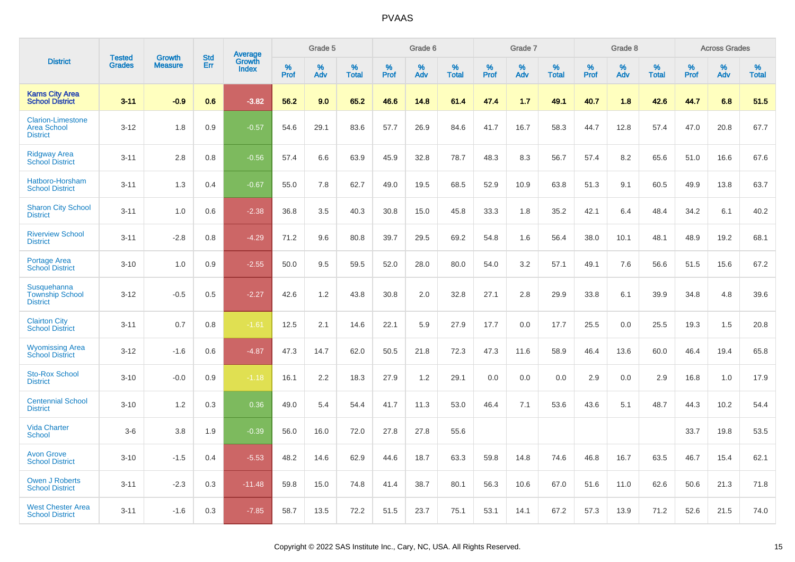|                                                                   | <b>Tested</b> | <b>Growth</b>  | <b>Std</b> | Average                |              | Grade 5  |                   |              | Grade 6  |                   |              | Grade 7  |                   |              | Grade 8  |                   |              | <b>Across Grades</b> |                   |
|-------------------------------------------------------------------|---------------|----------------|------------|------------------------|--------------|----------|-------------------|--------------|----------|-------------------|--------------|----------|-------------------|--------------|----------|-------------------|--------------|----------------------|-------------------|
| <b>District</b>                                                   | <b>Grades</b> | <b>Measure</b> | Err        | Growth<br><b>Index</b> | $\%$<br>Prof | %<br>Adv | %<br><b>Total</b> | $\%$<br>Prof | %<br>Adv | %<br><b>Total</b> | $\%$<br>Prof | %<br>Adv | %<br><b>Total</b> | $\%$<br>Prof | %<br>Adv | %<br><b>Total</b> | $\%$<br>Prof | %<br>Adv             | %<br><b>Total</b> |
| <b>Karns City Area</b><br><b>School District</b>                  | $3 - 11$      | $-0.9$         | 0.6        | $-3.82$                | 56.2         | 9.0      | 65.2              | 46.6         | 14.8     | 61.4              | 47.4         | 1.7      | 49.1              | 40.7         | 1.8      | 42.6              | 44.7         | 6.8                  | 51.5              |
| <b>Clarion-Limestone</b><br><b>Area School</b><br><b>District</b> | $3 - 12$      | 1.8            | 0.9        | $-0.57$                | 54.6         | 29.1     | 83.6              | 57.7         | 26.9     | 84.6              | 41.7         | 16.7     | 58.3              | 44.7         | 12.8     | 57.4              | 47.0         | 20.8                 | 67.7              |
| <b>Ridgway Area</b><br><b>School District</b>                     | $3 - 11$      | 2.8            | 0.8        | $-0.56$                | 57.4         | 6.6      | 63.9              | 45.9         | 32.8     | 78.7              | 48.3         | 8.3      | 56.7              | 57.4         | 8.2      | 65.6              | 51.0         | 16.6                 | 67.6              |
| Hatboro-Horsham<br><b>School District</b>                         | $3 - 11$      | 1.3            | 0.4        | $-0.67$                | 55.0         | 7.8      | 62.7              | 49.0         | 19.5     | 68.5              | 52.9         | 10.9     | 63.8              | 51.3         | 9.1      | 60.5              | 49.9         | 13.8                 | 63.7              |
| <b>Sharon City School</b><br><b>District</b>                      | $3 - 11$      | 1.0            | 0.6        | $-2.38$                | 36.8         | 3.5      | 40.3              | 30.8         | 15.0     | 45.8              | 33.3         | 1.8      | 35.2              | 42.1         | 6.4      | 48.4              | 34.2         | 6.1                  | 40.2              |
| <b>Riverview School</b><br><b>District</b>                        | $3 - 11$      | $-2.8$         | 0.8        | $-4.29$                | 71.2         | 9.6      | 80.8              | 39.7         | 29.5     | 69.2              | 54.8         | 1.6      | 56.4              | 38.0         | 10.1     | 48.1              | 48.9         | 19.2                 | 68.1              |
| <b>Portage Area</b><br><b>School District</b>                     | $3 - 10$      | 1.0            | 0.9        | $-2.55$                | 50.0         | 9.5      | 59.5              | 52.0         | 28.0     | 80.0              | 54.0         | 3.2      | 57.1              | 49.1         | 7.6      | 56.6              | 51.5         | 15.6                 | 67.2              |
| Susquehanna<br><b>Township School</b><br><b>District</b>          | $3 - 12$      | $-0.5$         | 0.5        | $-2.27$                | 42.6         | 1.2      | 43.8              | 30.8         | 2.0      | 32.8              | 27.1         | 2.8      | 29.9              | 33.8         | 6.1      | 39.9              | 34.8         | 4.8                  | 39.6              |
| <b>Clairton City</b><br><b>School District</b>                    | $3 - 11$      | 0.7            | 0.8        | $-1.61$                | 12.5         | 2.1      | 14.6              | 22.1         | 5.9      | 27.9              | 17.7         | 0.0      | 17.7              | 25.5         | 0.0      | 25.5              | 19.3         | 1.5                  | 20.8              |
| <b>Wyomissing Area</b><br><b>School District</b>                  | $3 - 12$      | $-1.6$         | 0.6        | $-4.87$                | 47.3         | 14.7     | 62.0              | 50.5         | 21.8     | 72.3              | 47.3         | 11.6     | 58.9              | 46.4         | 13.6     | 60.0              | 46.4         | 19.4                 | 65.8              |
| <b>Sto-Rox School</b><br><b>District</b>                          | $3 - 10$      | $-0.0$         | 0.9        | $-1.18$                | 16.1         | 2.2      | 18.3              | 27.9         | 1.2      | 29.1              | 0.0          | 0.0      | 0.0               | 2.9          | 0.0      | 2.9               | 16.8         | 1.0                  | 17.9              |
| <b>Centennial School</b><br><b>District</b>                       | $3 - 10$      | 1.2            | 0.3        | 0.36                   | 49.0         | 5.4      | 54.4              | 41.7         | 11.3     | 53.0              | 46.4         | 7.1      | 53.6              | 43.6         | 5.1      | 48.7              | 44.3         | 10.2                 | 54.4              |
| <b>Vida Charter</b><br><b>School</b>                              | $3-6$         | 3.8            | 1.9        | $-0.39$                | 56.0         | 16.0     | 72.0              | 27.8         | 27.8     | 55.6              |              |          |                   |              |          |                   | 33.7         | 19.8                 | 53.5              |
| <b>Avon Grove</b><br><b>School District</b>                       | $3 - 10$      | $-1.5$         | 0.4        | $-5.53$                | 48.2         | 14.6     | 62.9              | 44.6         | 18.7     | 63.3              | 59.8         | 14.8     | 74.6              | 46.8         | 16.7     | 63.5              | 46.7         | 15.4                 | 62.1              |
| <b>Owen J Roberts</b><br><b>School District</b>                   | $3 - 11$      | $-2.3$         | 0.3        | $-11.48$               | 59.8         | 15.0     | 74.8              | 41.4         | 38.7     | 80.1              | 56.3         | 10.6     | 67.0              | 51.6         | 11.0     | 62.6              | 50.6         | 21.3                 | 71.8              |
| <b>West Chester Area</b><br><b>School District</b>                | $3 - 11$      | $-1.6$         | 0.3        | $-7.85$                | 58.7         | 13.5     | 72.2              | 51.5         | 23.7     | 75.1              | 53.1         | 14.1     | 67.2              | 57.3         | 13.9     | 71.2              | 52.6         | 21.5                 | 74.0              |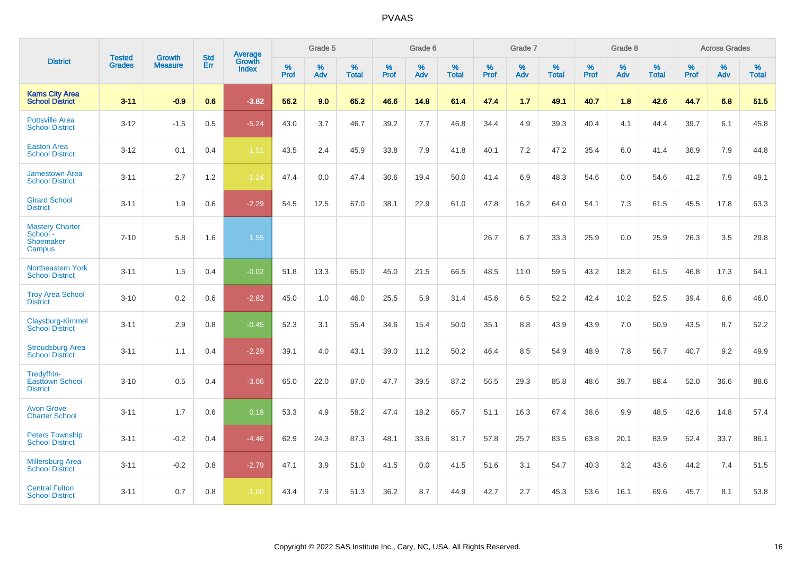|                                                           | <b>Tested</b> | <b>Growth</b>  | <b>Std</b> | <b>Average</b>         |           | Grade 5  |                   |           | Grade 6  |                   |           | Grade 7  |                   |           | Grade 8  |                   |           | <b>Across Grades</b> |                   |
|-----------------------------------------------------------|---------------|----------------|------------|------------------------|-----------|----------|-------------------|-----------|----------|-------------------|-----------|----------|-------------------|-----------|----------|-------------------|-----------|----------------------|-------------------|
| <b>District</b>                                           | <b>Grades</b> | <b>Measure</b> | Err        | Growth<br><b>Index</b> | %<br>Prof | %<br>Adv | %<br><b>Total</b> | %<br>Prof | %<br>Adv | %<br><b>Total</b> | %<br>Prof | %<br>Adv | %<br><b>Total</b> | %<br>Prof | %<br>Adv | %<br><b>Total</b> | %<br>Prof | %<br>Adv             | %<br><b>Total</b> |
| <b>Karns City Area</b><br><b>School District</b>          | $3 - 11$      | $-0.9$         | 0.6        | $-3.82$                | 56.2      | 9.0      | 65.2              | 46.6      | 14.8     | 61.4              | 47.4      | 1.7      | 49.1              | 40.7      | 1.8      | 42.6              | 44.7      | 6.8                  | 51.5              |
| <b>Pottsville Area</b><br><b>School District</b>          | $3 - 12$      | $-1.5$         | 0.5        | $-5.24$                | 43.0      | 3.7      | 46.7              | 39.2      | 7.7      | 46.8              | 34.4      | 4.9      | 39.3              | 40.4      | 4.1      | 44.4              | 39.7      | 6.1                  | 45.8              |
| <b>Easton Area</b><br><b>School District</b>              | $3 - 12$      | 0.1            | 0.4        | $-1.51$                | 43.5      | 2.4      | 45.9              | 33.8      | 7.9      | 41.8              | 40.1      | 7.2      | 47.2              | 35.4      | 6.0      | 41.4              | 36.9      | 7.9                  | 44.8              |
| <b>Jamestown Area</b><br><b>School District</b>           | $3 - 11$      | 2.7            | 1.2        | $-1.24$                | 47.4      | 0.0      | 47.4              | 30.6      | 19.4     | 50.0              | 41.4      | 6.9      | 48.3              | 54.6      | 0.0      | 54.6              | 41.2      | 7.9                  | 49.1              |
| <b>Girard School</b><br><b>District</b>                   | $3 - 11$      | 1.9            | 0.6        | $-2.29$                | 54.5      | 12.5     | 67.0              | 38.1      | 22.9     | 61.0              | 47.8      | 16.2     | 64.0              | 54.1      | 7.3      | 61.5              | 45.5      | 17.8                 | 63.3              |
| <b>Mastery Charter</b><br>School -<br>Shoemaker<br>Campus | $7 - 10$      | 5.8            | 1.6        | 1.55                   |           |          |                   |           |          |                   | 26.7      | 6.7      | 33.3              | 25.9      | 0.0      | 25.9              | 26.3      | 3.5                  | 29.8              |
| Northeastern York<br><b>School District</b>               | $3 - 11$      | 1.5            | 0.4        | $-0.02$                | 51.8      | 13.3     | 65.0              | 45.0      | 21.5     | 66.5              | 48.5      | 11.0     | 59.5              | 43.2      | 18.2     | 61.5              | 46.8      | 17.3                 | 64.1              |
| <b>Troy Area School</b><br><b>District</b>                | $3 - 10$      | 0.2            | 0.6        | $-2.82$                | 45.0      | 1.0      | 46.0              | 25.5      | 5.9      | 31.4              | 45.6      | 6.5      | 52.2              | 42.4      | 10.2     | 52.5              | 39.4      | 6.6                  | 46.0              |
| Claysburg-Kimmel<br><b>School District</b>                | $3 - 11$      | 2.9            | 0.8        | $-0.45$                | 52.3      | 3.1      | 55.4              | 34.6      | 15.4     | 50.0              | 35.1      | 8.8      | 43.9              | 43.9      | 7.0      | 50.9              | 43.5      | 8.7                  | 52.2              |
| <b>Stroudsburg Area</b><br><b>School District</b>         | $3 - 11$      | 1.1            | 0.4        | $-2.29$                | 39.1      | 4.0      | 43.1              | 39.0      | 11.2     | 50.2              | 46.4      | 8.5      | 54.9              | 48.9      | 7.8      | 56.7              | 40.7      | 9.2                  | 49.9              |
| Tredyffrin-<br><b>Easttown School</b><br><b>District</b>  | $3 - 10$      | 0.5            | 0.4        | $-3.06$                | 65.0      | 22.0     | 87.0              | 47.7      | 39.5     | 87.2              | 56.5      | 29.3     | 85.8              | 48.6      | 39.7     | 88.4              | 52.0      | 36.6                 | 88.6              |
| <b>Avon Grove</b><br><b>Charter School</b>                | $3 - 11$      | 1.7            | 0.6        | 0.18                   | 53.3      | 4.9      | 58.2              | 47.4      | 18.2     | 65.7              | 51.1      | 16.3     | 67.4              | 38.6      | 9.9      | 48.5              | 42.6      | 14.8                 | 57.4              |
| <b>Peters Township</b><br><b>School District</b>          | $3 - 11$      | $-0.2$         | 0.4        | $-4.46$                | 62.9      | 24.3     | 87.3              | 48.1      | 33.6     | 81.7              | 57.8      | 25.7     | 83.5              | 63.8      | 20.1     | 83.9              | 52.4      | 33.7                 | 86.1              |
| <b>Millersburg Area</b><br><b>School District</b>         | $3 - 11$      | $-0.2$         | 0.8        | $-2.79$                | 47.1      | 3.9      | 51.0              | 41.5      | 0.0      | 41.5              | 51.6      | 3.1      | 54.7              | 40.3      | 3.2      | 43.6              | 44.2      | 7.4                  | 51.5              |
| <b>Central Fulton</b><br><b>School District</b>           | $3 - 11$      | 0.7            | 0.8        | $-1.60$                | 43.4      | 7.9      | 51.3              | 36.2      | 8.7      | 44.9              | 42.7      | 2.7      | 45.3              | 53.6      | 16.1     | 69.6              | 45.7      | 8.1                  | 53.8              |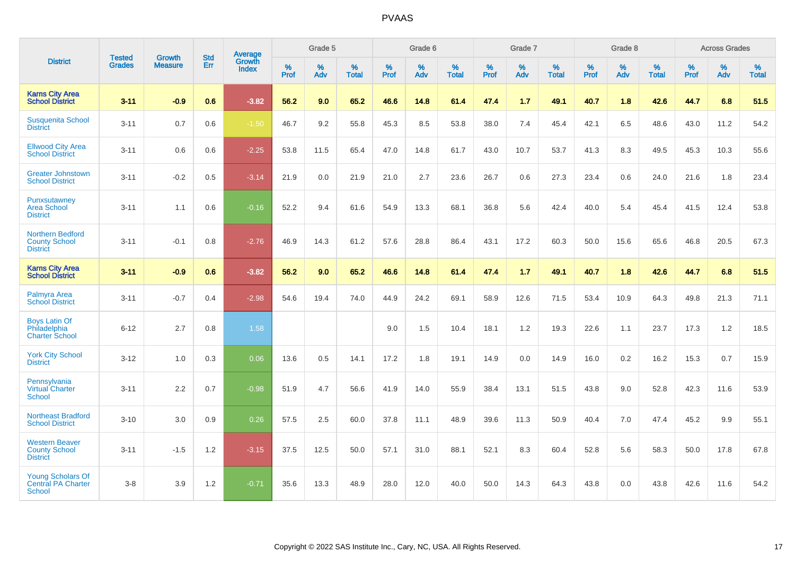|                                                                    | <b>Tested</b> | <b>Growth</b>  | <b>Std</b> | Average                |           | Grade 5  |                   |           | Grade 6  |                   |           | Grade 7  |                   |           | Grade 8  |                   |           | <b>Across Grades</b> |                   |
|--------------------------------------------------------------------|---------------|----------------|------------|------------------------|-----------|----------|-------------------|-----------|----------|-------------------|-----------|----------|-------------------|-----------|----------|-------------------|-----------|----------------------|-------------------|
| <b>District</b>                                                    | <b>Grades</b> | <b>Measure</b> | Err        | Growth<br><b>Index</b> | %<br>Prof | %<br>Adv | %<br><b>Total</b> | %<br>Prof | %<br>Adv | %<br><b>Total</b> | %<br>Prof | %<br>Adv | %<br><b>Total</b> | %<br>Prof | %<br>Adv | %<br><b>Total</b> | %<br>Prof | %<br>Adv             | %<br><b>Total</b> |
| <b>Karns City Area</b><br><b>School District</b>                   | $3 - 11$      | $-0.9$         | 0.6        | $-3.82$                | 56.2      | 9.0      | 65.2              | 46.6      | 14.8     | 61.4              | 47.4      | 1.7      | 49.1              | 40.7      | 1.8      | 42.6              | 44.7      | 6.8                  | 51.5              |
| <b>Susquenita School</b><br><b>District</b>                        | $3 - 11$      | 0.7            | 0.6        | $-1.50$                | 46.7      | 9.2      | 55.8              | 45.3      | 8.5      | 53.8              | 38.0      | 7.4      | 45.4              | 42.1      | 6.5      | 48.6              | 43.0      | 11.2                 | 54.2              |
| <b>Ellwood City Area</b><br><b>School District</b>                 | $3 - 11$      | 0.6            | 0.6        | $-2.25$                | 53.8      | 11.5     | 65.4              | 47.0      | 14.8     | 61.7              | 43.0      | 10.7     | 53.7              | 41.3      | 8.3      | 49.5              | 45.3      | 10.3                 | 55.6              |
| <b>Greater Johnstown</b><br><b>School District</b>                 | $3 - 11$      | $-0.2$         | 0.5        | $-3.14$                | 21.9      | 0.0      | 21.9              | 21.0      | 2.7      | 23.6              | 26.7      | 0.6      | 27.3              | 23.4      | 0.6      | 24.0              | 21.6      | 1.8                  | 23.4              |
| Punxsutawney<br><b>Area School</b><br><b>District</b>              | $3 - 11$      | 1.1            | 0.6        | $-0.16$                | 52.2      | 9.4      | 61.6              | 54.9      | 13.3     | 68.1              | 36.8      | 5.6      | 42.4              | 40.0      | 5.4      | 45.4              | 41.5      | 12.4                 | 53.8              |
| <b>Northern Bedford</b><br><b>County School</b><br><b>District</b> | $3 - 11$      | $-0.1$         | 0.8        | $-2.76$                | 46.9      | 14.3     | 61.2              | 57.6      | 28.8     | 86.4              | 43.1      | 17.2     | 60.3              | 50.0      | 15.6     | 65.6              | 46.8      | 20.5                 | 67.3              |
| <b>Karns City Area</b><br><b>School District</b>                   | $3 - 11$      | $-0.9$         | 0.6        | $-3.82$                | 56.2      | 9.0      | 65.2              | 46.6      | 14.8     | 61.4              | 47.4      | 1.7      | 49.1              | 40.7      | 1.8      | 42.6              | 44.7      | 6.8                  | 51.5              |
| Palmyra Area<br><b>School District</b>                             | $3 - 11$      | $-0.7$         | 0.4        | $-2.98$                | 54.6      | 19.4     | 74.0              | 44.9      | 24.2     | 69.1              | 58.9      | 12.6     | 71.5              | 53.4      | 10.9     | 64.3              | 49.8      | 21.3                 | 71.1              |
| <b>Boys Latin Of</b><br>Philadelphia<br><b>Charter School</b>      | $6 - 12$      | 2.7            | 0.8        | 1.58                   |           |          |                   | 9.0       | 1.5      | 10.4              | 18.1      | 1.2      | 19.3              | 22.6      | 1.1      | 23.7              | 17.3      | 1.2                  | 18.5              |
| <b>York City School</b><br><b>District</b>                         | $3 - 12$      | 1.0            | 0.3        | 0.06                   | 13.6      | 0.5      | 14.1              | 17.2      | 1.8      | 19.1              | 14.9      | 0.0      | 14.9              | 16.0      | 0.2      | 16.2              | 15.3      | 0.7                  | 15.9              |
| Pennsylvania<br><b>Virtual Charter</b><br><b>School</b>            | $3 - 11$      | 2.2            | 0.7        | $-0.98$                | 51.9      | 4.7      | 56.6              | 41.9      | 14.0     | 55.9              | 38.4      | 13.1     | 51.5              | 43.8      | 9.0      | 52.8              | 42.3      | 11.6                 | 53.9              |
| <b>Northeast Bradford</b><br><b>School District</b>                | $3 - 10$      | 3.0            | 0.9        | 0.26                   | 57.5      | 2.5      | 60.0              | 37.8      | 11.1     | 48.9              | 39.6      | 11.3     | 50.9              | 40.4      | 7.0      | 47.4              | 45.2      | 9.9                  | 55.1              |
| <b>Western Beaver</b><br><b>County School</b><br><b>District</b>   | $3 - 11$      | $-1.5$         | 1.2        | $-3.15$                | 37.5      | 12.5     | 50.0              | 57.1      | 31.0     | 88.1              | 52.1      | 8.3      | 60.4              | 52.8      | 5.6      | 58.3              | 50.0      | 17.8                 | 67.8              |
| <b>Young Scholars Of</b><br><b>Central PA Charter</b><br>School    | $3-8$         | 3.9            | 1.2        | $-0.71$                | 35.6      | 13.3     | 48.9              | 28.0      | 12.0     | 40.0              | 50.0      | 14.3     | 64.3              | 43.8      | 0.0      | 43.8              | 42.6      | 11.6                 | 54.2              |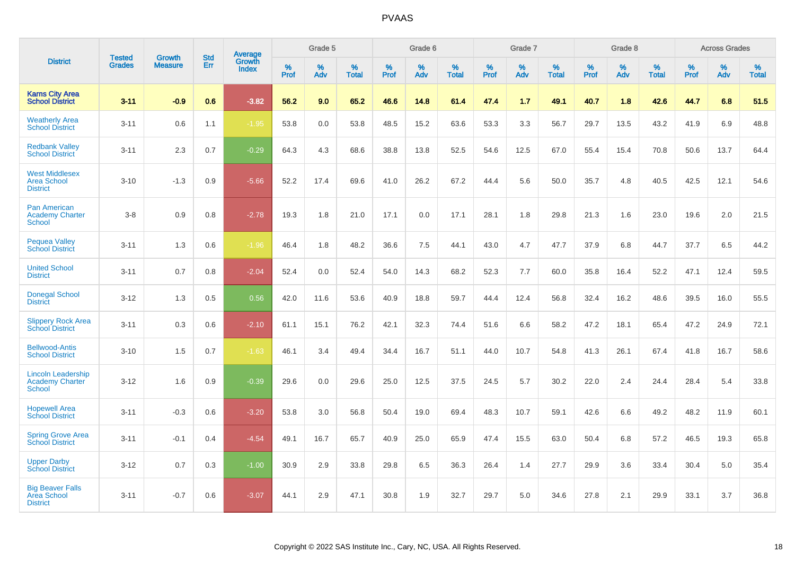|                                                                      |                                |                                 | <b>Std</b> | Average         |           | Grade 5  |                   |           | Grade 6  |                   |           | Grade 7  |                   |              | Grade 8  |                   |              | <b>Across Grades</b> |                   |
|----------------------------------------------------------------------|--------------------------------|---------------------------------|------------|-----------------|-----------|----------|-------------------|-----------|----------|-------------------|-----------|----------|-------------------|--------------|----------|-------------------|--------------|----------------------|-------------------|
| <b>District</b>                                                      | <b>Tested</b><br><b>Grades</b> | <b>Growth</b><br><b>Measure</b> | Err        | Growth<br>Index | %<br>Prof | %<br>Adv | %<br><b>Total</b> | %<br>Prof | %<br>Adv | %<br><b>Total</b> | %<br>Prof | %<br>Adv | %<br><b>Total</b> | $\%$<br>Prof | %<br>Adv | %<br><b>Total</b> | $\%$<br>Prof | %<br>Adv             | %<br><b>Total</b> |
| <b>Karns City Area</b><br><b>School District</b>                     | $3 - 11$                       | $-0.9$                          | 0.6        | $-3.82$         | 56.2      | 9.0      | 65.2              | 46.6      | 14.8     | 61.4              | 47.4      | 1.7      | 49.1              | 40.7         | 1.8      | 42.6              | 44.7         | 6.8                  | 51.5              |
| <b>Weatherly Area</b><br><b>School District</b>                      | $3 - 11$                       | 0.6                             | 1.1        | $-1.95$         | 53.8      | 0.0      | 53.8              | 48.5      | 15.2     | 63.6              | 53.3      | 3.3      | 56.7              | 29.7         | 13.5     | 43.2              | 41.9         | 6.9                  | 48.8              |
| <b>Redbank Valley</b><br><b>School District</b>                      | $3 - 11$                       | 2.3                             | 0.7        | $-0.29$         | 64.3      | 4.3      | 68.6              | 38.8      | 13.8     | 52.5              | 54.6      | 12.5     | 67.0              | 55.4         | 15.4     | 70.8              | 50.6         | 13.7                 | 64.4              |
| <b>West Middlesex</b><br><b>Area School</b><br><b>District</b>       | $3 - 10$                       | $-1.3$                          | 0.9        | $-5.66$         | 52.2      | 17.4     | 69.6              | 41.0      | 26.2     | 67.2              | 44.4      | 5.6      | 50.0              | 35.7         | 4.8      | 40.5              | 42.5         | 12.1                 | 54.6              |
| <b>Pan American</b><br><b>Academy Charter</b><br><b>School</b>       | $3 - 8$                        | 0.9                             | 0.8        | $-2.78$         | 19.3      | 1.8      | 21.0              | 17.1      | 0.0      | 17.1              | 28.1      | 1.8      | 29.8              | 21.3         | 1.6      | 23.0              | 19.6         | 2.0                  | 21.5              |
| <b>Pequea Valley</b><br><b>School District</b>                       | $3 - 11$                       | 1.3                             | 0.6        | $-1.96$         | 46.4      | 1.8      | 48.2              | 36.6      | 7.5      | 44.1              | 43.0      | 4.7      | 47.7              | 37.9         | 6.8      | 44.7              | 37.7         | 6.5                  | 44.2              |
| <b>United School</b><br><b>District</b>                              | $3 - 11$                       | 0.7                             | 0.8        | $-2.04$         | 52.4      | 0.0      | 52.4              | 54.0      | 14.3     | 68.2              | 52.3      | 7.7      | 60.0              | 35.8         | 16.4     | 52.2              | 47.1         | 12.4                 | 59.5              |
| <b>Donegal School</b><br><b>District</b>                             | $3 - 12$                       | 1.3                             | 0.5        | 0.56            | 42.0      | 11.6     | 53.6              | 40.9      | 18.8     | 59.7              | 44.4      | 12.4     | 56.8              | 32.4         | 16.2     | 48.6              | 39.5         | 16.0                 | 55.5              |
| <b>Slippery Rock Area</b><br><b>School District</b>                  | $3 - 11$                       | 0.3                             | 0.6        | $-2.10$         | 61.1      | 15.1     | 76.2              | 42.1      | 32.3     | 74.4              | 51.6      | 6.6      | 58.2              | 47.2         | 18.1     | 65.4              | 47.2         | 24.9                 | 72.1              |
| <b>Bellwood-Antis</b><br><b>School District</b>                      | $3 - 10$                       | 1.5                             | 0.7        | $-1.63$         | 46.1      | 3.4      | 49.4              | 34.4      | 16.7     | 51.1              | 44.0      | 10.7     | 54.8              | 41.3         | 26.1     | 67.4              | 41.8         | 16.7                 | 58.6              |
| <b>Lincoln Leadership</b><br><b>Academy Charter</b><br><b>School</b> | $3 - 12$                       | 1.6                             | 0.9        | $-0.39$         | 29.6      | 0.0      | 29.6              | 25.0      | 12.5     | 37.5              | 24.5      | 5.7      | 30.2              | 22.0         | 2.4      | 24.4              | 28.4         | 5.4                  | 33.8              |
| <b>Hopewell Area</b><br><b>School District</b>                       | $3 - 11$                       | $-0.3$                          | 0.6        | $-3.20$         | 53.8      | 3.0      | 56.8              | 50.4      | 19.0     | 69.4              | 48.3      | 10.7     | 59.1              | 42.6         | 6.6      | 49.2              | 48.2         | 11.9                 | 60.1              |
| <b>Spring Grove Area</b><br><b>School District</b>                   | $3 - 11$                       | $-0.1$                          | 0.4        | $-4.54$         | 49.1      | 16.7     | 65.7              | 40.9      | 25.0     | 65.9              | 47.4      | 15.5     | 63.0              | 50.4         | 6.8      | 57.2              | 46.5         | 19.3                 | 65.8              |
| <b>Upper Darby</b><br><b>School District</b>                         | $3 - 12$                       | 0.7                             | 0.3        | $-1.00$         | 30.9      | 2.9      | 33.8              | 29.8      | 6.5      | 36.3              | 26.4      | 1.4      | 27.7              | 29.9         | 3.6      | 33.4              | 30.4         | 5.0                  | 35.4              |
| <b>Big Beaver Falls</b><br>Area School<br><b>District</b>            | $3 - 11$                       | $-0.7$                          | 0.6        | $-3.07$         | 44.1      | 2.9      | 47.1              | 30.8      | 1.9      | 32.7              | 29.7      | 5.0      | 34.6              | 27.8         | 2.1      | 29.9              | 33.1         | 3.7                  | 36.8              |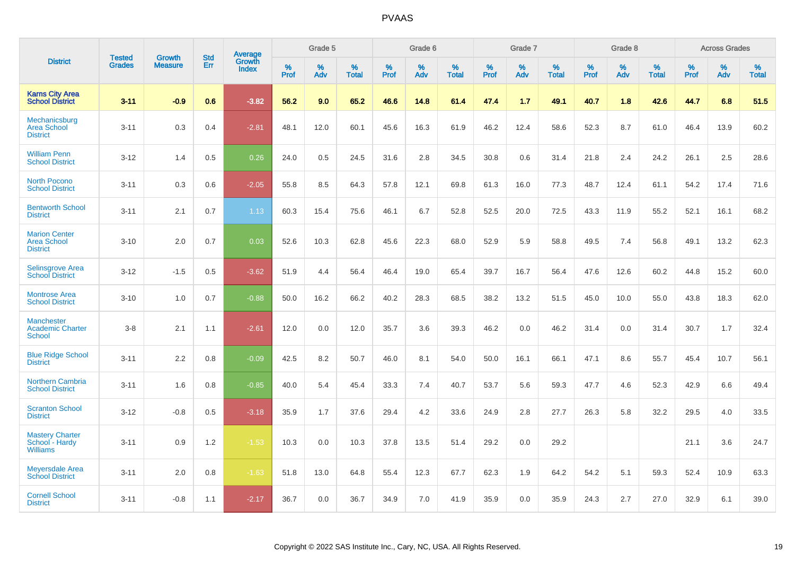|                                                               |                                | <b>Growth</b>  | <b>Std</b> |                                   |              | Grade 5  |                   |              | Grade 6  |                   |              | Grade 7  |                   |              | Grade 8  |                   |              | <b>Across Grades</b> |                   |
|---------------------------------------------------------------|--------------------------------|----------------|------------|-----------------------------------|--------------|----------|-------------------|--------------|----------|-------------------|--------------|----------|-------------------|--------------|----------|-------------------|--------------|----------------------|-------------------|
| <b>District</b>                                               | <b>Tested</b><br><b>Grades</b> | <b>Measure</b> | <b>Err</b> | <b>Average</b><br>Growth<br>Index | $\%$<br>Prof | %<br>Adv | %<br><b>Total</b> | $\%$<br>Prof | %<br>Adv | %<br><b>Total</b> | $\%$<br>Prof | %<br>Adv | %<br><b>Total</b> | $\%$<br>Prof | %<br>Adv | %<br><b>Total</b> | $\%$<br>Prof | %<br>Adv             | %<br><b>Total</b> |
| <b>Karns City Area</b><br><b>School District</b>              | $3 - 11$                       | $-0.9$         | 0.6        | $-3.82$                           | 56.2         | 9.0      | 65.2              | 46.6         | 14.8     | 61.4              | 47.4         | 1.7      | 49.1              | 40.7         | 1.8      | 42.6              | 44.7         | 6.8                  | 51.5              |
| Mechanicsburg<br><b>Area School</b><br><b>District</b>        | $3 - 11$                       | 0.3            | 0.4        | $-2.81$                           | 48.1         | 12.0     | 60.1              | 45.6         | 16.3     | 61.9              | 46.2         | 12.4     | 58.6              | 52.3         | 8.7      | 61.0              | 46.4         | 13.9                 | 60.2              |
| <b>William Penn</b><br><b>School District</b>                 | $3 - 12$                       | 1.4            | 0.5        | 0.26                              | 24.0         | 0.5      | 24.5              | 31.6         | 2.8      | 34.5              | 30.8         | 0.6      | 31.4              | 21.8         | 2.4      | 24.2              | 26.1         | 2.5                  | 28.6              |
| <b>North Pocono</b><br><b>School District</b>                 | $3 - 11$                       | 0.3            | 0.6        | $-2.05$                           | 55.8         | 8.5      | 64.3              | 57.8         | 12.1     | 69.8              | 61.3         | 16.0     | 77.3              | 48.7         | 12.4     | 61.1              | 54.2         | 17.4                 | 71.6              |
| <b>Bentworth School</b><br><b>District</b>                    | $3 - 11$                       | 2.1            | 0.7        | 1.13                              | 60.3         | 15.4     | 75.6              | 46.1         | 6.7      | 52.8              | 52.5         | 20.0     | 72.5              | 43.3         | 11.9     | 55.2              | 52.1         | 16.1                 | 68.2              |
| <b>Marion Center</b><br><b>Area School</b><br><b>District</b> | $3 - 10$                       | 2.0            | 0.7        | 0.03                              | 52.6         | 10.3     | 62.8              | 45.6         | 22.3     | 68.0              | 52.9         | 5.9      | 58.8              | 49.5         | 7.4      | 56.8              | 49.1         | 13.2                 | 62.3              |
| Selinsgrove Area<br><b>School District</b>                    | $3 - 12$                       | $-1.5$         | 0.5        | $-3.62$                           | 51.9         | 4.4      | 56.4              | 46.4         | 19.0     | 65.4              | 39.7         | 16.7     | 56.4              | 47.6         | 12.6     | 60.2              | 44.8         | 15.2                 | 60.0              |
| <b>Montrose Area</b><br><b>School District</b>                | $3 - 10$                       | 1.0            | 0.7        | $-0.88$                           | 50.0         | 16.2     | 66.2              | 40.2         | 28.3     | 68.5              | 38.2         | 13.2     | 51.5              | 45.0         | 10.0     | 55.0              | 43.8         | 18.3                 | 62.0              |
| <b>Manchester</b><br><b>Academic Charter</b><br>School        | $3 - 8$                        | 2.1            | 1.1        | $-2.61$                           | 12.0         | 0.0      | 12.0              | 35.7         | 3.6      | 39.3              | 46.2         | 0.0      | 46.2              | 31.4         | 0.0      | 31.4              | 30.7         | 1.7                  | 32.4              |
| <b>Blue Ridge School</b><br><b>District</b>                   | $3 - 11$                       | 2.2            | 0.8        | $-0.09$                           | 42.5         | 8.2      | 50.7              | 46.0         | 8.1      | 54.0              | 50.0         | 16.1     | 66.1              | 47.1         | 8.6      | 55.7              | 45.4         | 10.7                 | 56.1              |
| <b>Northern Cambria</b><br><b>School District</b>             | $3 - 11$                       | 1.6            | 0.8        | $-0.85$                           | 40.0         | 5.4      | 45.4              | 33.3         | 7.4      | 40.7              | 53.7         | 5.6      | 59.3              | 47.7         | 4.6      | 52.3              | 42.9         | 6.6                  | 49.4              |
| <b>Scranton School</b><br><b>District</b>                     | $3 - 12$                       | $-0.8$         | 0.5        | $-3.18$                           | 35.9         | 1.7      | 37.6              | 29.4         | 4.2      | 33.6              | 24.9         | 2.8      | 27.7              | 26.3         | 5.8      | 32.2              | 29.5         | 4.0                  | 33.5              |
| <b>Mastery Charter</b><br>School - Hardy<br><b>Williams</b>   | $3 - 11$                       | 0.9            | 1.2        | $-1.53$                           | 10.3         | 0.0      | 10.3              | 37.8         | 13.5     | 51.4              | 29.2         | 0.0      | 29.2              |              |          |                   | 21.1         | 3.6                  | 24.7              |
| <b>Meyersdale Area</b><br><b>School District</b>              | $3 - 11$                       | 2.0            | 0.8        | $-1.63$                           | 51.8         | 13.0     | 64.8              | 55.4         | 12.3     | 67.7              | 62.3         | 1.9      | 64.2              | 54.2         | 5.1      | 59.3              | 52.4         | 10.9                 | 63.3              |
| <b>Cornell School</b><br><b>District</b>                      | $3 - 11$                       | $-0.8$         | 1.1        | $-2.17$                           | 36.7         | 0.0      | 36.7              | 34.9         | 7.0      | 41.9              | 35.9         | 0.0      | 35.9              | 24.3         | 2.7      | 27.0              | 32.9         | 6.1                  | 39.0              |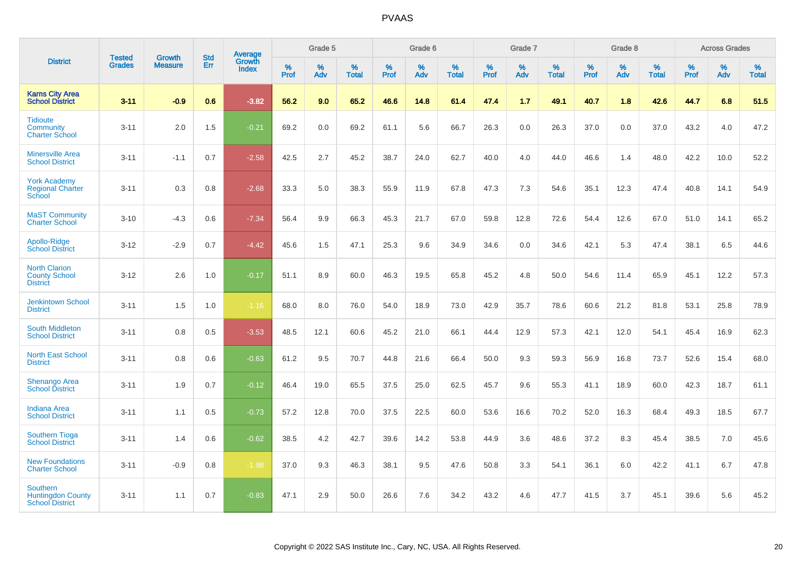|                                                                       |                                |                                 | <b>Std</b> | Average         |              | Grade 5  |                   |           | Grade 6  |                   |           | Grade 7  |                   |              | Grade 8  |                   |              | <b>Across Grades</b> |                   |
|-----------------------------------------------------------------------|--------------------------------|---------------------------------|------------|-----------------|--------------|----------|-------------------|-----------|----------|-------------------|-----------|----------|-------------------|--------------|----------|-------------------|--------------|----------------------|-------------------|
| <b>District</b>                                                       | <b>Tested</b><br><b>Grades</b> | <b>Growth</b><br><b>Measure</b> | <b>Err</b> | Growth<br>Index | $\%$<br>Prof | %<br>Adv | %<br><b>Total</b> | %<br>Prof | %<br>Adv | %<br><b>Total</b> | %<br>Prof | %<br>Adv | %<br><b>Total</b> | $\%$<br>Prof | %<br>Adv | %<br><b>Total</b> | $\%$<br>Prof | %<br>Adv             | %<br><b>Total</b> |
| <b>Karns City Area</b><br><b>School District</b>                      | $3 - 11$                       | $-0.9$                          | 0.6        | $-3.82$         | 56.2         | 9.0      | 65.2              | 46.6      | 14.8     | 61.4              | 47.4      | 1.7      | 49.1              | 40.7         | 1.8      | 42.6              | 44.7         | 6.8                  | 51.5              |
| <b>Tidioute</b><br>Community<br><b>Charter School</b>                 | $3 - 11$                       | 2.0                             | 1.5        | $-0.21$         | 69.2         | 0.0      | 69.2              | 61.1      | 5.6      | 66.7              | 26.3      | 0.0      | 26.3              | 37.0         | 0.0      | 37.0              | 43.2         | 4.0                  | 47.2              |
| <b>Minersville Area</b><br><b>School District</b>                     | $3 - 11$                       | $-1.1$                          | 0.7        | $-2.58$         | 42.5         | 2.7      | 45.2              | 38.7      | 24.0     | 62.7              | 40.0      | 4.0      | 44.0              | 46.6         | 1.4      | 48.0              | 42.2         | 10.0                 | 52.2              |
| <b>York Academy</b><br><b>Regional Charter</b><br>School              | $3 - 11$                       | 0.3                             | 0.8        | $-2.68$         | 33.3         | 5.0      | 38.3              | 55.9      | 11.9     | 67.8              | 47.3      | 7.3      | 54.6              | 35.1         | 12.3     | 47.4              | 40.8         | 14.1                 | 54.9              |
| <b>MaST Community</b><br><b>Charter School</b>                        | $3 - 10$                       | $-4.3$                          | 0.6        | $-7.34$         | 56.4         | 9.9      | 66.3              | 45.3      | 21.7     | 67.0              | 59.8      | 12.8     | 72.6              | 54.4         | 12.6     | 67.0              | 51.0         | 14.1                 | 65.2              |
| Apollo-Ridge<br><b>School District</b>                                | $3 - 12$                       | $-2.9$                          | 0.7        | $-4.42$         | 45.6         | 1.5      | 47.1              | 25.3      | 9.6      | 34.9              | 34.6      | 0.0      | 34.6              | 42.1         | 5.3      | 47.4              | 38.1         | 6.5                  | 44.6              |
| <b>North Clarion</b><br><b>County School</b><br><b>District</b>       | $3 - 12$                       | 2.6                             | 1.0        | $-0.17$         | 51.1         | 8.9      | 60.0              | 46.3      | 19.5     | 65.8              | 45.2      | 4.8      | 50.0              | 54.6         | 11.4     | 65.9              | 45.1         | 12.2                 | 57.3              |
| <b>Jenkintown School</b><br><b>District</b>                           | $3 - 11$                       | 1.5                             | 1.0        | $-1.16$         | 68.0         | 8.0      | 76.0              | 54.0      | 18.9     | 73.0              | 42.9      | 35.7     | 78.6              | 60.6         | 21.2     | 81.8              | 53.1         | 25.8                 | 78.9              |
| <b>South Middleton</b><br><b>School District</b>                      | $3 - 11$                       | 0.8                             | 0.5        | $-3.53$         | 48.5         | 12.1     | 60.6              | 45.2      | 21.0     | 66.1              | 44.4      | 12.9     | 57.3              | 42.1         | 12.0     | 54.1              | 45.4         | 16.9                 | 62.3              |
| <b>North East School</b><br><b>District</b>                           | $3 - 11$                       | 0.8                             | 0.6        | $-0.63$         | 61.2         | 9.5      | 70.7              | 44.8      | 21.6     | 66.4              | 50.0      | 9.3      | 59.3              | 56.9         | 16.8     | 73.7              | 52.6         | 15.4                 | 68.0              |
| <b>Shenango Area</b><br><b>School District</b>                        | $3 - 11$                       | 1.9                             | 0.7        | $-0.12$         | 46.4         | 19.0     | 65.5              | 37.5      | 25.0     | 62.5              | 45.7      | 9.6      | 55.3              | 41.1         | 18.9     | 60.0              | 42.3         | 18.7                 | 61.1              |
| <b>Indiana Area</b><br><b>School District</b>                         | $3 - 11$                       | 1.1                             | 0.5        | $-0.73$         | 57.2         | 12.8     | 70.0              | 37.5      | 22.5     | 60.0              | 53.6      | 16.6     | 70.2              | 52.0         | 16.3     | 68.4              | 49.3         | 18.5                 | 67.7              |
| <b>Southern Tioga</b><br><b>School District</b>                       | $3 - 11$                       | 1.4                             | 0.6        | $-0.62$         | 38.5         | 4.2      | 42.7              | 39.6      | 14.2     | 53.8              | 44.9      | 3.6      | 48.6              | 37.2         | 8.3      | 45.4              | 38.5         | 7.0                  | 45.6              |
| <b>New Foundations</b><br><b>Charter School</b>                       | $3 - 11$                       | $-0.9$                          | 0.8        | $-1.98$         | 37.0         | 9.3      | 46.3              | 38.1      | 9.5      | 47.6              | 50.8      | 3.3      | 54.1              | 36.1         | 6.0      | 42.2              | 41.1         | 6.7                  | 47.8              |
| <b>Southern</b><br><b>Huntingdon County</b><br><b>School District</b> | $3 - 11$                       | 1.1                             | 0.7        | $-0.83$         | 47.1         | 2.9      | 50.0              | 26.6      | 7.6      | 34.2              | 43.2      | 4.6      | 47.7              | 41.5         | 3.7      | 45.1              | 39.6         | 5.6                  | 45.2              |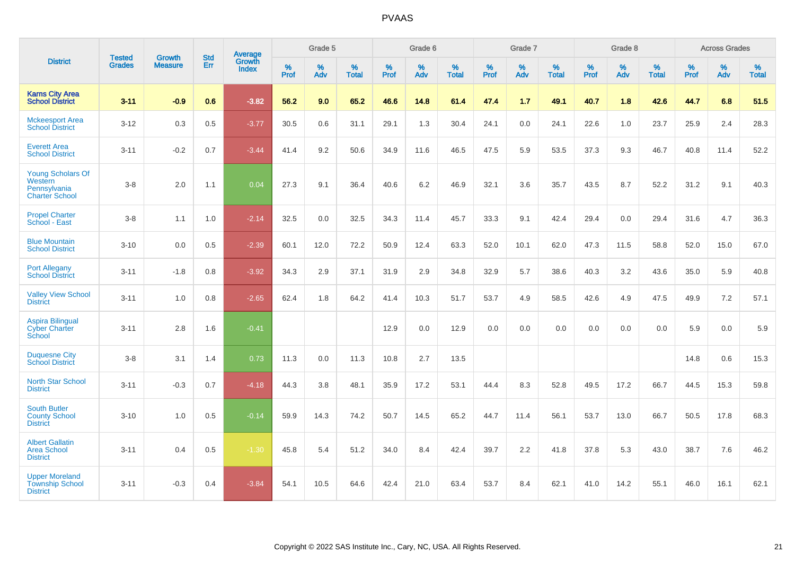|                                                                              |                                |                                 | <b>Std</b> | Average                |           | Grade 5  |                   |           | Grade 6  |                   |           | Grade 7  |                   |           | Grade 8  |                   |           | <b>Across Grades</b> |                   |
|------------------------------------------------------------------------------|--------------------------------|---------------------------------|------------|------------------------|-----------|----------|-------------------|-----------|----------|-------------------|-----------|----------|-------------------|-----------|----------|-------------------|-----------|----------------------|-------------------|
| <b>District</b>                                                              | <b>Tested</b><br><b>Grades</b> | <b>Growth</b><br><b>Measure</b> | Err        | Growth<br><b>Index</b> | %<br>Prof | %<br>Adv | %<br><b>Total</b> | %<br>Prof | %<br>Adv | %<br><b>Total</b> | %<br>Prof | %<br>Adv | %<br><b>Total</b> | %<br>Prof | %<br>Adv | %<br><b>Total</b> | %<br>Prof | %<br>Adv             | %<br><b>Total</b> |
| <b>Karns City Area</b><br><b>School District</b>                             | $3 - 11$                       | $-0.9$                          | 0.6        | $-3.82$                | 56.2      | 9.0      | 65.2              | 46.6      | 14.8     | 61.4              | 47.4      | 1.7      | 49.1              | 40.7      | 1.8      | 42.6              | 44.7      | 6.8                  | 51.5              |
| <b>Mckeesport Area</b><br><b>School District</b>                             | $3 - 12$                       | 0.3                             | 0.5        | $-3.77$                | 30.5      | 0.6      | 31.1              | 29.1      | 1.3      | 30.4              | 24.1      | 0.0      | 24.1              | 22.6      | 1.0      | 23.7              | 25.9      | 2.4                  | 28.3              |
| <b>Everett Area</b><br><b>School District</b>                                | $3 - 11$                       | $-0.2$                          | 0.7        | $-3.44$                | 41.4      | 9.2      | 50.6              | 34.9      | 11.6     | 46.5              | 47.5      | 5.9      | 53.5              | 37.3      | 9.3      | 46.7              | 40.8      | 11.4                 | 52.2              |
| <b>Young Scholars Of</b><br>Western<br>Pennsylvania<br><b>Charter School</b> | $3-8$                          | 2.0                             | 1.1        | 0.04                   | 27.3      | 9.1      | 36.4              | 40.6      | 6.2      | 46.9              | 32.1      | 3.6      | 35.7              | 43.5      | 8.7      | 52.2              | 31.2      | 9.1                  | 40.3              |
| <b>Propel Charter</b><br>School - East                                       | $3-8$                          | 1.1                             | 1.0        | $-2.14$                | 32.5      | 0.0      | 32.5              | 34.3      | 11.4     | 45.7              | 33.3      | 9.1      | 42.4              | 29.4      | 0.0      | 29.4              | 31.6      | 4.7                  | 36.3              |
| <b>Blue Mountain</b><br><b>School District</b>                               | $3 - 10$                       | 0.0                             | 0.5        | $-2.39$                | 60.1      | 12.0     | 72.2              | 50.9      | 12.4     | 63.3              | 52.0      | 10.1     | 62.0              | 47.3      | 11.5     | 58.8              | 52.0      | 15.0                 | 67.0              |
| <b>Port Allegany</b><br><b>School District</b>                               | $3 - 11$                       | $-1.8$                          | 0.8        | $-3.92$                | 34.3      | 2.9      | 37.1              | 31.9      | 2.9      | 34.8              | 32.9      | 5.7      | 38.6              | 40.3      | 3.2      | 43.6              | 35.0      | 5.9                  | 40.8              |
| <b>Valley View School</b><br><b>District</b>                                 | $3 - 11$                       | 1.0                             | 0.8        | $-2.65$                | 62.4      | 1.8      | 64.2              | 41.4      | 10.3     | 51.7              | 53.7      | 4.9      | 58.5              | 42.6      | 4.9      | 47.5              | 49.9      | 7.2                  | 57.1              |
| <b>Aspira Bilingual</b><br><b>Cyber Charter</b><br>School                    | $3 - 11$                       | 2.8                             | 1.6        | $-0.41$                |           |          |                   | 12.9      | 0.0      | 12.9              | 0.0       | 0.0      | 0.0               | 0.0       | 0.0      | 0.0               | 5.9       | 0.0                  | 5.9               |
| <b>Duquesne City</b><br><b>School District</b>                               | $3-8$                          | 3.1                             | 1.4        | 0.73                   | 11.3      | 0.0      | 11.3              | 10.8      | 2.7      | 13.5              |           |          |                   |           |          |                   | 14.8      | 0.6                  | 15.3              |
| <b>North Star School</b><br><b>District</b>                                  | $3 - 11$                       | $-0.3$                          | 0.7        | $-4.18$                | 44.3      | 3.8      | 48.1              | 35.9      | 17.2     | 53.1              | 44.4      | 8.3      | 52.8              | 49.5      | 17.2     | 66.7              | 44.5      | 15.3                 | 59.8              |
| <b>South Butler</b><br><b>County School</b><br><b>District</b>               | $3 - 10$                       | 1.0                             | 0.5        | $-0.14$                | 59.9      | 14.3     | 74.2              | 50.7      | 14.5     | 65.2              | 44.7      | 11.4     | 56.1              | 53.7      | 13.0     | 66.7              | 50.5      | 17.8                 | 68.3              |
| <b>Albert Gallatin</b><br>Area School<br><b>District</b>                     | $3 - 11$                       | 0.4                             | 0.5        | $-1.30$                | 45.8      | 5.4      | 51.2              | 34.0      | 8.4      | 42.4              | 39.7      | 2.2      | 41.8              | 37.8      | 5.3      | 43.0              | 38.7      | 7.6                  | 46.2              |
| <b>Upper Moreland</b><br><b>Township School</b><br><b>District</b>           | $3 - 11$                       | $-0.3$                          | 0.4        | $-3.84$                | 54.1      | 10.5     | 64.6              | 42.4      | 21.0     | 63.4              | 53.7      | 8.4      | 62.1              | 41.0      | 14.2     | 55.1              | 46.0      | 16.1                 | 62.1              |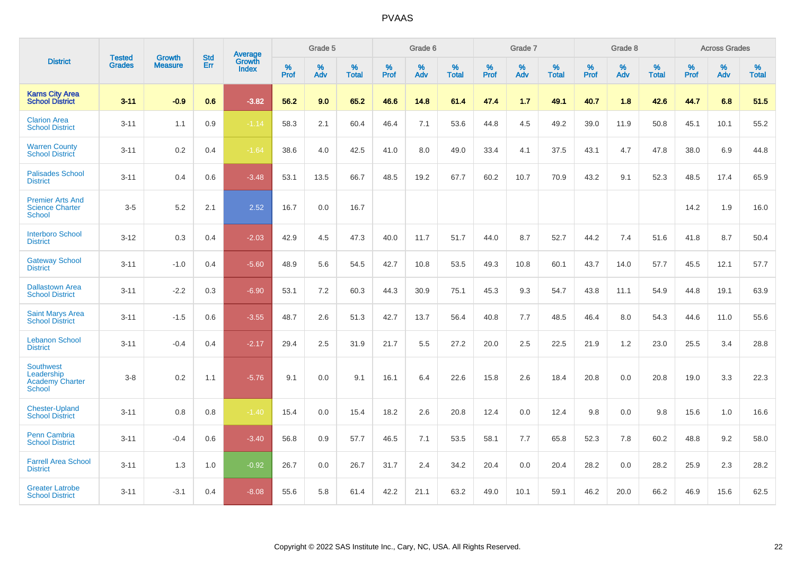|                                                                           |                                |                                 | <b>Std</b> | Average                       |           | Grade 5  |                   |           | Grade 6  |                   |           | Grade 7  |                   |           | Grade 8  |                   |           | <b>Across Grades</b> |                   |
|---------------------------------------------------------------------------|--------------------------------|---------------------------------|------------|-------------------------------|-----------|----------|-------------------|-----------|----------|-------------------|-----------|----------|-------------------|-----------|----------|-------------------|-----------|----------------------|-------------------|
| <b>District</b>                                                           | <b>Tested</b><br><b>Grades</b> | <b>Growth</b><br><b>Measure</b> | Err        | <b>Growth</b><br><b>Index</b> | %<br>Prof | %<br>Adv | %<br><b>Total</b> | %<br>Prof | %<br>Adv | %<br><b>Total</b> | %<br>Prof | %<br>Adv | %<br><b>Total</b> | %<br>Prof | %<br>Adv | %<br><b>Total</b> | %<br>Prof | %<br>Adv             | %<br><b>Total</b> |
| <b>Karns City Area</b><br><b>School District</b>                          | $3 - 11$                       | $-0.9$                          | 0.6        | $-3.82$                       | 56.2      | 9.0      | 65.2              | 46.6      | 14.8     | 61.4              | 47.4      | 1.7      | 49.1              | 40.7      | 1.8      | 42.6              | 44.7      | 6.8                  | 51.5              |
| <b>Clarion Area</b><br><b>School District</b>                             | $3 - 11$                       | 1.1                             | 0.9        | $-1.14$                       | 58.3      | 2.1      | 60.4              | 46.4      | 7.1      | 53.6              | 44.8      | 4.5      | 49.2              | 39.0      | 11.9     | 50.8              | 45.1      | 10.1                 | 55.2              |
| <b>Warren County</b><br><b>School District</b>                            | $3 - 11$                       | 0.2                             | 0.4        | $-1.64$                       | 38.6      | 4.0      | 42.5              | 41.0      | 8.0      | 49.0              | 33.4      | 4.1      | 37.5              | 43.1      | 4.7      | 47.8              | 38.0      | 6.9                  | 44.8              |
| <b>Palisades School</b><br><b>District</b>                                | $3 - 11$                       | 0.4                             | 0.6        | $-3.48$                       | 53.1      | 13.5     | 66.7              | 48.5      | 19.2     | 67.7              | 60.2      | 10.7     | 70.9              | 43.2      | 9.1      | 52.3              | 48.5      | 17.4                 | 65.9              |
| <b>Premier Arts And</b><br><b>Science Charter</b><br><b>School</b>        | $3-5$                          | 5.2                             | 2.1        | 2.52                          | 16.7      | 0.0      | 16.7              |           |          |                   |           |          |                   |           |          |                   | 14.2      | 1.9                  | 16.0              |
| <b>Interboro School</b><br><b>District</b>                                | $3 - 12$                       | 0.3                             | 0.4        | $-2.03$                       | 42.9      | 4.5      | 47.3              | 40.0      | 11.7     | 51.7              | 44.0      | 8.7      | 52.7              | 44.2      | 7.4      | 51.6              | 41.8      | 8.7                  | 50.4              |
| <b>Gateway School</b><br><b>District</b>                                  | $3 - 11$                       | $-1.0$                          | 0.4        | $-5.60$                       | 48.9      | 5.6      | 54.5              | 42.7      | 10.8     | 53.5              | 49.3      | 10.8     | 60.1              | 43.7      | 14.0     | 57.7              | 45.5      | 12.1                 | 57.7              |
| <b>Dallastown Area</b><br><b>School District</b>                          | $3 - 11$                       | $-2.2$                          | 0.3        | $-6.90$                       | 53.1      | 7.2      | 60.3              | 44.3      | 30.9     | 75.1              | 45.3      | 9.3      | 54.7              | 43.8      | 11.1     | 54.9              | 44.8      | 19.1                 | 63.9              |
| <b>Saint Marys Area</b><br><b>School District</b>                         | $3 - 11$                       | $-1.5$                          | 0.6        | $-3.55$                       | 48.7      | 2.6      | 51.3              | 42.7      | 13.7     | 56.4              | 40.8      | 7.7      | 48.5              | 46.4      | 8.0      | 54.3              | 44.6      | 11.0                 | 55.6              |
| <b>Lebanon School</b><br><b>District</b>                                  | $3 - 11$                       | $-0.4$                          | 0.4        | $-2.17$                       | 29.4      | 2.5      | 31.9              | 21.7      | 5.5      | 27.2              | 20.0      | 2.5      | 22.5              | 21.9      | 1.2      | 23.0              | 25.5      | 3.4                  | 28.8              |
| <b>Southwest</b><br>Leadership<br><b>Academy Charter</b><br><b>School</b> | $3 - 8$                        | 0.2                             | 1.1        | $-5.76$                       | 9.1       | 0.0      | 9.1               | 16.1      | 6.4      | 22.6              | 15.8      | 2.6      | 18.4              | 20.8      | 0.0      | 20.8              | 19.0      | 3.3                  | 22.3              |
| <b>Chester-Upland</b><br><b>School District</b>                           | $3 - 11$                       | 0.8                             | 0.8        | $-1.40$                       | 15.4      | 0.0      | 15.4              | 18.2      | 2.6      | 20.8              | 12.4      | 0.0      | 12.4              | 9.8       | 0.0      | 9.8               | 15.6      | 1.0                  | 16.6              |
| Penn Cambria<br><b>School District</b>                                    | $3 - 11$                       | $-0.4$                          | 0.6        | $-3.40$                       | 56.8      | 0.9      | 57.7              | 46.5      | 7.1      | 53.5              | 58.1      | 7.7      | 65.8              | 52.3      | 7.8      | 60.2              | 48.8      | 9.2                  | 58.0              |
| <b>Farrell Area School</b><br><b>District</b>                             | $3 - 11$                       | 1.3                             | 1.0        | $-0.92$                       | 26.7      | 0.0      | 26.7              | 31.7      | 2.4      | 34.2              | 20.4      | 0.0      | 20.4              | 28.2      | 0.0      | 28.2              | 25.9      | 2.3                  | 28.2              |
| <b>Greater Latrobe</b><br><b>School District</b>                          | $3 - 11$                       | $-3.1$                          | 0.4        | $-8.08$                       | 55.6      | 5.8      | 61.4              | 42.2      | 21.1     | 63.2              | 49.0      | 10.1     | 59.1              | 46.2      | 20.0     | 66.2              | 46.9      | 15.6                 | 62.5              |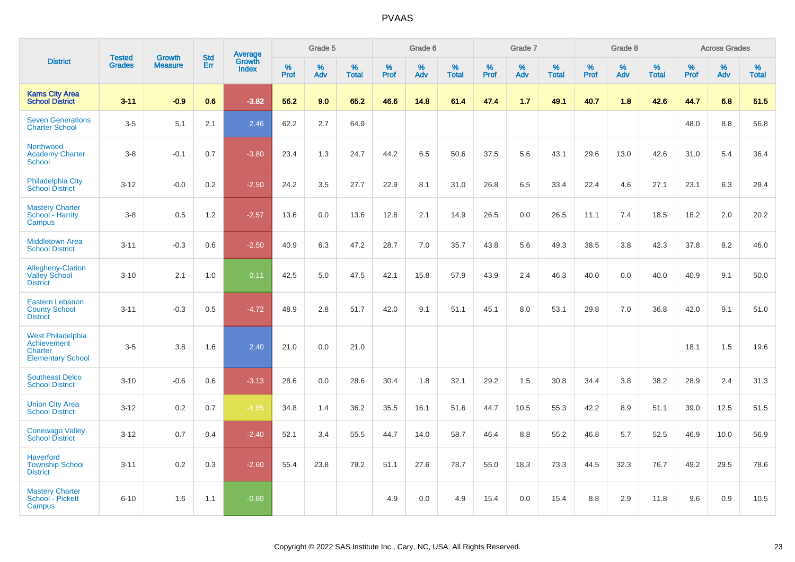|                                                                                |                                |                                 |                   | Average                |                     | Grade 5     |                   |              | Grade 6  |                      |                     | Grade 7  |                      |              | Grade 8  |                   |              | <b>Across Grades</b> |                   |
|--------------------------------------------------------------------------------|--------------------------------|---------------------------------|-------------------|------------------------|---------------------|-------------|-------------------|--------------|----------|----------------------|---------------------|----------|----------------------|--------------|----------|-------------------|--------------|----------------------|-------------------|
| <b>District</b>                                                                | <b>Tested</b><br><b>Grades</b> | <b>Growth</b><br><b>Measure</b> | <b>Std</b><br>Err | Growth<br><b>Index</b> | $\%$<br><b>Prof</b> | $\%$<br>Adv | %<br><b>Total</b> | $\%$<br>Prof | %<br>Adv | $\%$<br><b>Total</b> | $\%$<br><b>Prof</b> | %<br>Adv | $\%$<br><b>Total</b> | $\%$<br>Prof | %<br>Adv | %<br><b>Total</b> | $\%$<br>Prof | %<br>Adv             | %<br><b>Total</b> |
| <b>Karns City Area</b><br><b>School District</b>                               | $3 - 11$                       | $-0.9$                          | 0.6               | $-3.82$                | 56.2                | 9.0         | 65.2              | 46.6         | 14.8     | 61.4                 | 47.4                | 1.7      | 49.1                 | 40.7         | 1.8      | 42.6              | 44.7         | 6.8                  | 51.5              |
| <b>Seven Generations</b><br><b>Charter School</b>                              | $3-5$                          | 5.1                             | 2.1               | 2.46                   | 62.2                | 2.7         | 64.9              |              |          |                      |                     |          |                      |              |          |                   | 48.0         | 8.8                  | 56.8              |
| Northwood<br><b>Academy Charter</b><br>School                                  | $3-8$                          | $-0.1$                          | 0.7               | $-3.80$                | 23.4                | 1.3         | 24.7              | 44.2         | 6.5      | 50.6                 | 37.5                | 5.6      | 43.1                 | 29.6         | 13.0     | 42.6              | 31.0         | 5.4                  | 36.4              |
| <b>Philadelphia City</b><br><b>School District</b>                             | $3 - 12$                       | $-0.0$                          | 0.2               | $-2.50$                | 24.2                | 3.5         | 27.7              | 22.9         | 8.1      | 31.0                 | 26.8                | 6.5      | 33.4                 | 22.4         | 4.6      | 27.1              | 23.1         | 6.3                  | 29.4              |
| <b>Mastery Charter</b><br>School - Harrity<br>Campus                           | $3-8$                          | 0.5                             | 1.2               | $-2.57$                | 13.6                | 0.0         | 13.6              | 12.8         | 2.1      | 14.9                 | 26.5                | 0.0      | 26.5                 | 11.1         | 7.4      | 18.5              | 18.2         | 2.0                  | 20.2              |
| <b>Middletown Area</b><br><b>School District</b>                               | $3 - 11$                       | $-0.3$                          | 0.6               | $-2.50$                | 40.9                | 6.3         | 47.2              | 28.7         | 7.0      | 35.7                 | 43.8                | 5.6      | 49.3                 | 38.5         | 3.8      | 42.3              | 37.8         | 8.2                  | 46.0              |
| <b>Allegheny-Clarion</b><br><b>Valley School</b><br><b>District</b>            | $3 - 10$                       | 2.1                             | 1.0               | 0.11                   | 42.5                | 5.0         | 47.5              | 42.1         | 15.8     | 57.9                 | 43.9                | 2.4      | 46.3                 | 40.0         | 0.0      | 40.0              | 40.9         | 9.1                  | 50.0              |
| <b>Eastern Lebanon</b><br><b>County School</b><br><b>District</b>              | $3 - 11$                       | $-0.3$                          | 0.5               | $-4.72$                | 48.9                | 2.8         | 51.7              | 42.0         | 9.1      | 51.1                 | 45.1                | 8.0      | 53.1                 | 29.8         | 7.0      | 36.8              | 42.0         | 9.1                  | 51.0              |
| <b>West Philadelphia</b><br>Achievement<br>Charter<br><b>Elementary School</b> | $3-5$                          | 3.8                             | 1.6               | 2.40                   | 21.0                | 0.0         | 21.0              |              |          |                      |                     |          |                      |              |          |                   | 18.1         | 1.5                  | 19.6              |
| <b>Southeast Delco</b><br><b>School District</b>                               | $3 - 10$                       | $-0.6$                          | 0.6               | $-3.13$                | 28.6                | 0.0         | 28.6              | 30.4         | 1.8      | 32.1                 | 29.2                | 1.5      | 30.8                 | 34.4         | 3.8      | 38.2              | 28.9         | 2.4                  | 31.3              |
| <b>Union City Area</b><br><b>School District</b>                               | $3 - 12$                       | 0.2                             | 0.7               | $-1.85$                | 34.8                | 1.4         | 36.2              | 35.5         | 16.1     | 51.6                 | 44.7                | 10.5     | 55.3                 | 42.2         | 8.9      | 51.1              | 39.0         | 12.5                 | 51.5              |
| <b>Conewago Valley</b><br><b>School District</b>                               | $3 - 12$                       | 0.7                             | 0.4               | $-2.40$                | 52.1                | 3.4         | 55.5              | 44.7         | 14.0     | 58.7                 | 46.4                | 8.8      | 55.2                 | 46.8         | 5.7      | 52.5              | 46.9         | 10.0                 | 56.9              |
| <b>Haverford</b><br><b>Township School</b><br><b>District</b>                  | $3 - 11$                       | 0.2                             | 0.3               | $-2.60$                | 55.4                | 23.8        | 79.2              | 51.1         | 27.6     | 78.7                 | 55.0                | 18.3     | 73.3                 | 44.5         | 32.3     | 76.7              | 49.2         | 29.5                 | 78.6              |
| <b>Mastery Charter</b><br>School - Pickett<br>Campus                           | $6 - 10$                       | 1.6                             | 1.1               | $-0.80$                |                     |             |                   | 4.9          | 0.0      | 4.9                  | 15.4                | 0.0      | 15.4                 | 8.8          | 2.9      | 11.8              | 9.6          | 0.9                  | 10.5              |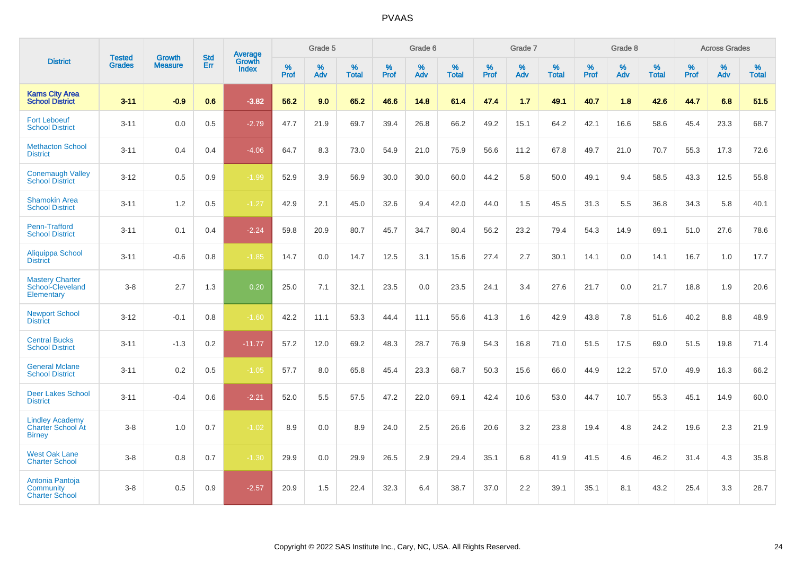|                                                                     | <b>Tested</b> | <b>Growth</b>  | <b>Std</b> | <b>Average</b>         |           | Grade 5  |                   |           | Grade 6  |                   |           | Grade 7  |                   |           | Grade 8  |                   |           | <b>Across Grades</b> |                   |
|---------------------------------------------------------------------|---------------|----------------|------------|------------------------|-----------|----------|-------------------|-----------|----------|-------------------|-----------|----------|-------------------|-----------|----------|-------------------|-----------|----------------------|-------------------|
| <b>District</b>                                                     | <b>Grades</b> | <b>Measure</b> | Err        | Growth<br><b>Index</b> | %<br>Prof | %<br>Adv | %<br><b>Total</b> | %<br>Prof | %<br>Adv | %<br><b>Total</b> | %<br>Prof | %<br>Adv | %<br><b>Total</b> | %<br>Prof | %<br>Adv | %<br><b>Total</b> | %<br>Prof | %<br>Adv             | %<br><b>Total</b> |
| <b>Karns City Area</b><br><b>School District</b>                    | $3 - 11$      | $-0.9$         | 0.6        | $-3.82$                | 56.2      | 9.0      | 65.2              | 46.6      | 14.8     | 61.4              | 47.4      | 1.7      | 49.1              | 40.7      | 1.8      | 42.6              | 44.7      | 6.8                  | 51.5              |
| <b>Fort Leboeuf</b><br><b>School District</b>                       | $3 - 11$      | 0.0            | 0.5        | $-2.79$                | 47.7      | 21.9     | 69.7              | 39.4      | 26.8     | 66.2              | 49.2      | 15.1     | 64.2              | 42.1      | 16.6     | 58.6              | 45.4      | 23.3                 | 68.7              |
| <b>Methacton School</b><br><b>District</b>                          | $3 - 11$      | 0.4            | 0.4        | $-4.06$                | 64.7      | 8.3      | 73.0              | 54.9      | 21.0     | 75.9              | 56.6      | 11.2     | 67.8              | 49.7      | 21.0     | 70.7              | 55.3      | 17.3                 | 72.6              |
| <b>Conemaugh Valley</b><br><b>School District</b>                   | $3 - 12$      | 0.5            | 0.9        | $-1.99$                | 52.9      | 3.9      | 56.9              | 30.0      | 30.0     | 60.0              | 44.2      | 5.8      | 50.0              | 49.1      | 9.4      | 58.5              | 43.3      | 12.5                 | 55.8              |
| <b>Shamokin Area</b><br><b>School District</b>                      | $3 - 11$      | 1.2            | 0.5        | $-1.27$                | 42.9      | 2.1      | 45.0              | 32.6      | 9.4      | 42.0              | 44.0      | 1.5      | 45.5              | 31.3      | 5.5      | 36.8              | 34.3      | 5.8                  | 40.1              |
| Penn-Trafford<br><b>School District</b>                             | $3 - 11$      | 0.1            | 0.4        | $-2.24$                | 59.8      | 20.9     | 80.7              | 45.7      | 34.7     | 80.4              | 56.2      | 23.2     | 79.4              | 54.3      | 14.9     | 69.1              | 51.0      | 27.6                 | 78.6              |
| Aliquippa School<br><b>District</b>                                 | $3 - 11$      | $-0.6$         | 0.8        | $-1.85$                | 14.7      | 0.0      | 14.7              | 12.5      | 3.1      | 15.6              | 27.4      | 2.7      | 30.1              | 14.1      | 0.0      | 14.1              | 16.7      | 1.0                  | 17.7              |
| <b>Mastery Charter</b><br>School-Cleveland<br>Elementary            | $3-8$         | 2.7            | 1.3        | 0.20                   | 25.0      | 7.1      | 32.1              | 23.5      | 0.0      | 23.5              | 24.1      | 3.4      | 27.6              | 21.7      | 0.0      | 21.7              | 18.8      | 1.9                  | 20.6              |
| <b>Newport School</b><br><b>District</b>                            | $3 - 12$      | $-0.1$         | 0.8        | $-1.60$                | 42.2      | 11.1     | 53.3              | 44.4      | 11.1     | 55.6              | 41.3      | 1.6      | 42.9              | 43.8      | 7.8      | 51.6              | 40.2      | 8.8                  | 48.9              |
| <b>Central Bucks</b><br><b>School District</b>                      | $3 - 11$      | $-1.3$         | 0.2        | $-11.77$               | 57.2      | 12.0     | 69.2              | 48.3      | 28.7     | 76.9              | 54.3      | 16.8     | 71.0              | 51.5      | 17.5     | 69.0              | 51.5      | 19.8                 | 71.4              |
| <b>General Mclane</b><br><b>School District</b>                     | $3 - 11$      | 0.2            | 0.5        | $-1.05$                | 57.7      | 8.0      | 65.8              | 45.4      | 23.3     | 68.7              | 50.3      | 15.6     | 66.0              | 44.9      | 12.2     | 57.0              | 49.9      | 16.3                 | 66.2              |
| <b>Deer Lakes School</b><br><b>District</b>                         | $3 - 11$      | $-0.4$         | 0.6        | $-2.21$                | 52.0      | 5.5      | 57.5              | 47.2      | 22.0     | 69.1              | 42.4      | 10.6     | 53.0              | 44.7      | 10.7     | 55.3              | 45.1      | 14.9                 | 60.0              |
| <b>Lindley Academy</b><br><b>Charter School At</b><br><b>Birney</b> | $3-8$         | 1.0            | 0.7        | $-1.02$                | 8.9       | 0.0      | 8.9               | 24.0      | 2.5      | 26.6              | 20.6      | 3.2      | 23.8              | 19.4      | 4.8      | 24.2              | 19.6      | 2.3                  | 21.9              |
| <b>West Oak Lane</b><br><b>Charter School</b>                       | $3-8$         | 0.8            | 0.7        | $-1.30$                | 29.9      | 0.0      | 29.9              | 26.5      | 2.9      | 29.4              | 35.1      | 6.8      | 41.9              | 41.5      | 4.6      | 46.2              | 31.4      | 4.3                  | 35.8              |
| Antonia Pantoja<br>Community<br><b>Charter School</b>               | $3-8$         | 0.5            | 0.9        | $-2.57$                | 20.9      | 1.5      | 22.4              | 32.3      | 6.4      | 38.7              | 37.0      | 2.2      | 39.1              | 35.1      | 8.1      | 43.2              | 25.4      | 3.3                  | 28.7              |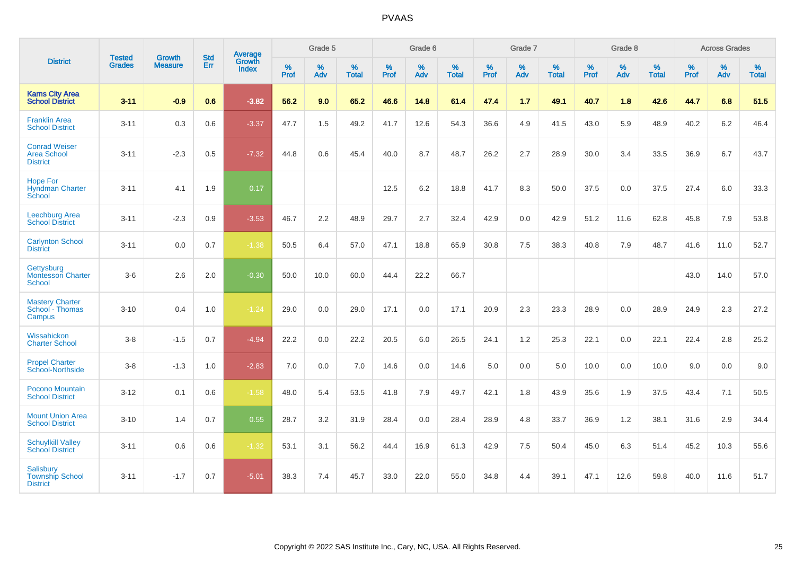|                                                               | <b>Tested</b> | <b>Growth</b>  | <b>Std</b> | Average                |                     | Grade 5  |                   |                     | Grade 6  |                   |              | Grade 7  |                   |                     | Grade 8  |                   |                     | <b>Across Grades</b> |                   |
|---------------------------------------------------------------|---------------|----------------|------------|------------------------|---------------------|----------|-------------------|---------------------|----------|-------------------|--------------|----------|-------------------|---------------------|----------|-------------------|---------------------|----------------------|-------------------|
| <b>District</b>                                               | <b>Grades</b> | <b>Measure</b> | Err        | Growth<br><b>Index</b> | $\%$<br><b>Prof</b> | %<br>Adv | %<br><b>Total</b> | $\%$<br><b>Prof</b> | %<br>Adv | %<br><b>Total</b> | $\%$<br>Prof | %<br>Adv | %<br><b>Total</b> | $\%$<br><b>Prof</b> | %<br>Adv | %<br><b>Total</b> | $\%$<br><b>Prof</b> | %<br>Adv             | %<br><b>Total</b> |
| <b>Karns City Area</b><br><b>School District</b>              | $3 - 11$      | $-0.9$         | 0.6        | $-3.82$                | 56.2                | 9.0      | 65.2              | 46.6                | 14.8     | 61.4              | 47.4         | 1.7      | 49.1              | 40.7                | 1.8      | 42.6              | 44.7                | 6.8                  | 51.5              |
| <b>Franklin Area</b><br><b>School District</b>                | $3 - 11$      | 0.3            | 0.6        | $-3.37$                | 47.7                | 1.5      | 49.2              | 41.7                | 12.6     | 54.3              | 36.6         | 4.9      | 41.5              | 43.0                | 5.9      | 48.9              | 40.2                | 6.2                  | 46.4              |
| <b>Conrad Weiser</b><br><b>Area School</b><br><b>District</b> | $3 - 11$      | $-2.3$         | 0.5        | $-7.32$                | 44.8                | 0.6      | 45.4              | 40.0                | 8.7      | 48.7              | 26.2         | 2.7      | 28.9              | 30.0                | 3.4      | 33.5              | 36.9                | 6.7                  | 43.7              |
| <b>Hope For</b><br><b>Hyndman Charter</b><br>School           | $3 - 11$      | 4.1            | 1.9        | 0.17                   |                     |          |                   | 12.5                | 6.2      | 18.8              | 41.7         | 8.3      | 50.0              | 37.5                | 0.0      | 37.5              | 27.4                | 6.0                  | 33.3              |
| Leechburg Area<br><b>School District</b>                      | $3 - 11$      | $-2.3$         | 0.9        | $-3.53$                | 46.7                | 2.2      | 48.9              | 29.7                | 2.7      | 32.4              | 42.9         | 0.0      | 42.9              | 51.2                | 11.6     | 62.8              | 45.8                | 7.9                  | 53.8              |
| <b>Carlynton School</b><br><b>District</b>                    | $3 - 11$      | 0.0            | 0.7        | $-1.38$                | 50.5                | 6.4      | 57.0              | 47.1                | 18.8     | 65.9              | 30.8         | 7.5      | 38.3              | 40.8                | 7.9      | 48.7              | 41.6                | 11.0                 | 52.7              |
| Gettysburg<br><b>Montessori Charter</b><br>School             | $3-6$         | 2.6            | 2.0        | $-0.30$                | 50.0                | 10.0     | 60.0              | 44.4                | 22.2     | 66.7              |              |          |                   |                     |          |                   | 43.0                | 14.0                 | 57.0              |
| <b>Mastery Charter</b><br>School - Thomas<br>Campus           | $3 - 10$      | 0.4            | 1.0        | $-1.24$                | 29.0                | 0.0      | 29.0              | 17.1                | 0.0      | 17.1              | 20.9         | 2.3      | 23.3              | 28.9                | 0.0      | 28.9              | 24.9                | 2.3                  | 27.2              |
| Wissahickon<br><b>Charter School</b>                          | $3 - 8$       | $-1.5$         | 0.7        | $-4.94$                | 22.2                | 0.0      | 22.2              | 20.5                | 6.0      | 26.5              | 24.1         | 1.2      | 25.3              | 22.1                | 0.0      | 22.1              | 22.4                | 2.8                  | 25.2              |
| <b>Propel Charter</b><br>School-Northside                     | $3 - 8$       | $-1.3$         | 1.0        | $-2.83$                | $7.0\,$             | 0.0      | 7.0               | 14.6                | 0.0      | 14.6              | 5.0          | 0.0      | 5.0               | 10.0                | 0.0      | 10.0              | 9.0                 | 0.0                  | 9.0               |
| Pocono Mountain<br><b>School District</b>                     | $3 - 12$      | 0.1            | 0.6        | $-1.58$                | 48.0                | 5.4      | 53.5              | 41.8                | 7.9      | 49.7              | 42.1         | 1.8      | 43.9              | 35.6                | 1.9      | 37.5              | 43.4                | 7.1                  | 50.5              |
| <b>Mount Union Area</b><br><b>School District</b>             | $3 - 10$      | 1.4            | 0.7        | 0.55                   | 28.7                | 3.2      | 31.9              | 28.4                | 0.0      | 28.4              | 28.9         | 4.8      | 33.7              | 36.9                | 1.2      | 38.1              | 31.6                | 2.9                  | 34.4              |
| <b>Schuylkill Valley</b><br><b>School District</b>            | $3 - 11$      | 0.6            | 0.6        | $-1.32$                | 53.1                | 3.1      | 56.2              | 44.4                | 16.9     | 61.3              | 42.9         | 7.5      | 50.4              | 45.0                | 6.3      | 51.4              | 45.2                | 10.3                 | 55.6              |
| <b>Salisbury</b><br><b>Township School</b><br><b>District</b> | $3 - 11$      | $-1.7$         | 0.7        | $-5.01$                | 38.3                | 7.4      | 45.7              | 33.0                | 22.0     | 55.0              | 34.8         | 4.4      | 39.1              | 47.1                | 12.6     | 59.8              | 40.0                | 11.6                 | 51.7              |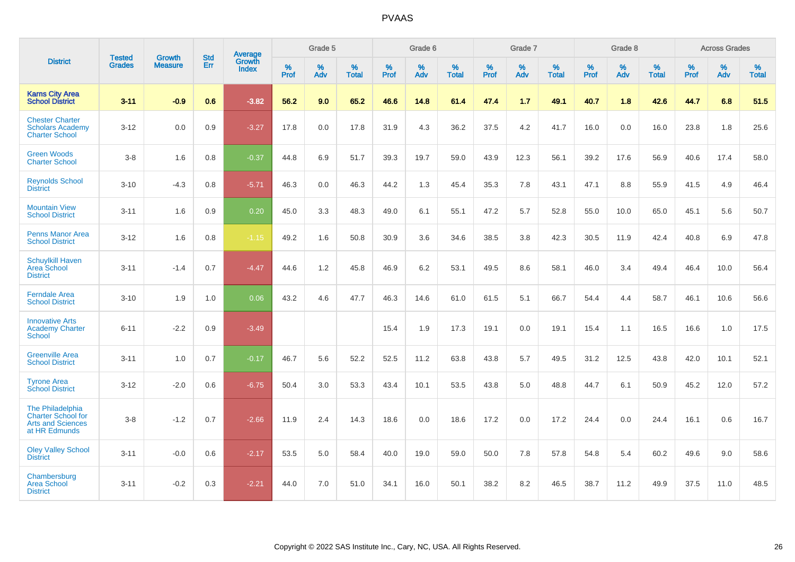|                                                                                            |                                |                                 | <b>Std</b> | <b>Average</b>                |              | Grade 5  |                   |           | Grade 6  |                   |           | Grade 7  |                   |           | Grade 8  |                   |           | <b>Across Grades</b> |                   |
|--------------------------------------------------------------------------------------------|--------------------------------|---------------------------------|------------|-------------------------------|--------------|----------|-------------------|-----------|----------|-------------------|-----------|----------|-------------------|-----------|----------|-------------------|-----------|----------------------|-------------------|
| <b>District</b>                                                                            | <b>Tested</b><br><b>Grades</b> | <b>Growth</b><br><b>Measure</b> | Err        | <b>Growth</b><br><b>Index</b> | $\%$<br>Prof | %<br>Adv | %<br><b>Total</b> | %<br>Prof | %<br>Adv | %<br><b>Total</b> | %<br>Prof | %<br>Adv | %<br><b>Total</b> | %<br>Prof | %<br>Adv | %<br><b>Total</b> | %<br>Prof | %<br>Adv             | %<br><b>Total</b> |
| <b>Karns City Area</b><br><b>School District</b>                                           | $3 - 11$                       | $-0.9$                          | 0.6        | $-3.82$                       | 56.2         | 9.0      | 65.2              | 46.6      | 14.8     | 61.4              | 47.4      | 1.7      | 49.1              | 40.7      | 1.8      | 42.6              | 44.7      | 6.8                  | 51.5              |
| <b>Chester Charter</b><br><b>Scholars Academy</b><br><b>Charter School</b>                 | $3 - 12$                       | 0.0                             | 0.9        | $-3.27$                       | 17.8         | 0.0      | 17.8              | 31.9      | 4.3      | 36.2              | 37.5      | 4.2      | 41.7              | 16.0      | 0.0      | 16.0              | 23.8      | 1.8                  | 25.6              |
| <b>Green Woods</b><br><b>Charter School</b>                                                | $3-8$                          | 1.6                             | 0.8        | $-0.37$                       | 44.8         | 6.9      | 51.7              | 39.3      | 19.7     | 59.0              | 43.9      | 12.3     | 56.1              | 39.2      | 17.6     | 56.9              | 40.6      | 17.4                 | 58.0              |
| <b>Reynolds School</b><br><b>District</b>                                                  | $3 - 10$                       | $-4.3$                          | 0.8        | $-5.71$                       | 46.3         | 0.0      | 46.3              | 44.2      | 1.3      | 45.4              | 35.3      | 7.8      | 43.1              | 47.1      | 8.8      | 55.9              | 41.5      | 4.9                  | 46.4              |
| <b>Mountain View</b><br><b>School District</b>                                             | $3 - 11$                       | 1.6                             | 0.9        | 0.20                          | 45.0         | 3.3      | 48.3              | 49.0      | 6.1      | 55.1              | 47.2      | 5.7      | 52.8              | 55.0      | 10.0     | 65.0              | 45.1      | 5.6                  | 50.7              |
| <b>Penns Manor Area</b><br><b>School District</b>                                          | $3 - 12$                       | 1.6                             | 0.8        | $-1.15$                       | 49.2         | 1.6      | 50.8              | 30.9      | 3.6      | 34.6              | 38.5      | 3.8      | 42.3              | 30.5      | 11.9     | 42.4              | 40.8      | 6.9                  | 47.8              |
| <b>Schuylkill Haven</b><br>Area School<br><b>District</b>                                  | $3 - 11$                       | $-1.4$                          | 0.7        | $-4.47$                       | 44.6         | 1.2      | 45.8              | 46.9      | 6.2      | 53.1              | 49.5      | 8.6      | 58.1              | 46.0      | 3.4      | 49.4              | 46.4      | 10.0                 | 56.4              |
| <b>Ferndale Area</b><br><b>School District</b>                                             | $3 - 10$                       | 1.9                             | 1.0        | 0.06                          | 43.2         | 4.6      | 47.7              | 46.3      | 14.6     | 61.0              | 61.5      | 5.1      | 66.7              | 54.4      | 4.4      | 58.7              | 46.1      | 10.6                 | 56.6              |
| <b>Innovative Arts</b><br><b>Academy Charter</b><br>School                                 | $6 - 11$                       | $-2.2$                          | 0.9        | $-3.49$                       |              |          |                   | 15.4      | 1.9      | 17.3              | 19.1      | 0.0      | 19.1              | 15.4      | 1.1      | 16.5              | 16.6      | 1.0                  | 17.5              |
| <b>Greenville Area</b><br><b>School District</b>                                           | $3 - 11$                       | 1.0                             | 0.7        | $-0.17$                       | 46.7         | 5.6      | 52.2              | 52.5      | 11.2     | 63.8              | 43.8      | 5.7      | 49.5              | 31.2      | 12.5     | 43.8              | 42.0      | 10.1                 | 52.1              |
| <b>Tyrone Area</b><br><b>School District</b>                                               | $3 - 12$                       | $-2.0$                          | 0.6        | $-6.75$                       | 50.4         | 3.0      | 53.3              | 43.4      | 10.1     | 53.5              | 43.8      | 5.0      | 48.8              | 44.7      | 6.1      | 50.9              | 45.2      | 12.0                 | 57.2              |
| The Philadelphia<br><b>Charter School for</b><br><b>Arts and Sciences</b><br>at HR Edmunds | $3-8$                          | $-1.2$                          | 0.7        | $-2.66$                       | 11.9         | 2.4      | 14.3              | 18.6      | 0.0      | 18.6              | 17.2      | 0.0      | 17.2              | 24.4      | 0.0      | 24.4              | 16.1      | 0.6                  | 16.7              |
| <b>Oley Valley School</b><br><b>District</b>                                               | $3 - 11$                       | $-0.0$                          | 0.6        | $-2.17$                       | 53.5         | 5.0      | 58.4              | 40.0      | 19.0     | 59.0              | 50.0      | 7.8      | 57.8              | 54.8      | 5.4      | 60.2              | 49.6      | 9.0                  | 58.6              |
| Chambersburg<br><b>Area School</b><br><b>District</b>                                      | $3 - 11$                       | $-0.2$                          | 0.3        | $-2.21$                       | 44.0         | 7.0      | 51.0              | 34.1      | 16.0     | 50.1              | 38.2      | 8.2      | 46.5              | 38.7      | 11.2     | 49.9              | 37.5      | 11.0                 | 48.5              |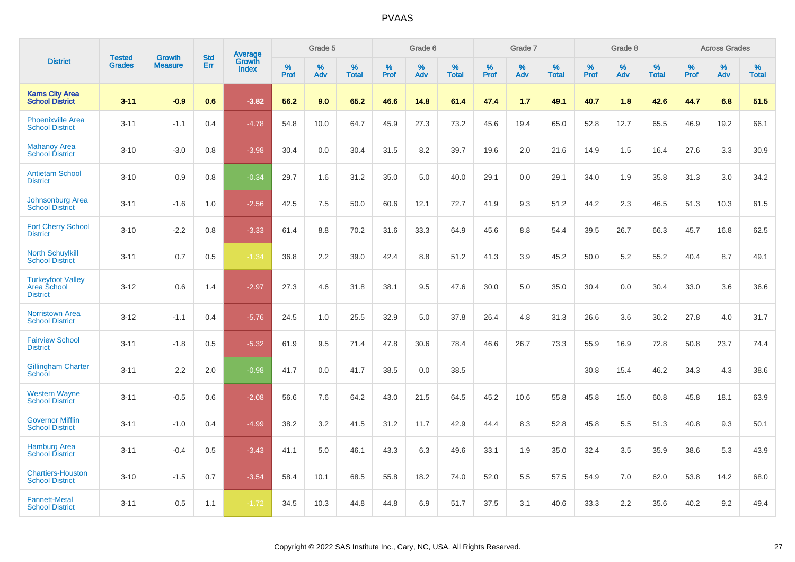|                                                            |                                | <b>Growth</b>  | <b>Std</b> | Average                |              | Grade 5     |                      |                  | Grade 6  |                      |              | Grade 7  |                      |              | Grade 8  |                      |              | <b>Across Grades</b> |                      |
|------------------------------------------------------------|--------------------------------|----------------|------------|------------------------|--------------|-------------|----------------------|------------------|----------|----------------------|--------------|----------|----------------------|--------------|----------|----------------------|--------------|----------------------|----------------------|
| <b>District</b>                                            | <b>Tested</b><br><b>Grades</b> | <b>Measure</b> | Err        | Growth<br><b>Index</b> | $\%$<br>Prof | $\%$<br>Adv | $\%$<br><b>Total</b> | %<br><b>Prof</b> | %<br>Adv | $\%$<br><b>Total</b> | $\%$<br>Prof | %<br>Adv | $\%$<br><b>Total</b> | $\%$<br>Prof | %<br>Adv | $\%$<br><b>Total</b> | $\%$<br>Prof | %<br>Adv             | $\%$<br><b>Total</b> |
| <b>Karns City Area</b><br><b>School District</b>           | $3 - 11$                       | $-0.9$         | 0.6        | $-3.82$                | 56.2         | 9.0         | 65.2                 | 46.6             | 14.8     | 61.4                 | 47.4         | 1.7      | 49.1                 | 40.7         | 1.8      | 42.6                 | 44.7         | 6.8                  | 51.5                 |
| <b>Phoenixville Area</b><br><b>School District</b>         | $3 - 11$                       | $-1.1$         | 0.4        | $-4.78$                | 54.8         | 10.0        | 64.7                 | 45.9             | 27.3     | 73.2                 | 45.6         | 19.4     | 65.0                 | 52.8         | 12.7     | 65.5                 | 46.9         | 19.2                 | 66.1                 |
| <b>Mahanoy Area</b><br><b>School District</b>              | $3 - 10$                       | $-3.0$         | 0.8        | $-3.98$                | 30.4         | 0.0         | 30.4                 | 31.5             | 8.2      | 39.7                 | 19.6         | 2.0      | 21.6                 | 14.9         | 1.5      | 16.4                 | 27.6         | 3.3                  | 30.9                 |
| <b>Antietam School</b><br><b>District</b>                  | $3 - 10$                       | 0.9            | 0.8        | $-0.34$                | 29.7         | 1.6         | 31.2                 | 35.0             | 5.0      | 40.0                 | 29.1         | 0.0      | 29.1                 | 34.0         | 1.9      | 35.8                 | 31.3         | 3.0                  | 34.2                 |
| Johnsonburg Area<br><b>School District</b>                 | $3 - 11$                       | $-1.6$         | 1.0        | $-2.56$                | 42.5         | 7.5         | 50.0                 | 60.6             | 12.1     | 72.7                 | 41.9         | 9.3      | 51.2                 | 44.2         | 2.3      | 46.5                 | 51.3         | 10.3                 | 61.5                 |
| <b>Fort Cherry School</b><br><b>District</b>               | $3 - 10$                       | $-2.2$         | 0.8        | $-3.33$                | 61.4         | 8.8         | 70.2                 | 31.6             | 33.3     | 64.9                 | 45.6         | 8.8      | 54.4                 | 39.5         | 26.7     | 66.3                 | 45.7         | 16.8                 | 62.5                 |
| <b>North Schuylkill</b><br><b>School District</b>          | $3 - 11$                       | 0.7            | 0.5        | $-1.34$                | 36.8         | 2.2         | 39.0                 | 42.4             | 8.8      | 51.2                 | 41.3         | 3.9      | 45.2                 | 50.0         | 5.2      | 55.2                 | 40.4         | 8.7                  | 49.1                 |
| <b>Turkeyfoot Valley</b><br>Area School<br><b>District</b> | $3 - 12$                       | 0.6            | 1.4        | $-2.97$                | 27.3         | 4.6         | 31.8                 | 38.1             | 9.5      | 47.6                 | 30.0         | 5.0      | 35.0                 | 30.4         | 0.0      | 30.4                 | 33.0         | 3.6                  | 36.6                 |
| <b>Norristown Area</b><br><b>School District</b>           | $3-12$                         | $-1.1$         | 0.4        | $-5.76$                | 24.5         | 1.0         | 25.5                 | 32.9             | 5.0      | 37.8                 | 26.4         | 4.8      | 31.3                 | 26.6         | 3.6      | 30.2                 | 27.8         | 4.0                  | 31.7                 |
| <b>Fairview School</b><br><b>District</b>                  | $3 - 11$                       | $-1.8$         | 0.5        | $-5.32$                | 61.9         | 9.5         | 71.4                 | 47.8             | 30.6     | 78.4                 | 46.6         | 26.7     | 73.3                 | 55.9         | 16.9     | 72.8                 | 50.8         | 23.7                 | 74.4                 |
| <b>Gillingham Charter</b><br>School                        | $3 - 11$                       | 2.2            | 2.0        | $-0.98$                | 41.7         | 0.0         | 41.7                 | 38.5             | 0.0      | 38.5                 |              |          |                      | 30.8         | 15.4     | 46.2                 | 34.3         | 4.3                  | 38.6                 |
| <b>Western Wayne</b><br><b>School District</b>             | $3 - 11$                       | $-0.5$         | 0.6        | $-2.08$                | 56.6         | 7.6         | 64.2                 | 43.0             | 21.5     | 64.5                 | 45.2         | 10.6     | 55.8                 | 45.8         | 15.0     | 60.8                 | 45.8         | 18.1                 | 63.9                 |
| <b>Governor Mifflin</b><br><b>School District</b>          | $3 - 11$                       | $-1.0$         | 0.4        | $-4.99$                | 38.2         | 3.2         | 41.5                 | 31.2             | 11.7     | 42.9                 | 44.4         | 8.3      | 52.8                 | 45.8         | 5.5      | 51.3                 | 40.8         | 9.3                  | 50.1                 |
| <b>Hamburg Area</b><br><b>School District</b>              | $3 - 11$                       | $-0.4$         | 0.5        | $-3.43$                | 41.1         | 5.0         | 46.1                 | 43.3             | 6.3      | 49.6                 | 33.1         | 1.9      | 35.0                 | 32.4         | 3.5      | 35.9                 | 38.6         | 5.3                  | 43.9                 |
| <b>Chartiers-Houston</b><br><b>School District</b>         | $3 - 10$                       | $-1.5$         | 0.7        | $-3.54$                | 58.4         | 10.1        | 68.5                 | 55.8             | 18.2     | 74.0                 | 52.0         | 5.5      | 57.5                 | 54.9         | 7.0      | 62.0                 | 53.8         | 14.2                 | 68.0                 |
| <b>Fannett-Metal</b><br><b>School District</b>             | $3 - 11$                       | 0.5            | 1.1        | $-1.72$                | 34.5         | 10.3        | 44.8                 | 44.8             | 6.9      | 51.7                 | 37.5         | 3.1      | 40.6                 | 33.3         | 2.2      | 35.6                 | 40.2         | 9.2                  | 49.4                 |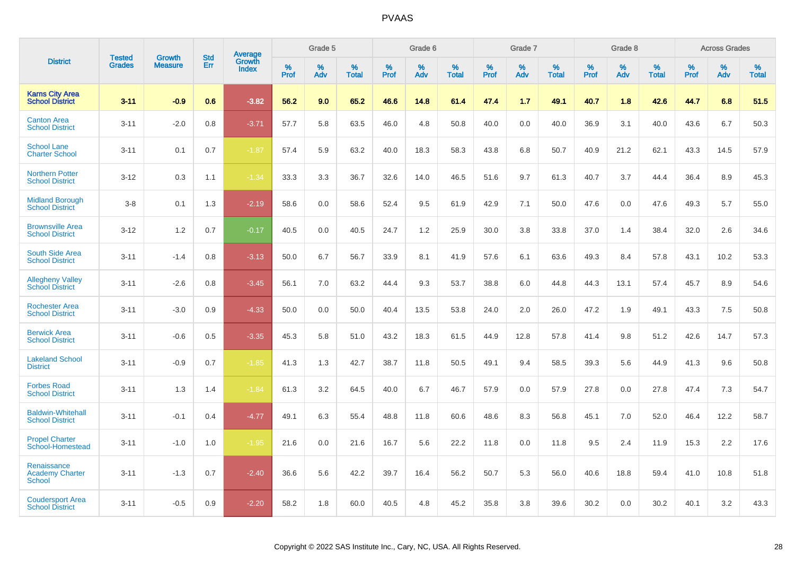|                                                        |                                | <b>Growth</b>  | <b>Std</b> | Average                |              | Grade 5     |                      |                     | Grade 6     |                      |              | Grade 7     |                      |              | Grade 8     |                   |                     | <b>Across Grades</b> |                      |
|--------------------------------------------------------|--------------------------------|----------------|------------|------------------------|--------------|-------------|----------------------|---------------------|-------------|----------------------|--------------|-------------|----------------------|--------------|-------------|-------------------|---------------------|----------------------|----------------------|
| <b>District</b>                                        | <b>Tested</b><br><b>Grades</b> | <b>Measure</b> | Err        | Growth<br><b>Index</b> | $\%$<br>Prof | $\%$<br>Adv | $\%$<br><b>Total</b> | $\%$<br><b>Prof</b> | $\%$<br>Adv | $\%$<br><b>Total</b> | $\%$<br>Prof | $\%$<br>Adv | $\%$<br><b>Total</b> | $\%$<br>Prof | $\%$<br>Adv | %<br><b>Total</b> | $\%$<br><b>Prof</b> | $\%$<br>Adv          | $\%$<br><b>Total</b> |
| <b>Karns City Area</b><br><b>School District</b>       | $3 - 11$                       | $-0.9$         | 0.6        | $-3.82$                | 56.2         | 9.0         | 65.2                 | 46.6                | 14.8        | 61.4                 | 47.4         | 1.7         | 49.1                 | 40.7         | 1.8         | 42.6              | 44.7                | 6.8                  | 51.5                 |
| <b>Canton Area</b><br><b>School District</b>           | $3 - 11$                       | $-2.0$         | 0.8        | $-3.71$                | 57.7         | 5.8         | 63.5                 | 46.0                | 4.8         | 50.8                 | 40.0         | 0.0         | 40.0                 | 36.9         | 3.1         | 40.0              | 43.6                | 6.7                  | 50.3                 |
| <b>School Lane</b><br><b>Charter School</b>            | $3 - 11$                       | 0.1            | 0.7        | $-1.87$                | 57.4         | 5.9         | 63.2                 | 40.0                | 18.3        | 58.3                 | 43.8         | 6.8         | 50.7                 | 40.9         | 21.2        | 62.1              | 43.3                | 14.5                 | 57.9                 |
| <b>Northern Potter</b><br><b>School District</b>       | $3 - 12$                       | 0.3            | 1.1        | $-1.34$                | 33.3         | 3.3         | 36.7                 | 32.6                | 14.0        | 46.5                 | 51.6         | 9.7         | 61.3                 | 40.7         | 3.7         | 44.4              | 36.4                | 8.9                  | 45.3                 |
| <b>Midland Borough</b><br><b>School District</b>       | $3-8$                          | 0.1            | 1.3        | $-2.19$                | 58.6         | 0.0         | 58.6                 | 52.4                | 9.5         | 61.9                 | 42.9         | 7.1         | 50.0                 | 47.6         | 0.0         | 47.6              | 49.3                | 5.7                  | 55.0                 |
| <b>Brownsville Area</b><br><b>School District</b>      | $3 - 12$                       | 1.2            | 0.7        | $-0.17$                | 40.5         | 0.0         | 40.5                 | 24.7                | 1.2         | 25.9                 | 30.0         | 3.8         | 33.8                 | 37.0         | 1.4         | 38.4              | 32.0                | 2.6                  | 34.6                 |
| <b>South Side Area</b><br><b>School District</b>       | $3 - 11$                       | $-1.4$         | 0.8        | $-3.13$                | 50.0         | 6.7         | 56.7                 | 33.9                | 8.1         | 41.9                 | 57.6         | 6.1         | 63.6                 | 49.3         | 8.4         | 57.8              | 43.1                | 10.2                 | 53.3                 |
| <b>Allegheny Valley</b><br><b>School District</b>      | $3 - 11$                       | $-2.6$         | 0.8        | $-3.45$                | 56.1         | 7.0         | 63.2                 | 44.4                | 9.3         | 53.7                 | 38.8         | 6.0         | 44.8                 | 44.3         | 13.1        | 57.4              | 45.7                | 8.9                  | 54.6                 |
| <b>Rochester Area</b><br><b>School District</b>        | $3 - 11$                       | $-3.0$         | 0.9        | $-4.33$                | 50.0         | 0.0         | 50.0                 | 40.4                | 13.5        | 53.8                 | 24.0         | 2.0         | 26.0                 | 47.2         | 1.9         | 49.1              | 43.3                | 7.5                  | 50.8                 |
| <b>Berwick Area</b><br><b>School District</b>          | $3 - 11$                       | $-0.6$         | 0.5        | $-3.35$                | 45.3         | 5.8         | 51.0                 | 43.2                | 18.3        | 61.5                 | 44.9         | 12.8        | 57.8                 | 41.4         | 9.8         | 51.2              | 42.6                | 14.7                 | 57.3                 |
| <b>Lakeland School</b><br><b>District</b>              | $3 - 11$                       | $-0.9$         | 0.7        | $-1.85$                | 41.3         | 1.3         | 42.7                 | 38.7                | 11.8        | 50.5                 | 49.1         | 9.4         | 58.5                 | 39.3         | 5.6         | 44.9              | 41.3                | 9.6                  | 50.8                 |
| <b>Forbes Road</b><br><b>School District</b>           | $3 - 11$                       | 1.3            | 1.4        | $-1.84$                | 61.3         | 3.2         | 64.5                 | 40.0                | 6.7         | 46.7                 | 57.9         | 0.0         | 57.9                 | 27.8         | 0.0         | 27.8              | 47.4                | 7.3                  | 54.7                 |
| <b>Baldwin-Whitehall</b><br><b>School District</b>     | $3 - 11$                       | $-0.1$         | 0.4        | $-4.77$                | 49.1         | 6.3         | 55.4                 | 48.8                | 11.8        | 60.6                 | 48.6         | 8.3         | 56.8                 | 45.1         | 7.0         | 52.0              | 46.4                | 12.2                 | 58.7                 |
| <b>Propel Charter</b><br>School-Homestead              | $3 - 11$                       | $-1.0$         | 1.0        | $-1.95$                | 21.6         | 0.0         | 21.6                 | 16.7                | 5.6         | 22.2                 | 11.8         | 0.0         | 11.8                 | 9.5          | 2.4         | 11.9              | 15.3                | 2.2                  | 17.6                 |
| Renaissance<br><b>Academy Charter</b><br><b>School</b> | $3 - 11$                       | $-1.3$         | 0.7        | $-2.40$                | 36.6         | 5.6         | 42.2                 | 39.7                | 16.4        | 56.2                 | 50.7         | 5.3         | 56.0                 | 40.6         | 18.8        | 59.4              | 41.0                | 10.8                 | 51.8                 |
| <b>Coudersport Area</b><br><b>School District</b>      | $3 - 11$                       | $-0.5$         | 0.9        | $-2.20$                | 58.2         | 1.8         | 60.0                 | 40.5                | 4.8         | 45.2                 | 35.8         | 3.8         | 39.6                 | 30.2         | 0.0         | 30.2              | 40.1                | 3.2                  | 43.3                 |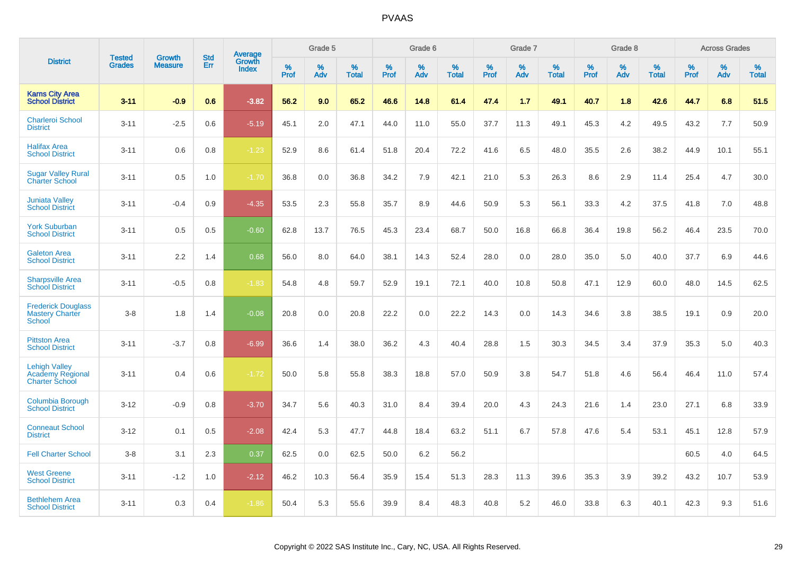|                                                                   | <b>Tested</b> | Growth         | <b>Std</b> | Average                |              | Grade 5  |                      |              | Grade 6     |                      |              | Grade 7  |                      |              | Grade 8     |                      |              | <b>Across Grades</b> |                      |
|-------------------------------------------------------------------|---------------|----------------|------------|------------------------|--------------|----------|----------------------|--------------|-------------|----------------------|--------------|----------|----------------------|--------------|-------------|----------------------|--------------|----------------------|----------------------|
| <b>District</b>                                                   | <b>Grades</b> | <b>Measure</b> | Err        | Growth<br><b>Index</b> | $\%$<br>Prof | %<br>Adv | $\%$<br><b>Total</b> | $\%$<br>Prof | $\%$<br>Adv | $\%$<br><b>Total</b> | $\%$<br>Prof | %<br>Adv | $\%$<br><b>Total</b> | $\%$<br>Prof | $\%$<br>Adv | $\%$<br><b>Total</b> | $\%$<br>Prof | $\%$<br>Adv          | $\%$<br><b>Total</b> |
| <b>Karns City Area</b><br><b>School District</b>                  | $3 - 11$      | $-0.9$         | 0.6        | $-3.82$                | 56.2         | 9.0      | 65.2                 | 46.6         | 14.8        | 61.4                 | 47.4         | 1.7      | 49.1                 | 40.7         | 1.8         | 42.6                 | 44.7         | 6.8                  | 51.5                 |
| <b>Charleroi School</b><br><b>District</b>                        | $3 - 11$      | $-2.5$         | 0.6        | $-5.19$                | 45.1         | 2.0      | 47.1                 | 44.0         | 11.0        | 55.0                 | 37.7         | 11.3     | 49.1                 | 45.3         | 4.2         | 49.5                 | 43.2         | 7.7                  | 50.9                 |
| <b>Halifax Area</b><br><b>School District</b>                     | $3 - 11$      | 0.6            | 0.8        | $-1.23$                | 52.9         | 8.6      | 61.4                 | 51.8         | 20.4        | 72.2                 | 41.6         | 6.5      | 48.0                 | 35.5         | 2.6         | 38.2                 | 44.9         | 10.1                 | 55.1                 |
| <b>Sugar Valley Rural</b><br><b>Charter School</b>                | $3 - 11$      | 0.5            | 1.0        | $-1.70$                | 36.8         | 0.0      | 36.8                 | 34.2         | 7.9         | 42.1                 | 21.0         | 5.3      | 26.3                 | 8.6          | 2.9         | 11.4                 | 25.4         | 4.7                  | 30.0                 |
| <b>Juniata Valley</b><br><b>School District</b>                   | $3 - 11$      | $-0.4$         | 0.9        | $-4.35$                | 53.5         | 2.3      | 55.8                 | 35.7         | 8.9         | 44.6                 | 50.9         | 5.3      | 56.1                 | 33.3         | 4.2         | 37.5                 | 41.8         | 7.0                  | 48.8                 |
| <b>York Suburban</b><br><b>School District</b>                    | $3 - 11$      | 0.5            | 0.5        | $-0.60$                | 62.8         | 13.7     | 76.5                 | 45.3         | 23.4        | 68.7                 | 50.0         | 16.8     | 66.8                 | 36.4         | 19.8        | 56.2                 | 46.4         | 23.5                 | 70.0                 |
| <b>Galeton Area</b><br><b>School District</b>                     | $3 - 11$      | 2.2            | 1.4        | 0.68                   | 56.0         | 8.0      | 64.0                 | 38.1         | 14.3        | 52.4                 | 28.0         | 0.0      | 28.0                 | 35.0         | 5.0         | 40.0                 | 37.7         | 6.9                  | 44.6                 |
| <b>Sharpsville Area</b><br><b>School District</b>                 | $3 - 11$      | $-0.5$         | 0.8        | $-1.83$                | 54.8         | 4.8      | 59.7                 | 52.9         | 19.1        | 72.1                 | 40.0         | 10.8     | 50.8                 | 47.1         | 12.9        | 60.0                 | 48.0         | 14.5                 | 62.5                 |
| <b>Frederick Douglass</b><br><b>Mastery Charter</b><br>School     | $3 - 8$       | 1.8            | 1.4        | $-0.08$                | 20.8         | 0.0      | 20.8                 | 22.2         | 0.0         | 22.2                 | 14.3         | 0.0      | 14.3                 | 34.6         | 3.8         | 38.5                 | 19.1         | 0.9                  | 20.0                 |
| <b>Pittston Area</b><br><b>School District</b>                    | $3 - 11$      | $-3.7$         | 0.8        | $-6.99$                | 36.6         | 1.4      | 38.0                 | 36.2         | 4.3         | 40.4                 | 28.8         | 1.5      | 30.3                 | 34.5         | 3.4         | 37.9                 | 35.3         | 5.0                  | 40.3                 |
| <b>Lehigh Valley</b><br>Academy Regional<br><b>Charter School</b> | $3 - 11$      | 0.4            | 0.6        | $-1.72$                | 50.0         | 5.8      | 55.8                 | 38.3         | 18.8        | 57.0                 | 50.9         | 3.8      | 54.7                 | 51.8         | 4.6         | 56.4                 | 46.4         | 11.0                 | 57.4                 |
| Columbia Borough<br><b>School District</b>                        | $3 - 12$      | $-0.9$         | 0.8        | $-3.70$                | 34.7         | 5.6      | 40.3                 | 31.0         | 8.4         | 39.4                 | 20.0         | 4.3      | 24.3                 | 21.6         | 1.4         | 23.0                 | 27.1         | 6.8                  | 33.9                 |
| <b>Conneaut School</b><br><b>District</b>                         | $3 - 12$      | 0.1            | 0.5        | $-2.08$                | 42.4         | 5.3      | 47.7                 | 44.8         | 18.4        | 63.2                 | 51.1         | 6.7      | 57.8                 | 47.6         | 5.4         | 53.1                 | 45.1         | 12.8                 | 57.9                 |
| <b>Fell Charter School</b>                                        | $3 - 8$       | 3.1            | 2.3        | 0.37                   | 62.5         | 0.0      | 62.5                 | 50.0         | 6.2         | 56.2                 |              |          |                      |              |             |                      | 60.5         | 4.0                  | 64.5                 |
| <b>West Greene</b><br><b>School District</b>                      | $3 - 11$      | $-1.2$         | 1.0        | $-2.12$                | 46.2         | 10.3     | 56.4                 | 35.9         | 15.4        | 51.3                 | 28.3         | 11.3     | 39.6                 | 35.3         | 3.9         | 39.2                 | 43.2         | 10.7                 | 53.9                 |
| <b>Bethlehem Area</b><br><b>School District</b>                   | $3 - 11$      | 0.3            | 0.4        | $-1.86$                | 50.4         | 5.3      | 55.6                 | 39.9         | 8.4         | 48.3                 | 40.8         | 5.2      | 46.0                 | 33.8         | 6.3         | 40.1                 | 42.3         | 9.3                  | 51.6                 |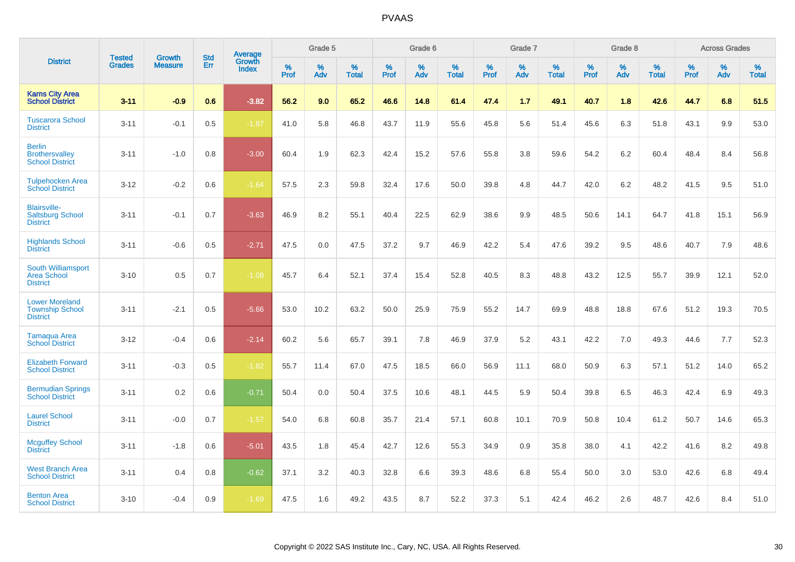|                                                                    |                                | <b>Growth</b>  | <b>Std</b> |                                   |              | Grade 5  |                   |              | Grade 6  |                   |              | Grade 7  |                   |              | Grade 8  |                   |              | <b>Across Grades</b> |                   |
|--------------------------------------------------------------------|--------------------------------|----------------|------------|-----------------------------------|--------------|----------|-------------------|--------------|----------|-------------------|--------------|----------|-------------------|--------------|----------|-------------------|--------------|----------------------|-------------------|
| <b>District</b>                                                    | <b>Tested</b><br><b>Grades</b> | <b>Measure</b> | <b>Err</b> | Average<br>Growth<br><b>Index</b> | $\%$<br>Prof | %<br>Adv | %<br><b>Total</b> | $\%$<br>Prof | %<br>Adv | %<br><b>Total</b> | $\%$<br>Prof | %<br>Adv | %<br><b>Total</b> | $\%$<br>Prof | %<br>Adv | %<br><b>Total</b> | $\%$<br>Prof | %<br>Adv             | %<br><b>Total</b> |
| <b>Karns City Area</b><br><b>School District</b>                   | $3 - 11$                       | $-0.9$         | 0.6        | $-3.82$                           | 56.2         | 9.0      | 65.2              | 46.6         | 14.8     | 61.4              | 47.4         | 1.7      | 49.1              | 40.7         | 1.8      | 42.6              | 44.7         | 6.8                  | 51.5              |
| <b>Tuscarora School</b><br><b>District</b>                         | $3 - 11$                       | $-0.1$         | 0.5        | $-1.87$                           | 41.0         | 5.8      | 46.8              | 43.7         | 11.9     | 55.6              | 45.8         | 5.6      | 51.4              | 45.6         | 6.3      | 51.8              | 43.1         | 9.9                  | 53.0              |
| <b>Berlin</b><br><b>Brothersvalley</b><br><b>School District</b>   | $3 - 11$                       | $-1.0$         | 0.8        | $-3.00$                           | 60.4         | 1.9      | 62.3              | 42.4         | 15.2     | 57.6              | 55.8         | 3.8      | 59.6              | 54.2         | 6.2      | 60.4              | 48.4         | 8.4                  | 56.8              |
| <b>Tulpehocken Area</b><br><b>School District</b>                  | $3 - 12$                       | $-0.2$         | 0.6        | $-1.64$                           | 57.5         | 2.3      | 59.8              | 32.4         | 17.6     | 50.0              | 39.8         | 4.8      | 44.7              | 42.0         | 6.2      | 48.2              | 41.5         | 9.5                  | 51.0              |
| <b>Blairsville-</b><br><b>Saltsburg School</b><br><b>District</b>  | $3 - 11$                       | $-0.1$         | 0.7        | $-3.63$                           | 46.9         | 8.2      | 55.1              | 40.4         | 22.5     | 62.9              | 38.6         | 9.9      | 48.5              | 50.6         | 14.1     | 64.7              | 41.8         | 15.1                 | 56.9              |
| <b>Highlands School</b><br><b>District</b>                         | $3 - 11$                       | $-0.6$         | 0.5        | $-2.71$                           | 47.5         | 0.0      | 47.5              | 37.2         | 9.7      | 46.9              | 42.2         | 5.4      | 47.6              | 39.2         | 9.5      | 48.6              | 40.7         | 7.9                  | 48.6              |
| South Williamsport<br><b>Area School</b><br><b>District</b>        | $3 - 10$                       | 0.5            | 0.7        | $-1.08$                           | 45.7         | 6.4      | 52.1              | 37.4         | 15.4     | 52.8              | 40.5         | 8.3      | 48.8              | 43.2         | 12.5     | 55.7              | 39.9         | 12.1                 | 52.0              |
| <b>Lower Moreland</b><br><b>Township School</b><br><b>District</b> | $3 - 11$                       | $-2.1$         | 0.5        | $-5.66$                           | 53.0         | 10.2     | 63.2              | 50.0         | 25.9     | 75.9              | 55.2         | 14.7     | 69.9              | 48.8         | 18.8     | 67.6              | 51.2         | 19.3                 | 70.5              |
| <b>Tamaqua Area</b><br><b>School District</b>                      | $3 - 12$                       | $-0.4$         | 0.6        | $-2.14$                           | 60.2         | 5.6      | 65.7              | 39.1         | 7.8      | 46.9              | 37.9         | 5.2      | 43.1              | 42.2         | 7.0      | 49.3              | 44.6         | 7.7                  | 52.3              |
| <b>Elizabeth Forward</b><br><b>School District</b>                 | $3 - 11$                       | $-0.3$         | 0.5        | $-1.82$                           | 55.7         | 11.4     | 67.0              | 47.5         | 18.5     | 66.0              | 56.9         | 11.1     | 68.0              | 50.9         | 6.3      | 57.1              | 51.2         | 14.0                 | 65.2              |
| <b>Bermudian Springs</b><br><b>School District</b>                 | $3 - 11$                       | 0.2            | 0.6        | $-0.71$                           | 50.4         | 0.0      | 50.4              | 37.5         | 10.6     | 48.1              | 44.5         | 5.9      | 50.4              | 39.8         | 6.5      | 46.3              | 42.4         | 6.9                  | 49.3              |
| <b>Laurel School</b><br><b>District</b>                            | $3 - 11$                       | $-0.0$         | 0.7        | $-1.57$                           | 54.0         | 6.8      | 60.8              | 35.7         | 21.4     | 57.1              | 60.8         | 10.1     | 70.9              | 50.8         | 10.4     | 61.2              | 50.7         | 14.6                 | 65.3              |
| <b>Mcguffey School</b><br><b>District</b>                          | $3 - 11$                       | $-1.8$         | 0.6        | $-5.01$                           | 43.5         | 1.8      | 45.4              | 42.7         | 12.6     | 55.3              | 34.9         | 0.9      | 35.8              | 38.0         | 4.1      | 42.2              | 41.6         | 8.2                  | 49.8              |
| <b>West Branch Area</b><br><b>School District</b>                  | $3 - 11$                       | 0.4            | 0.8        | $-0.62$                           | 37.1         | 3.2      | 40.3              | 32.8         | 6.6      | 39.3              | 48.6         | 6.8      | 55.4              | 50.0         | 3.0      | 53.0              | 42.6         | 6.8                  | 49.4              |
| <b>Benton Area</b><br><b>School District</b>                       | $3 - 10$                       | $-0.4$         | 0.9        | $-1.69$                           | 47.5         | 1.6      | 49.2              | 43.5         | 8.7      | 52.2              | 37.3         | 5.1      | 42.4              | 46.2         | 2.6      | 48.7              | 42.6         | 8.4                  | 51.0              |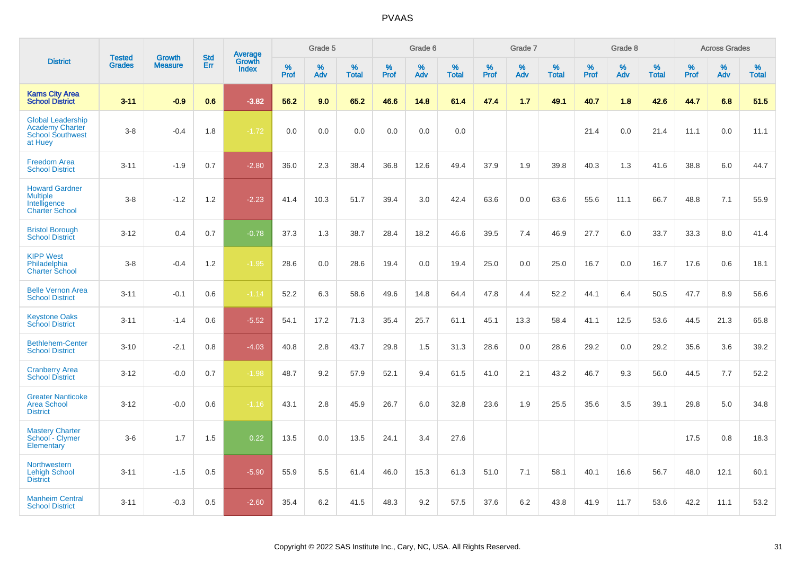|                                                                                          |                                | <b>Growth</b>  | <b>Std</b> | Average                |              | Grade 5     |                      |              | Grade 6  |                      |              | Grade 7  |                      |              | Grade 8  |                      |                  | <b>Across Grades</b> |                      |
|------------------------------------------------------------------------------------------|--------------------------------|----------------|------------|------------------------|--------------|-------------|----------------------|--------------|----------|----------------------|--------------|----------|----------------------|--------------|----------|----------------------|------------------|----------------------|----------------------|
| <b>District</b>                                                                          | <b>Tested</b><br><b>Grades</b> | <b>Measure</b> | Err        | Growth<br><b>Index</b> | $\%$<br>Prof | $\%$<br>Adv | $\%$<br><b>Total</b> | $\%$<br>Prof | %<br>Adv | $\%$<br><b>Total</b> | $\%$<br>Prof | %<br>Adv | $\%$<br><b>Total</b> | $\%$<br>Prof | %<br>Adv | $\%$<br><b>Total</b> | %<br><b>Prof</b> | %<br>Adv             | $\%$<br><b>Total</b> |
| <b>Karns City Area</b><br><b>School District</b>                                         | $3 - 11$                       | $-0.9$         | 0.6        | $-3.82$                | 56.2         | 9.0         | 65.2                 | 46.6         | 14.8     | 61.4                 | 47.4         | 1.7      | 49.1                 | 40.7         | 1.8      | 42.6                 | 44.7             | 6.8                  | 51.5                 |
| <b>Global Leadership</b><br><b>Academy Charter</b><br><b>School Southwest</b><br>at Huey | $3-8$                          | $-0.4$         | 1.8        | $-1.72$                | 0.0          | 0.0         | 0.0                  | 0.0          | 0.0      | 0.0                  |              |          |                      | 21.4         | 0.0      | 21.4                 | 11.1             | 0.0                  | 11.1                 |
| <b>Freedom Area</b><br><b>School District</b>                                            | $3 - 11$                       | $-1.9$         | 0.7        | $-2.80$                | 36.0         | 2.3         | 38.4                 | 36.8         | 12.6     | 49.4                 | 37.9         | 1.9      | 39.8                 | 40.3         | 1.3      | 41.6                 | 38.8             | 6.0                  | 44.7                 |
| <b>Howard Gardner</b><br><b>Multiple</b><br>Intelligence<br><b>Charter School</b>        | $3-8$                          | $-1.2$         | 1.2        | $-2.23$                | 41.4         | 10.3        | 51.7                 | 39.4         | 3.0      | 42.4                 | 63.6         | 0.0      | 63.6                 | 55.6         | 11.1     | 66.7                 | 48.8             | 7.1                  | 55.9                 |
| <b>Bristol Borough</b><br><b>School District</b>                                         | $3 - 12$                       | 0.4            | 0.7        | $-0.78$                | 37.3         | 1.3         | 38.7                 | 28.4         | 18.2     | 46.6                 | 39.5         | 7.4      | 46.9                 | 27.7         | 6.0      | 33.7                 | 33.3             | 8.0                  | 41.4                 |
| <b>KIPP West</b><br>Philadelphia<br><b>Charter School</b>                                | $3-8$                          | $-0.4$         | 1.2        | $-1.95$                | 28.6         | 0.0         | 28.6                 | 19.4         | 0.0      | 19.4                 | 25.0         | 0.0      | 25.0                 | 16.7         | 0.0      | 16.7                 | 17.6             | 0.6                  | 18.1                 |
| <b>Belle Vernon Area</b><br><b>School District</b>                                       | $3 - 11$                       | $-0.1$         | 0.6        | $-1.14$                | 52.2         | 6.3         | 58.6                 | 49.6         | 14.8     | 64.4                 | 47.8         | 4.4      | 52.2                 | 44.1         | 6.4      | 50.5                 | 47.7             | 8.9                  | 56.6                 |
| <b>Keystone Oaks</b><br><b>School District</b>                                           | $3 - 11$                       | $-1.4$         | 0.6        | $-5.52$                | 54.1         | 17.2        | 71.3                 | 35.4         | 25.7     | 61.1                 | 45.1         | 13.3     | 58.4                 | 41.1         | 12.5     | 53.6                 | 44.5             | 21.3                 | 65.8                 |
| <b>Bethlehem-Center</b><br><b>School District</b>                                        | $3 - 10$                       | $-2.1$         | 0.8        | $-4.03$                | 40.8         | 2.8         | 43.7                 | 29.8         | 1.5      | 31.3                 | 28.6         | 0.0      | 28.6                 | 29.2         | 0.0      | 29.2                 | 35.6             | 3.6                  | 39.2                 |
| <b>Cranberry Area</b><br><b>School District</b>                                          | $3 - 12$                       | $-0.0$         | 0.7        | $-1.98$                | 48.7         | 9.2         | 57.9                 | 52.1         | 9.4      | 61.5                 | 41.0         | 2.1      | 43.2                 | 46.7         | 9.3      | 56.0                 | 44.5             | 7.7                  | 52.2                 |
| <b>Greater Nanticoke</b><br><b>Area School</b><br><b>District</b>                        | $3 - 12$                       | $-0.0$         | 0.6        | $-1.16$                | 43.1         | 2.8         | 45.9                 | 26.7         | 6.0      | 32.8                 | 23.6         | 1.9      | 25.5                 | 35.6         | 3.5      | 39.1                 | 29.8             | 5.0                  | 34.8                 |
| <b>Mastery Charter</b><br>School - Clymer<br><b>Elementary</b>                           | $3-6$                          | 1.7            | 1.5        | 0.22                   | 13.5         | 0.0         | 13.5                 | 24.1         | 3.4      | 27.6                 |              |          |                      |              |          |                      | 17.5             | 0.8                  | 18.3                 |
| Northwestern<br><b>Lehigh School</b><br><b>District</b>                                  | $3 - 11$                       | $-1.5$         | 0.5        | $-5.90$                | 55.9         | 5.5         | 61.4                 | 46.0         | 15.3     | 61.3                 | 51.0         | 7.1      | 58.1                 | 40.1         | 16.6     | 56.7                 | 48.0             | 12.1                 | 60.1                 |
| <b>Manheim Central</b><br><b>School District</b>                                         | $3 - 11$                       | $-0.3$         | 0.5        | $-2.60$                | 35.4         | 6.2         | 41.5                 | 48.3         | 9.2      | 57.5                 | 37.6         | 6.2      | 43.8                 | 41.9         | 11.7     | 53.6                 | 42.2             | 11.1                 | 53.2                 |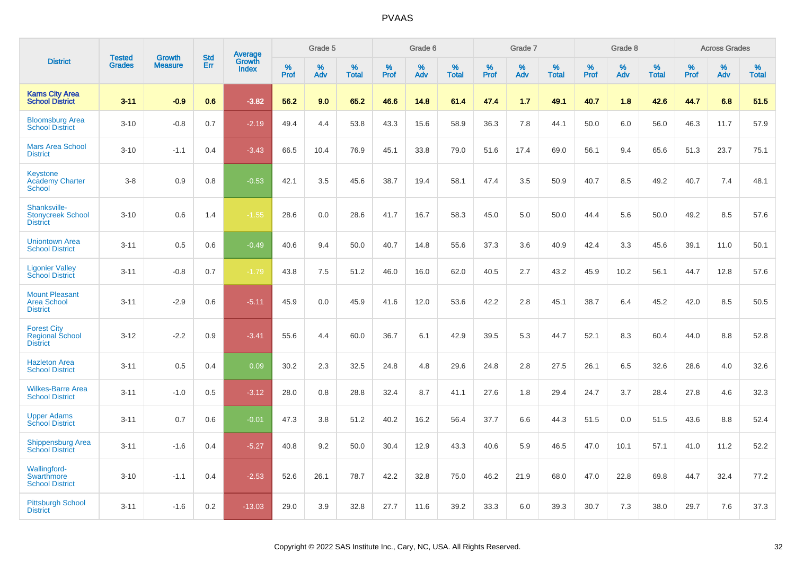|                                                                    | <b>Tested</b> | <b>Growth</b>  | <b>Std</b> |                                          |              | Grade 5  |                   |           | Grade 6  |                   |           | Grade 7  |                   |           | Grade 8  |                   |              | <b>Across Grades</b> |                   |
|--------------------------------------------------------------------|---------------|----------------|------------|------------------------------------------|--------------|----------|-------------------|-----------|----------|-------------------|-----------|----------|-------------------|-----------|----------|-------------------|--------------|----------------------|-------------------|
| <b>District</b>                                                    | <b>Grades</b> | <b>Measure</b> | <b>Err</b> | <b>Average</b><br>Growth<br><b>Index</b> | $\%$<br>Prof | %<br>Adv | %<br><b>Total</b> | %<br>Prof | %<br>Adv | %<br><b>Total</b> | %<br>Prof | %<br>Adv | %<br><b>Total</b> | %<br>Prof | %<br>Adv | %<br><b>Total</b> | $\%$<br>Prof | %<br>Adv             | %<br><b>Total</b> |
| <b>Karns City Area</b><br><b>School District</b>                   | $3 - 11$      | $-0.9$         | 0.6        | $-3.82$                                  | 56.2         | 9.0      | 65.2              | 46.6      | 14.8     | 61.4              | 47.4      | 1.7      | 49.1              | 40.7      | 1.8      | 42.6              | 44.7         | 6.8                  | 51.5              |
| <b>Bloomsburg Area</b><br><b>School District</b>                   | $3 - 10$      | $-0.8$         | 0.7        | $-2.19$                                  | 49.4         | 4.4      | 53.8              | 43.3      | 15.6     | 58.9              | 36.3      | 7.8      | 44.1              | 50.0      | 6.0      | 56.0              | 46.3         | 11.7                 | 57.9              |
| <b>Mars Area School</b><br><b>District</b>                         | $3 - 10$      | $-1.1$         | 0.4        | $-3.43$                                  | 66.5         | 10.4     | 76.9              | 45.1      | 33.8     | 79.0              | 51.6      | 17.4     | 69.0              | 56.1      | 9.4      | 65.6              | 51.3         | 23.7                 | 75.1              |
| <b>Keystone</b><br><b>Academy Charter</b><br>School                | $3 - 8$       | 0.9            | 0.8        | $-0.53$                                  | 42.1         | 3.5      | 45.6              | 38.7      | 19.4     | 58.1              | 47.4      | 3.5      | 50.9              | 40.7      | 8.5      | 49.2              | 40.7         | 7.4                  | 48.1              |
| Shanksville-<br><b>Stonycreek School</b><br><b>District</b>        | $3 - 10$      | 0.6            | 1.4        | $-1.55$                                  | 28.6         | 0.0      | 28.6              | 41.7      | 16.7     | 58.3              | 45.0      | 5.0      | 50.0              | 44.4      | 5.6      | 50.0              | 49.2         | 8.5                  | 57.6              |
| <b>Uniontown Area</b><br><b>School District</b>                    | $3 - 11$      | 0.5            | 0.6        | $-0.49$                                  | 40.6         | 9.4      | 50.0              | 40.7      | 14.8     | 55.6              | 37.3      | 3.6      | 40.9              | 42.4      | 3.3      | 45.6              | 39.1         | 11.0                 | 50.1              |
| <b>Ligonier Valley</b><br><b>School District</b>                   | $3 - 11$      | $-0.8$         | 0.7        | $-1.79$                                  | 43.8         | $7.5\,$  | 51.2              | 46.0      | 16.0     | 62.0              | 40.5      | 2.7      | 43.2              | 45.9      | 10.2     | 56.1              | 44.7         | 12.8                 | 57.6              |
| <b>Mount Pleasant</b><br><b>Area School</b><br><b>District</b>     | $3 - 11$      | $-2.9$         | 0.6        | $-5.11$                                  | 45.9         | 0.0      | 45.9              | 41.6      | 12.0     | 53.6              | 42.2      | 2.8      | 45.1              | 38.7      | 6.4      | 45.2              | 42.0         | 8.5                  | 50.5              |
| <b>Forest City</b><br><b>Regional School</b><br><b>District</b>    | $3 - 12$      | $-2.2$         | 0.9        | $-3.41$                                  | 55.6         | 4.4      | 60.0              | 36.7      | 6.1      | 42.9              | 39.5      | 5.3      | 44.7              | 52.1      | 8.3      | 60.4              | 44.0         | 8.8                  | 52.8              |
| <b>Hazleton Area</b><br><b>School District</b>                     | $3 - 11$      | 0.5            | 0.4        | 0.09                                     | 30.2         | 2.3      | 32.5              | 24.8      | 4.8      | 29.6              | 24.8      | 2.8      | 27.5              | 26.1      | 6.5      | 32.6              | 28.6         | 4.0                  | 32.6              |
| <b>Wilkes-Barre Area</b><br><b>School District</b>                 | $3 - 11$      | $-1.0$         | 0.5        | $-3.12$                                  | 28.0         | 0.8      | 28.8              | 32.4      | 8.7      | 41.1              | 27.6      | 1.8      | 29.4              | 24.7      | 3.7      | 28.4              | 27.8         | 4.6                  | 32.3              |
| <b>Upper Adams</b><br><b>School District</b>                       | $3 - 11$      | 0.7            | 0.6        | $-0.01$                                  | 47.3         | 3.8      | 51.2              | 40.2      | 16.2     | 56.4              | 37.7      | 6.6      | 44.3              | 51.5      | 0.0      | 51.5              | 43.6         | 8.8                  | 52.4              |
| <b>Shippensburg Area</b><br><b>School District</b>                 | $3 - 11$      | $-1.6$         | 0.4        | $-5.27$                                  | 40.8         | 9.2      | 50.0              | 30.4      | 12.9     | 43.3              | 40.6      | 5.9      | 46.5              | 47.0      | 10.1     | 57.1              | 41.0         | 11.2                 | 52.2              |
| <b>Wallingford-</b><br><b>Swarthmore</b><br><b>School District</b> | $3 - 10$      | $-1.1$         | 0.4        | $-2.53$                                  | 52.6         | 26.1     | 78.7              | 42.2      | 32.8     | 75.0              | 46.2      | 21.9     | 68.0              | 47.0      | 22.8     | 69.8              | 44.7         | 32.4                 | 77.2              |
| <b>Pittsburgh School</b><br><b>District</b>                        | $3 - 11$      | $-1.6$         | 0.2        | $-13.03$                                 | 29.0         | 3.9      | 32.8              | 27.7      | 11.6     | 39.2              | 33.3      | 6.0      | 39.3              | 30.7      | 7.3      | 38.0              | 29.7         | 7.6                  | 37.3              |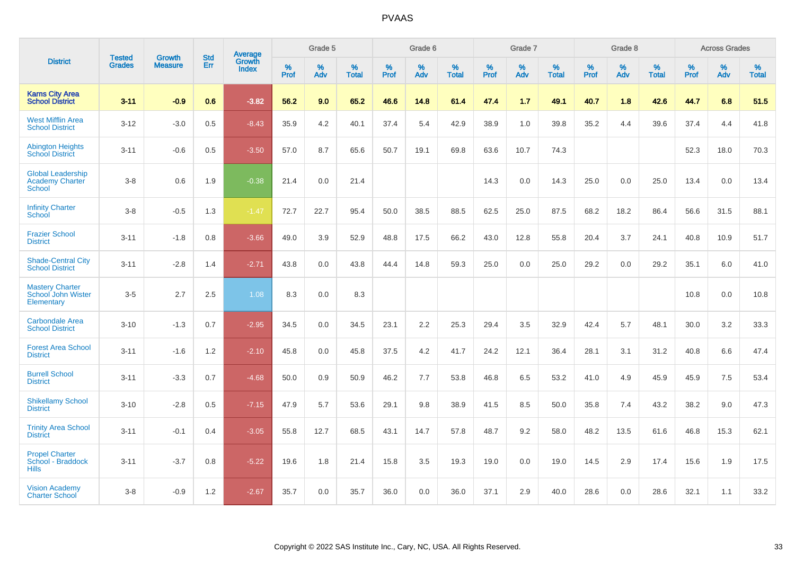|                                                                     | <b>Tested</b> | <b>Growth</b>  | <b>Std</b> | <b>Average</b>         |           | Grade 5  |                   |           | Grade 6  |                   |           | Grade 7  |                   |           | Grade 8  |                   |              | <b>Across Grades</b> |                   |
|---------------------------------------------------------------------|---------------|----------------|------------|------------------------|-----------|----------|-------------------|-----------|----------|-------------------|-----------|----------|-------------------|-----------|----------|-------------------|--------------|----------------------|-------------------|
| <b>District</b>                                                     | <b>Grades</b> | <b>Measure</b> | Err        | Growth<br><b>Index</b> | %<br>Prof | %<br>Adv | %<br><b>Total</b> | %<br>Prof | %<br>Adv | %<br><b>Total</b> | %<br>Prof | %<br>Adv | %<br><b>Total</b> | %<br>Prof | %<br>Adv | %<br><b>Total</b> | $\%$<br>Prof | %<br>Adv             | %<br><b>Total</b> |
| <b>Karns City Area</b><br><b>School District</b>                    | $3 - 11$      | $-0.9$         | 0.6        | $-3.82$                | 56.2      | 9.0      | 65.2              | 46.6      | 14.8     | 61.4              | 47.4      | 1.7      | 49.1              | 40.7      | 1.8      | 42.6              | 44.7         | 6.8                  | 51.5              |
| <b>West Mifflin Area</b><br><b>School District</b>                  | $3 - 12$      | $-3.0$         | 0.5        | $-8.43$                | 35.9      | 4.2      | 40.1              | 37.4      | 5.4      | 42.9              | 38.9      | 1.0      | 39.8              | 35.2      | 4.4      | 39.6              | 37.4         | 4.4                  | 41.8              |
| <b>Abington Heights</b><br><b>School District</b>                   | $3 - 11$      | $-0.6$         | 0.5        | $-3.50$                | 57.0      | 8.7      | 65.6              | 50.7      | 19.1     | 69.8              | 63.6      | 10.7     | 74.3              |           |          |                   | 52.3         | 18.0                 | 70.3              |
| <b>Global Leadership</b><br><b>Academy Charter</b><br><b>School</b> | $3 - 8$       | 0.6            | 1.9        | $-0.38$                | 21.4      | 0.0      | 21.4              |           |          |                   | 14.3      | 0.0      | 14.3              | 25.0      | 0.0      | 25.0              | 13.4         | 0.0                  | 13.4              |
| <b>Infinity Charter</b><br><b>School</b>                            | $3-8$         | $-0.5$         | 1.3        | $-1.47$                | 72.7      | 22.7     | 95.4              | 50.0      | 38.5     | 88.5              | 62.5      | 25.0     | 87.5              | 68.2      | 18.2     | 86.4              | 56.6         | 31.5                 | 88.1              |
| <b>Frazier School</b><br><b>District</b>                            | $3 - 11$      | $-1.8$         | 0.8        | $-3.66$                | 49.0      | 3.9      | 52.9              | 48.8      | 17.5     | 66.2              | 43.0      | 12.8     | 55.8              | 20.4      | 3.7      | 24.1              | 40.8         | 10.9                 | 51.7              |
| <b>Shade-Central City</b><br><b>School District</b>                 | $3 - 11$      | $-2.8$         | 1.4        | $-2.71$                | 43.8      | 0.0      | 43.8              | 44.4      | 14.8     | 59.3              | 25.0      | 0.0      | 25.0              | 29.2      | 0.0      | 29.2              | 35.1         | 6.0                  | 41.0              |
| <b>Mastery Charter</b><br>School John Wister<br>Elementary          | $3-5$         | 2.7            | 2.5        | 1.08                   | 8.3       | 0.0      | 8.3               |           |          |                   |           |          |                   |           |          |                   | 10.8         | 0.0                  | 10.8              |
| <b>Carbondale Area</b><br><b>School District</b>                    | $3 - 10$      | $-1.3$         | 0.7        | $-2.95$                | 34.5      | 0.0      | 34.5              | 23.1      | 2.2      | 25.3              | 29.4      | 3.5      | 32.9              | 42.4      | 5.7      | 48.1              | 30.0         | 3.2                  | 33.3              |
| <b>Forest Area School</b><br><b>District</b>                        | $3 - 11$      | $-1.6$         | 1.2        | $-2.10$                | 45.8      | 0.0      | 45.8              | 37.5      | 4.2      | 41.7              | 24.2      | 12.1     | 36.4              | 28.1      | 3.1      | 31.2              | 40.8         | 6.6                  | 47.4              |
| <b>Burrell School</b><br><b>District</b>                            | $3 - 11$      | $-3.3$         | 0.7        | $-4.68$                | 50.0      | 0.9      | 50.9              | 46.2      | 7.7      | 53.8              | 46.8      | 6.5      | 53.2              | 41.0      | 4.9      | 45.9              | 45.9         | 7.5                  | 53.4              |
| <b>Shikellamy School</b><br><b>District</b>                         | $3 - 10$      | $-2.8$         | 0.5        | $-7.15$                | 47.9      | 5.7      | 53.6              | 29.1      | 9.8      | 38.9              | 41.5      | 8.5      | 50.0              | 35.8      | 7.4      | 43.2              | 38.2         | 9.0                  | 47.3              |
| <b>Trinity Area School</b><br><b>District</b>                       | $3 - 11$      | $-0.1$         | 0.4        | $-3.05$                | 55.8      | 12.7     | 68.5              | 43.1      | 14.7     | 57.8              | 48.7      | 9.2      | 58.0              | 48.2      | 13.5     | 61.6              | 46.8         | 15.3                 | 62.1              |
| <b>Propel Charter</b><br>School - Braddock<br><b>Hills</b>          | $3 - 11$      | $-3.7$         | 0.8        | $-5.22$                | 19.6      | 1.8      | 21.4              | 15.8      | 3.5      | 19.3              | 19.0      | 0.0      | 19.0              | 14.5      | 2.9      | 17.4              | 15.6         | 1.9                  | 17.5              |
| <b>Vision Academy</b><br><b>Charter School</b>                      | $3 - 8$       | $-0.9$         | 1.2        | $-2.67$                | 35.7      | 0.0      | 35.7              | 36.0      | 0.0      | 36.0              | 37.1      | 2.9      | 40.0              | 28.6      | 0.0      | 28.6              | 32.1         | 1.1                  | 33.2              |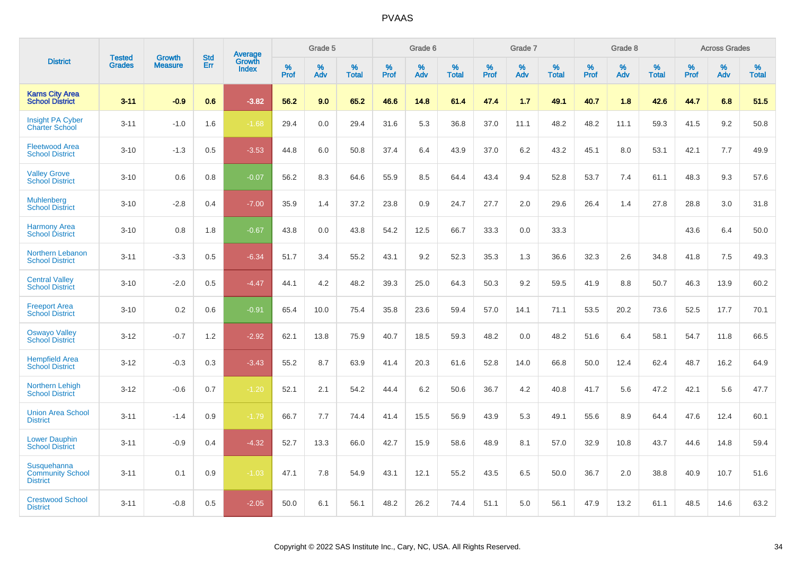|                                                           | <b>Tested</b> | <b>Growth</b>  | <b>Std</b> | Average                |              | Grade 5     |                      |              | Grade 6     |                      |              | Grade 7     |                      |              | Grade 8     |                   |                     | <b>Across Grades</b> |                      |
|-----------------------------------------------------------|---------------|----------------|------------|------------------------|--------------|-------------|----------------------|--------------|-------------|----------------------|--------------|-------------|----------------------|--------------|-------------|-------------------|---------------------|----------------------|----------------------|
| <b>District</b>                                           | <b>Grades</b> | <b>Measure</b> | Err        | Growth<br><b>Index</b> | $\%$<br>Prof | $\%$<br>Adv | $\%$<br><b>Total</b> | $\%$<br>Prof | $\%$<br>Adv | $\%$<br><b>Total</b> | $\%$<br>Prof | $\%$<br>Adv | $\%$<br><b>Total</b> | $\%$<br>Prof | $\%$<br>Adv | %<br><b>Total</b> | $\%$<br><b>Prof</b> | $\%$<br>Adv          | $\%$<br><b>Total</b> |
| <b>Karns City Area</b><br><b>School District</b>          | $3 - 11$      | $-0.9$         | 0.6        | $-3.82$                | 56.2         | 9.0         | 65.2                 | 46.6         | 14.8        | 61.4                 | 47.4         | 1.7         | 49.1                 | 40.7         | 1.8         | 42.6              | 44.7                | 6.8                  | 51.5                 |
| <b>Insight PA Cyber</b><br><b>Charter School</b>          | $3 - 11$      | $-1.0$         | 1.6        | $-1.68$                | 29.4         | 0.0         | 29.4                 | 31.6         | 5.3         | 36.8                 | 37.0         | 11.1        | 48.2                 | 48.2         | 11.1        | 59.3              | 41.5                | 9.2                  | 50.8                 |
| <b>Fleetwood Area</b><br><b>School District</b>           | $3 - 10$      | $-1.3$         | 0.5        | $-3.53$                | 44.8         | 6.0         | 50.8                 | 37.4         | 6.4         | 43.9                 | 37.0         | 6.2         | 43.2                 | 45.1         | 8.0         | 53.1              | 42.1                | 7.7                  | 49.9                 |
| <b>Valley Grove</b><br><b>School District</b>             | $3 - 10$      | 0.6            | 0.8        | $-0.07$                | 56.2         | 8.3         | 64.6                 | 55.9         | 8.5         | 64.4                 | 43.4         | 9.4         | 52.8                 | 53.7         | 7.4         | 61.1              | 48.3                | 9.3                  | 57.6                 |
| Muhlenberg<br><b>School District</b>                      | $3 - 10$      | $-2.8$         | 0.4        | $-7.00$                | 35.9         | 1.4         | 37.2                 | 23.8         | 0.9         | 24.7                 | 27.7         | 2.0         | 29.6                 | 26.4         | 1.4         | 27.8              | 28.8                | 3.0                  | 31.8                 |
| <b>Harmony Area</b><br><b>School District</b>             | $3 - 10$      | 0.8            | 1.8        | $-0.67$                | 43.8         | 0.0         | 43.8                 | 54.2         | 12.5        | 66.7                 | 33.3         | 0.0         | 33.3                 |              |             |                   | 43.6                | 6.4                  | 50.0                 |
| Northern Lebanon<br><b>School District</b>                | $3 - 11$      | $-3.3$         | 0.5        | $-6.34$                | 51.7         | 3.4         | 55.2                 | 43.1         | 9.2         | 52.3                 | 35.3         | 1.3         | 36.6                 | 32.3         | 2.6         | 34.8              | 41.8                | 7.5                  | 49.3                 |
| <b>Central Valley</b><br><b>School District</b>           | $3 - 10$      | $-2.0$         | 0.5        | $-4.47$                | 44.1         | 4.2         | 48.2                 | 39.3         | 25.0        | 64.3                 | 50.3         | 9.2         | 59.5                 | 41.9         | 8.8         | 50.7              | 46.3                | 13.9                 | 60.2                 |
| <b>Freeport Area</b><br><b>School District</b>            | $3 - 10$      | 0.2            | 0.6        | $-0.91$                | 65.4         | 10.0        | 75.4                 | 35.8         | 23.6        | 59.4                 | 57.0         | 14.1        | 71.1                 | 53.5         | 20.2        | 73.6              | 52.5                | 17.7                 | 70.1                 |
| <b>Oswayo Valley</b><br>School District                   | $3 - 12$      | $-0.7$         | 1.2        | $-2.92$                | 62.1         | 13.8        | 75.9                 | 40.7         | 18.5        | 59.3                 | 48.2         | 0.0         | 48.2                 | 51.6         | 6.4         | 58.1              | 54.7                | 11.8                 | 66.5                 |
| <b>Hempfield Area</b><br><b>School District</b>           | $3 - 12$      | $-0.3$         | 0.3        | $-3.43$                | 55.2         | 8.7         | 63.9                 | 41.4         | 20.3        | 61.6                 | 52.8         | 14.0        | 66.8                 | 50.0         | 12.4        | 62.4              | 48.7                | 16.2                 | 64.9                 |
| Northern Lehigh<br><b>School District</b>                 | $3 - 12$      | $-0.6$         | 0.7        | $-1.20$                | 52.1         | 2.1         | 54.2                 | 44.4         | 6.2         | 50.6                 | 36.7         | 4.2         | 40.8                 | 41.7         | 5.6         | 47.2              | 42.1                | 5.6                  | 47.7                 |
| <b>Union Area School</b><br><b>District</b>               | $3 - 11$      | $-1.4$         | 0.9        | $-1.79$                | 66.7         | 7.7         | 74.4                 | 41.4         | 15.5        | 56.9                 | 43.9         | 5.3         | 49.1                 | 55.6         | 8.9         | 64.4              | 47.6                | 12.4                 | 60.1                 |
| <b>Lower Dauphin</b><br><b>School District</b>            | $3 - 11$      | $-0.9$         | 0.4        | $-4.32$                | 52.7         | 13.3        | 66.0                 | 42.7         | 15.9        | 58.6                 | 48.9         | 8.1         | 57.0                 | 32.9         | 10.8        | 43.7              | 44.6                | 14.8                 | 59.4                 |
| Susquehanna<br><b>Community School</b><br><b>District</b> | $3 - 11$      | 0.1            | 0.9        | $-1.03$                | 47.1         | 7.8         | 54.9                 | 43.1         | 12.1        | 55.2                 | 43.5         | 6.5         | 50.0                 | 36.7         | 2.0         | 38.8              | 40.9                | 10.7                 | 51.6                 |
| <b>Crestwood School</b><br><b>District</b>                | $3 - 11$      | $-0.8$         | 0.5        | $-2.05$                | 50.0         | 6.1         | 56.1                 | 48.2         | 26.2        | 74.4                 | 51.1         | 5.0         | 56.1                 | 47.9         | 13.2        | 61.1              | 48.5                | 14.6                 | 63.2                 |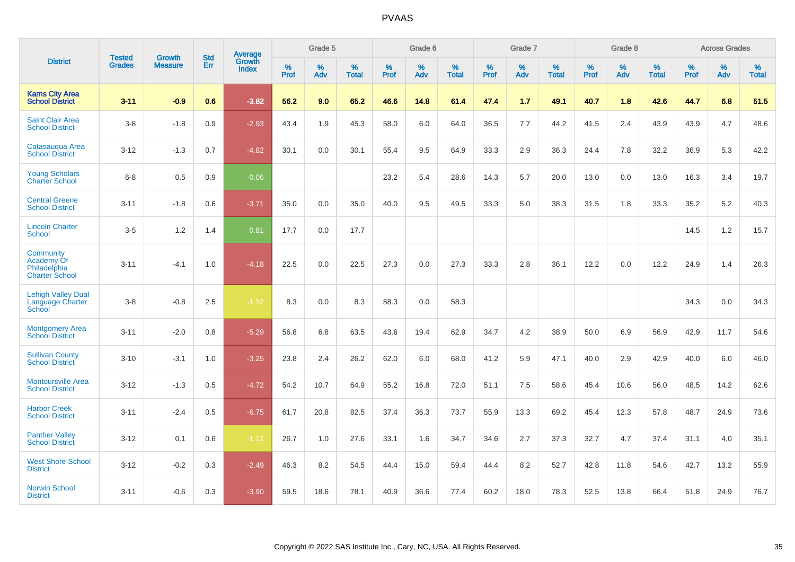|                                                                  | <b>Tested</b> | <b>Growth</b>  | <b>Std</b> | <b>Average</b>         |           | Grade 5  |                   |           | Grade 6  |                   |           | Grade 7  |                   |           | Grade 8  |                   |           | <b>Across Grades</b> |                   |
|------------------------------------------------------------------|---------------|----------------|------------|------------------------|-----------|----------|-------------------|-----------|----------|-------------------|-----------|----------|-------------------|-----------|----------|-------------------|-----------|----------------------|-------------------|
| <b>District</b>                                                  | <b>Grades</b> | <b>Measure</b> | Err        | Growth<br><b>Index</b> | %<br>Prof | %<br>Adv | %<br><b>Total</b> | %<br>Prof | %<br>Adv | %<br><b>Total</b> | %<br>Prof | %<br>Adv | %<br><b>Total</b> | %<br>Prof | %<br>Adv | %<br><b>Total</b> | %<br>Prof | %<br>Adv             | %<br><b>Total</b> |
| <b>Karns City Area</b><br><b>School District</b>                 | $3 - 11$      | $-0.9$         | 0.6        | $-3.82$                | 56.2      | 9.0      | 65.2              | 46.6      | 14.8     | 61.4              | 47.4      | 1.7      | 49.1              | 40.7      | 1.8      | 42.6              | 44.7      | 6.8                  | 51.5              |
| <b>Saint Clair Area</b><br><b>School District</b>                | $3-8$         | $-1.8$         | 0.9        | $-2.93$                | 43.4      | 1.9      | 45.3              | 58.0      | 6.0      | 64.0              | 36.5      | 7.7      | 44.2              | 41.5      | 2.4      | 43.9              | 43.9      | 4.7                  | 48.6              |
| Catasauqua Area<br><b>School District</b>                        | $3 - 12$      | $-1.3$         | 0.7        | $-4.82$                | 30.1      | 0.0      | 30.1              | 55.4      | 9.5      | 64.9              | 33.3      | 2.9      | 36.3              | 24.4      | 7.8      | 32.2              | 36.9      | 5.3                  | 42.2              |
| <b>Young Scholars</b><br><b>Charter School</b>                   | $6 - 8$       | 0.5            | 0.9        | $-0.06$                |           |          |                   | 23.2      | 5.4      | 28.6              | 14.3      | 5.7      | 20.0              | 13.0      | 0.0      | 13.0              | 16.3      | 3.4                  | 19.7              |
| <b>Central Greene</b><br><b>School District</b>                  | $3 - 11$      | $-1.8$         | 0.6        | $-3.71$                | 35.0      | 0.0      | 35.0              | 40.0      | 9.5      | 49.5              | 33.3      | 5.0      | 38.3              | 31.5      | 1.8      | 33.3              | 35.2      | $5.2\,$              | 40.3              |
| <b>Lincoln Charter</b><br><b>School</b>                          | $3-5$         | 1.2            | 1.4        | 0.81                   | 17.7      | 0.0      | 17.7              |           |          |                   |           |          |                   |           |          |                   | 14.5      | 1.2                  | 15.7              |
| Community<br>Academy Of<br>Philadelphia<br><b>Charter School</b> | $3 - 11$      | $-4.1$         | 1.0        | $-4.18$                | 22.5      | 0.0      | 22.5              | 27.3      | 0.0      | 27.3              | 33.3      | 2.8      | 36.1              | 12.2      | 0.0      | 12.2              | 24.9      | 1.4                  | 26.3              |
| <b>Lehigh Valley Dual</b><br>Language Charter<br>School          | $3 - 8$       | $-0.8$         | 2.5        | $-1.32$                | 8.3       | 0.0      | 8.3               | 58.3      | 0.0      | 58.3              |           |          |                   |           |          |                   | 34.3      | 0.0                  | 34.3              |
| <b>Montgomery Area</b><br><b>School District</b>                 | $3 - 11$      | $-2.0$         | 0.8        | $-5.29$                | 56.8      | 6.8      | 63.5              | 43.6      | 19.4     | 62.9              | 34.7      | 4.2      | 38.9              | 50.0      | 6.9      | 56.9              | 42.9      | 11.7                 | 54.6              |
| <b>Sullivan County</b><br><b>School District</b>                 | $3 - 10$      | $-3.1$         | 1.0        | $-3.25$                | 23.8      | 2.4      | 26.2              | 62.0      | 6.0      | 68.0              | 41.2      | 5.9      | 47.1              | 40.0      | 2.9      | 42.9              | 40.0      | 6.0                  | 46.0              |
| <b>Montoursville Area</b><br><b>School District</b>              | $3 - 12$      | $-1.3$         | 0.5        | $-4.72$                | 54.2      | 10.7     | 64.9              | 55.2      | 16.8     | 72.0              | 51.1      | 7.5      | 58.6              | 45.4      | 10.6     | 56.0              | 48.5      | 14.2                 | 62.6              |
| <b>Harbor Creek</b><br><b>School District</b>                    | $3 - 11$      | $-2.4$         | 0.5        | $-6.75$                | 61.7      | 20.8     | 82.5              | 37.4      | 36.3     | 73.7              | 55.9      | 13.3     | 69.2              | 45.4      | 12.3     | 57.8              | 48.7      | 24.9                 | 73.6              |
| <b>Panther Valley</b><br><b>School District</b>                  | $3 - 12$      | 0.1            | 0.6        | $-1.12$                | 26.7      | 1.0      | 27.6              | 33.1      | 1.6      | 34.7              | 34.6      | 2.7      | 37.3              | 32.7      | 4.7      | 37.4              | 31.1      | 4.0                  | 35.1              |
| <b>West Shore School</b><br><b>District</b>                      | $3 - 12$      | $-0.2$         | 0.3        | $-2.49$                | 46.3      | 8.2      | 54.5              | 44.4      | 15.0     | 59.4              | 44.4      | 8.2      | 52.7              | 42.8      | 11.8     | 54.6              | 42.7      | 13.2                 | 55.9              |
| <b>Norwin School</b><br><b>District</b>                          | $3 - 11$      | $-0.6$         | 0.3        | $-3.90$                | 59.5      | 18.6     | 78.1              | 40.9      | 36.6     | 77.4              | 60.2      | 18.0     | 78.3              | 52.5      | 13.8     | 66.4              | 51.8      | 24.9                 | 76.7              |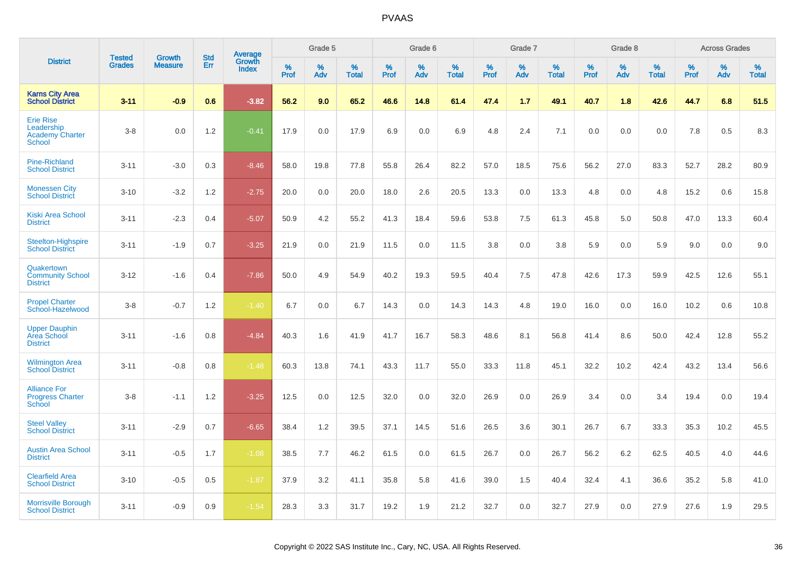|                                                                    |                                |                                 | <b>Std</b> |                                          |                     | Grade 5  |                   |           | Grade 6  |                   |           | Grade 7  |                   |           | Grade 8  |                   |           | <b>Across Grades</b> |                   |
|--------------------------------------------------------------------|--------------------------------|---------------------------------|------------|------------------------------------------|---------------------|----------|-------------------|-----------|----------|-------------------|-----------|----------|-------------------|-----------|----------|-------------------|-----------|----------------------|-------------------|
| <b>District</b>                                                    | <b>Tested</b><br><b>Grades</b> | <b>Growth</b><br><b>Measure</b> | Err        | <b>Average</b><br>Growth<br><b>Index</b> | $\%$<br><b>Prof</b> | %<br>Adv | %<br><b>Total</b> | %<br>Prof | %<br>Adv | %<br><b>Total</b> | %<br>Prof | %<br>Adv | %<br><b>Total</b> | %<br>Prof | %<br>Adv | %<br><b>Total</b> | %<br>Prof | %<br>Adv             | %<br><b>Total</b> |
| <b>Karns City Area</b><br><b>School District</b>                   | $3 - 11$                       | $-0.9$                          | 0.6        | $-3.82$                                  | 56.2                | 9.0      | 65.2              | 46.6      | 14.8     | 61.4              | 47.4      | 1.7      | 49.1              | 40.7      | 1.8      | 42.6              | 44.7      | 6.8                  | 51.5              |
| <b>Erie Rise</b><br>Leadership<br><b>Academy Charter</b><br>School | $3-8$                          | 0.0                             | 1.2        | $-0.41$                                  | 17.9                | 0.0      | 17.9              | 6.9       | 0.0      | 6.9               | 4.8       | 2.4      | 7.1               | 0.0       | 0.0      | 0.0               | 7.8       | 0.5                  | 8.3               |
| <b>Pine-Richland</b><br><b>School District</b>                     | $3 - 11$                       | $-3.0$                          | 0.3        | $-8.46$                                  | 58.0                | 19.8     | 77.8              | 55.8      | 26.4     | 82.2              | 57.0      | 18.5     | 75.6              | 56.2      | 27.0     | 83.3              | 52.7      | 28.2                 | 80.9              |
| <b>Monessen City</b><br><b>School District</b>                     | $3 - 10$                       | $-3.2$                          | 1.2        | $-2.75$                                  | 20.0                | 0.0      | 20.0              | 18.0      | 2.6      | 20.5              | 13.3      | 0.0      | 13.3              | 4.8       | 0.0      | 4.8               | 15.2      | 0.6                  | 15.8              |
| <b>Kiski Area School</b><br><b>District</b>                        | $3 - 11$                       | $-2.3$                          | 0.4        | $-5.07$                                  | 50.9                | 4.2      | 55.2              | 41.3      | 18.4     | 59.6              | 53.8      | 7.5      | 61.3              | 45.8      | 5.0      | 50.8              | 47.0      | 13.3                 | 60.4              |
| Steelton-Highspire<br><b>School District</b>                       | $3 - 11$                       | $-1.9$                          | 0.7        | $-3.25$                                  | 21.9                | 0.0      | 21.9              | 11.5      | 0.0      | 11.5              | 3.8       | 0.0      | 3.8               | 5.9       | 0.0      | 5.9               | 9.0       | 0.0                  | 9.0               |
| Quakertown<br><b>Community School</b><br><b>District</b>           | $3 - 12$                       | $-1.6$                          | 0.4        | $-7.86$                                  | 50.0                | 4.9      | 54.9              | 40.2      | 19.3     | 59.5              | 40.4      | 7.5      | 47.8              | 42.6      | 17.3     | 59.9              | 42.5      | 12.6                 | 55.1              |
| <b>Propel Charter</b><br>School-Hazelwood                          | $3-8$                          | $-0.7$                          | 1.2        | $-1.40$                                  | 6.7                 | 0.0      | 6.7               | 14.3      | 0.0      | 14.3              | 14.3      | 4.8      | 19.0              | 16.0      | 0.0      | 16.0              | 10.2      | 0.6                  | 10.8              |
| <b>Upper Dauphin</b><br><b>Area School</b><br><b>District</b>      | $3 - 11$                       | $-1.6$                          | 0.8        | $-4.84$                                  | 40.3                | 1.6      | 41.9              | 41.7      | 16.7     | 58.3              | 48.6      | 8.1      | 56.8              | 41.4      | 8.6      | 50.0              | 42.4      | 12.8                 | 55.2              |
| <b>Wilmington Area</b><br><b>School District</b>                   | $3 - 11$                       | $-0.8$                          | 0.8        | $-1.48$                                  | 60.3                | 13.8     | 74.1              | 43.3      | 11.7     | 55.0              | 33.3      | 11.8     | 45.1              | 32.2      | 10.2     | 42.4              | 43.2      | 13.4                 | 56.6              |
| <b>Alliance For</b><br><b>Progress Charter</b><br>School           | $3-8$                          | $-1.1$                          | 1.2        | $-3.25$                                  | 12.5                | 0.0      | 12.5              | 32.0      | 0.0      | 32.0              | 26.9      | 0.0      | 26.9              | 3.4       | 0.0      | 3.4               | 19.4      | 0.0                  | 19.4              |
| <b>Steel Valley</b><br><b>School District</b>                      | $3 - 11$                       | $-2.9$                          | 0.7        | $-6.65$                                  | 38.4                | 1.2      | 39.5              | 37.1      | 14.5     | 51.6              | 26.5      | 3.6      | 30.1              | 26.7      | 6.7      | 33.3              | 35.3      | 10.2                 | 45.5              |
| <b>Austin Area School</b><br><b>District</b>                       | $3 - 11$                       | $-0.5$                          | 1.7        | $-1.08$                                  | 38.5                | 7.7      | 46.2              | 61.5      | 0.0      | 61.5              | 26.7      | 0.0      | 26.7              | 56.2      | 6.2      | 62.5              | 40.5      | 4.0                  | 44.6              |
| <b>Clearfield Area</b><br><b>School District</b>                   | $3 - 10$                       | $-0.5$                          | 0.5        | $-1.87$                                  | 37.9                | 3.2      | 41.1              | 35.8      | 5.8      | 41.6              | 39.0      | 1.5      | 40.4              | 32.4      | 4.1      | 36.6              | 35.2      | 5.8                  | 41.0              |
| <b>Morrisville Borough</b><br><b>School District</b>               | $3 - 11$                       | $-0.9$                          | 0.9        | $-1.54$                                  | 28.3                | 3.3      | 31.7              | 19.2      | 1.9      | 21.2              | 32.7      | 0.0      | 32.7              | 27.9      | 0.0      | 27.9              | 27.6      | 1.9                  | 29.5              |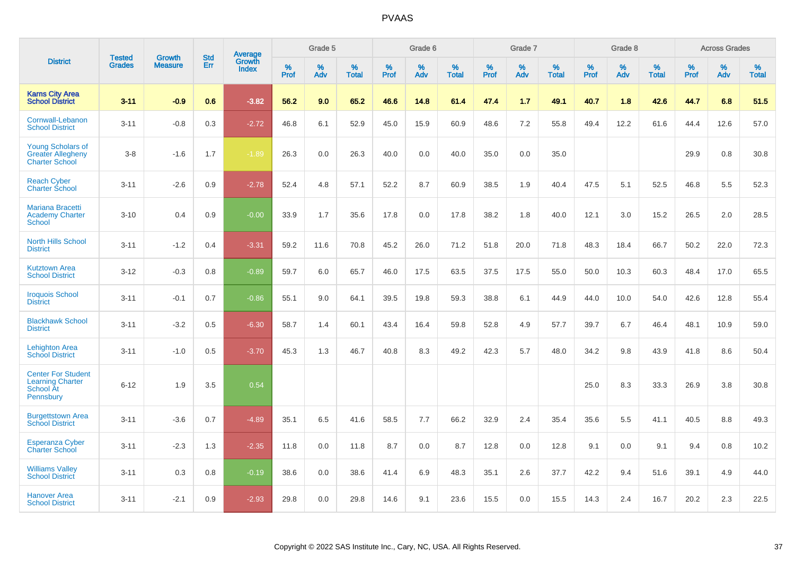|                                                                                       |                                | <b>Growth</b>  | <b>Std</b> | Average                |              | Grade 5  |                   |           | Grade 6  |                   |           | Grade 7  |                   |           | Grade 8  |                   |           | <b>Across Grades</b> |                   |
|---------------------------------------------------------------------------------------|--------------------------------|----------------|------------|------------------------|--------------|----------|-------------------|-----------|----------|-------------------|-----------|----------|-------------------|-----------|----------|-------------------|-----------|----------------------|-------------------|
| <b>District</b>                                                                       | <b>Tested</b><br><b>Grades</b> | <b>Measure</b> | <b>Err</b> | Growth<br><b>Index</b> | $\%$<br>Prof | %<br>Adv | %<br><b>Total</b> | %<br>Prof | %<br>Adv | %<br><b>Total</b> | %<br>Prof | %<br>Adv | %<br><b>Total</b> | %<br>Prof | %<br>Adv | %<br><b>Total</b> | %<br>Prof | %<br>Adv             | %<br><b>Total</b> |
| <b>Karns City Area</b><br><b>School District</b>                                      | $3 - 11$                       | $-0.9$         | 0.6        | $-3.82$                | 56.2         | 9.0      | 65.2              | 46.6      | 14.8     | 61.4              | 47.4      | 1.7      | 49.1              | 40.7      | 1.8      | 42.6              | 44.7      | 6.8                  | 51.5              |
| Cornwall-Lebanon<br><b>School District</b>                                            | $3 - 11$                       | $-0.8$         | 0.3        | $-2.72$                | 46.8         | 6.1      | 52.9              | 45.0      | 15.9     | 60.9              | 48.6      | 7.2      | 55.8              | 49.4      | 12.2     | 61.6              | 44.4      | 12.6                 | 57.0              |
| <b>Young Scholars of</b><br><b>Greater Allegheny</b><br><b>Charter School</b>         | $3 - 8$                        | $-1.6$         | 1.7        | $-1.89$                | 26.3         | 0.0      | 26.3              | 40.0      | 0.0      | 40.0              | 35.0      | 0.0      | 35.0              |           |          |                   | 29.9      | $0.8\,$              | 30.8              |
| <b>Reach Cyber</b><br><b>Charter School</b>                                           | $3 - 11$                       | $-2.6$         | 0.9        | $-2.78$                | 52.4         | 4.8      | 57.1              | 52.2      | 8.7      | 60.9              | 38.5      | 1.9      | 40.4              | 47.5      | 5.1      | 52.5              | 46.8      | 5.5                  | 52.3              |
| <b>Mariana Bracetti</b><br><b>Academy Charter</b><br>School                           | $3 - 10$                       | 0.4            | 0.9        | $-0.00$                | 33.9         | 1.7      | 35.6              | 17.8      | 0.0      | 17.8              | 38.2      | 1.8      | 40.0              | 12.1      | 3.0      | 15.2              | 26.5      | 2.0                  | 28.5              |
| <b>North Hills School</b><br><b>District</b>                                          | $3 - 11$                       | $-1.2$         | 0.4        | $-3.31$                | 59.2         | 11.6     | 70.8              | 45.2      | 26.0     | 71.2              | 51.8      | 20.0     | 71.8              | 48.3      | 18.4     | 66.7              | 50.2      | 22.0                 | 72.3              |
| <b>Kutztown Area</b><br><b>School District</b>                                        | $3 - 12$                       | $-0.3$         | 0.8        | $-0.89$                | 59.7         | 6.0      | 65.7              | 46.0      | 17.5     | 63.5              | 37.5      | 17.5     | 55.0              | 50.0      | 10.3     | 60.3              | 48.4      | 17.0                 | 65.5              |
| <b>Iroquois School</b><br><b>District</b>                                             | $3 - 11$                       | $-0.1$         | 0.7        | $-0.86$                | 55.1         | 9.0      | 64.1              | 39.5      | 19.8     | 59.3              | 38.8      | 6.1      | 44.9              | 44.0      | 10.0     | 54.0              | 42.6      | 12.8                 | 55.4              |
| <b>Blackhawk School</b><br><b>District</b>                                            | $3 - 11$                       | $-3.2$         | 0.5        | $-6.30$                | 58.7         | 1.4      | 60.1              | 43.4      | 16.4     | 59.8              | 52.8      | 4.9      | 57.7              | 39.7      | 6.7      | 46.4              | 48.1      | 10.9                 | 59.0              |
| <b>Lehighton Area</b><br><b>School District</b>                                       | $3 - 11$                       | $-1.0$         | 0.5        | $-3.70$                | 45.3         | 1.3      | 46.7              | 40.8      | 8.3      | 49.2              | 42.3      | 5.7      | 48.0              | 34.2      | 9.8      | 43.9              | 41.8      | 8.6                  | 50.4              |
| <b>Center For Student</b><br><b>Learning Charter</b><br>School At<br><b>Pennsbury</b> | $6 - 12$                       | 1.9            | 3.5        | 0.54                   |              |          |                   |           |          |                   |           |          |                   | 25.0      | 8.3      | 33.3              | 26.9      | 3.8                  | 30.8              |
| <b>Burgettstown Area</b><br><b>School District</b>                                    | $3 - 11$                       | $-3.6$         | 0.7        | $-4.89$                | 35.1         | 6.5      | 41.6              | 58.5      | 7.7      | 66.2              | 32.9      | 2.4      | 35.4              | 35.6      | 5.5      | 41.1              | 40.5      | 8.8                  | 49.3              |
| <b>Esperanza Cyber</b><br><b>Charter School</b>                                       | $3 - 11$                       | $-2.3$         | 1.3        | $-2.35$                | 11.8         | 0.0      | 11.8              | 8.7       | 0.0      | 8.7               | 12.8      | 0.0      | 12.8              | 9.1       | 0.0      | 9.1               | 9.4       | 0.8                  | 10.2              |
| <b>Williams Valley</b><br><b>School District</b>                                      | $3 - 11$                       | 0.3            | 0.8        | $-0.19$                | 38.6         | 0.0      | 38.6              | 41.4      | 6.9      | 48.3              | 35.1      | 2.6      | 37.7              | 42.2      | 9.4      | 51.6              | 39.1      | 4.9                  | 44.0              |
| <b>Hanover Area</b><br><b>School District</b>                                         | $3 - 11$                       | $-2.1$         | 0.9        | $-2.93$                | 29.8         | 0.0      | 29.8              | 14.6      | 9.1      | 23.6              | 15.5      | 0.0      | 15.5              | 14.3      | 2.4      | 16.7              | 20.2      | 2.3                  | 22.5              |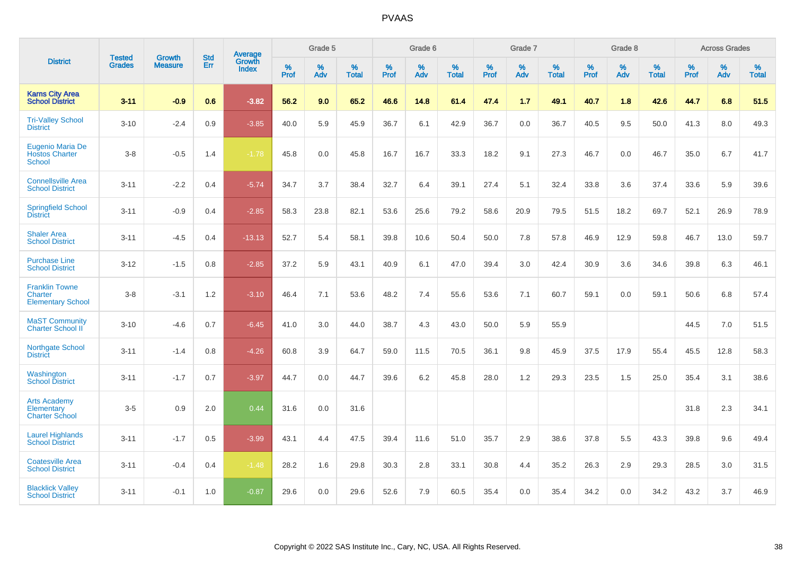|                                                              | <b>Tested</b> | <b>Growth</b>  | <b>Std</b> | Average<br>Growth |              | Grade 5  |                   |           | Grade 6  |                   |           | Grade 7  |                   |           | Grade 8  |                   |           | <b>Across Grades</b> |                   |
|--------------------------------------------------------------|---------------|----------------|------------|-------------------|--------------|----------|-------------------|-----------|----------|-------------------|-----------|----------|-------------------|-----------|----------|-------------------|-----------|----------------------|-------------------|
| <b>District</b>                                              | <b>Grades</b> | <b>Measure</b> | <b>Err</b> | <b>Index</b>      | $\%$<br>Prof | %<br>Adv | %<br><b>Total</b> | %<br>Prof | %<br>Adv | %<br><b>Total</b> | %<br>Prof | %<br>Adv | %<br><b>Total</b> | %<br>Prof | %<br>Adv | %<br><b>Total</b> | %<br>Prof | %<br>Adv             | %<br><b>Total</b> |
| <b>Karns City Area</b><br><b>School District</b>             | $3 - 11$      | $-0.9$         | 0.6        | $-3.82$           | 56.2         | 9.0      | 65.2              | 46.6      | 14.8     | 61.4              | 47.4      | 1.7      | 49.1              | 40.7      | 1.8      | 42.6              | 44.7      | 6.8                  | 51.5              |
| <b>Tri-Valley School</b><br><b>District</b>                  | $3 - 10$      | $-2.4$         | 0.9        | $-3.85$           | 40.0         | 5.9      | 45.9              | 36.7      | 6.1      | 42.9              | 36.7      | 0.0      | 36.7              | 40.5      | 9.5      | 50.0              | 41.3      | 8.0                  | 49.3              |
| Eugenio Maria De<br><b>Hostos Charter</b><br><b>School</b>   | $3 - 8$       | $-0.5$         | 1.4        | $-1.78$           | 45.8         | 0.0      | 45.8              | 16.7      | 16.7     | 33.3              | 18.2      | 9.1      | 27.3              | 46.7      | 0.0      | 46.7              | 35.0      | 6.7                  | 41.7              |
| <b>Connellsville Area</b><br><b>School District</b>          | $3 - 11$      | $-2.2$         | 0.4        | $-5.74$           | 34.7         | 3.7      | 38.4              | 32.7      | 6.4      | 39.1              | 27.4      | 5.1      | 32.4              | 33.8      | 3.6      | 37.4              | 33.6      | 5.9                  | 39.6              |
| <b>Springfield School</b><br><b>District</b>                 | $3 - 11$      | $-0.9$         | 0.4        | $-2.85$           | 58.3         | 23.8     | 82.1              | 53.6      | 25.6     | 79.2              | 58.6      | 20.9     | 79.5              | 51.5      | 18.2     | 69.7              | 52.1      | 26.9                 | 78.9              |
| <b>Shaler Area</b><br><b>School District</b>                 | $3 - 11$      | $-4.5$         | 0.4        | $-13.13$          | 52.7         | 5.4      | 58.1              | 39.8      | 10.6     | 50.4              | 50.0      | 7.8      | 57.8              | 46.9      | 12.9     | 59.8              | 46.7      | 13.0                 | 59.7              |
| <b>Purchase Line</b><br><b>School District</b>               | $3 - 12$      | $-1.5$         | 0.8        | $-2.85$           | 37.2         | 5.9      | 43.1              | 40.9      | 6.1      | 47.0              | 39.4      | 3.0      | 42.4              | 30.9      | 3.6      | 34.6              | 39.8      | 6.3                  | 46.1              |
| <b>Franklin Towne</b><br>Charter<br><b>Elementary School</b> | $3-8$         | $-3.1$         | 1.2        | $-3.10$           | 46.4         | 7.1      | 53.6              | 48.2      | 7.4      | 55.6              | 53.6      | 7.1      | 60.7              | 59.1      | 0.0      | 59.1              | 50.6      | 6.8                  | 57.4              |
| <b>MaST Community</b><br>Charter School II                   | $3 - 10$      | $-4.6$         | 0.7        | $-6.45$           | 41.0         | 3.0      | 44.0              | 38.7      | 4.3      | 43.0              | 50.0      | 5.9      | 55.9              |           |          |                   | 44.5      | 7.0                  | 51.5              |
| Northgate School<br><b>District</b>                          | $3 - 11$      | $-1.4$         | 0.8        | $-4.26$           | 60.8         | 3.9      | 64.7              | 59.0      | 11.5     | 70.5              | 36.1      | 9.8      | 45.9              | 37.5      | 17.9     | 55.4              | 45.5      | 12.8                 | 58.3              |
| Washington<br><b>School District</b>                         | $3 - 11$      | $-1.7$         | 0.7        | $-3.97$           | 44.7         | 0.0      | 44.7              | 39.6      | 6.2      | 45.8              | 28.0      | 1.2      | 29.3              | 23.5      | 1.5      | 25.0              | 35.4      | 3.1                  | 38.6              |
| <b>Arts Academy</b><br>Elementary<br><b>Charter School</b>   | $3-5$         | 0.9            | 2.0        | 0.44              | 31.6         | 0.0      | 31.6              |           |          |                   |           |          |                   |           |          |                   | 31.8      | 2.3                  | 34.1              |
| <b>Laurel Highlands</b><br><b>School District</b>            | $3 - 11$      | $-1.7$         | 0.5        | $-3.99$           | 43.1         | 4.4      | 47.5              | 39.4      | 11.6     | 51.0              | 35.7      | 2.9      | 38.6              | 37.8      | 5.5      | 43.3              | 39.8      | 9.6                  | 49.4              |
| <b>Coatesville Area</b><br><b>School District</b>            | $3 - 11$      | $-0.4$         | 0.4        | $-1.48$           | 28.2         | 1.6      | 29.8              | 30.3      | 2.8      | 33.1              | 30.8      | 4.4      | 35.2              | 26.3      | 2.9      | 29.3              | 28.5      | 3.0                  | 31.5              |
| <b>Blacklick Valley</b><br><b>School District</b>            | $3 - 11$      | $-0.1$         | 1.0        | $-0.87$           | 29.6         | 0.0      | 29.6              | 52.6      | 7.9      | 60.5              | 35.4      | 0.0      | 35.4              | 34.2      | 0.0      | 34.2              | 43.2      | 3.7                  | 46.9              |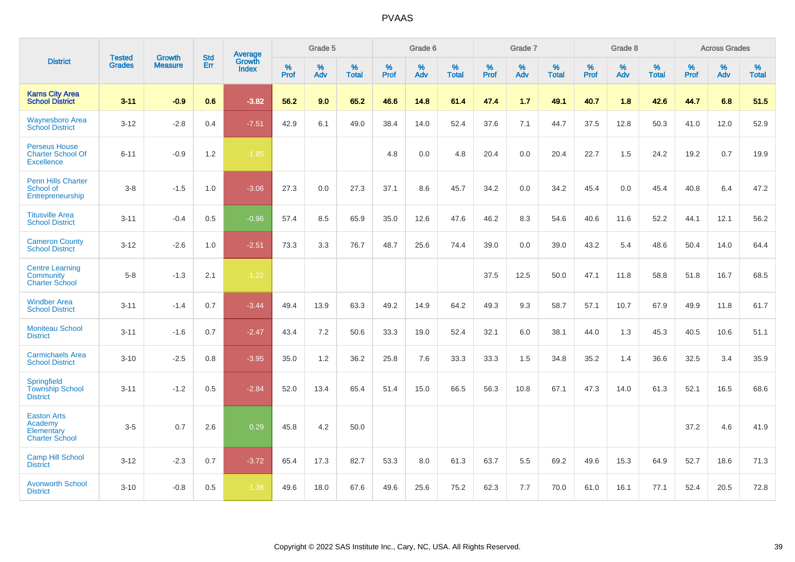|                                                                       | <b>Tested</b> | <b>Growth</b>  | <b>Std</b> | Average                |                     | Grade 5  |                   |              | Grade 6  |                   |              | Grade 7  |                   |              | Grade 8  |                   |           | <b>Across Grades</b> |                   |
|-----------------------------------------------------------------------|---------------|----------------|------------|------------------------|---------------------|----------|-------------------|--------------|----------|-------------------|--------------|----------|-------------------|--------------|----------|-------------------|-----------|----------------------|-------------------|
| <b>District</b>                                                       | <b>Grades</b> | <b>Measure</b> | Err        | Growth<br><b>Index</b> | $\%$<br><b>Prof</b> | %<br>Adv | %<br><b>Total</b> | $\%$<br>Prof | %<br>Adv | %<br><b>Total</b> | $\%$<br>Prof | %<br>Adv | %<br><b>Total</b> | $\%$<br>Prof | %<br>Adv | %<br><b>Total</b> | %<br>Prof | %<br>Adv             | %<br><b>Total</b> |
| <b>Karns City Area</b><br><b>School District</b>                      | $3 - 11$      | $-0.9$         | 0.6        | $-3.82$                | 56.2                | 9.0      | 65.2              | 46.6         | 14.8     | 61.4              | 47.4         | 1.7      | 49.1              | 40.7         | 1.8      | 42.6              | 44.7      | 6.8                  | 51.5              |
| <b>Waynesboro Area</b><br><b>School District</b>                      | $3 - 12$      | $-2.8$         | 0.4        | $-7.51$                | 42.9                | 6.1      | 49.0              | 38.4         | 14.0     | 52.4              | 37.6         | 7.1      | 44.7              | 37.5         | 12.8     | 50.3              | 41.0      | 12.0                 | 52.9              |
| <b>Perseus House</b><br><b>Charter School Of</b><br><b>Excellence</b> | $6 - 11$      | $-0.9$         | 1.2        | $-1.85$                |                     |          |                   | 4.8          | 0.0      | 4.8               | 20.4         | 0.0      | 20.4              | 22.7         | 1.5      | 24.2              | 19.2      | 0.7                  | 19.9              |
| <b>Penn Hills Charter</b><br>School of<br>Entrepreneurship            | $3 - 8$       | $-1.5$         | 1.0        | $-3.06$                | 27.3                | 0.0      | 27.3              | 37.1         | 8.6      | 45.7              | 34.2         | 0.0      | 34.2              | 45.4         | 0.0      | 45.4              | 40.8      | 6.4                  | 47.2              |
| <b>Titusville Area</b><br><b>School District</b>                      | $3 - 11$      | $-0.4$         | 0.5        | $-0.96$                | 57.4                | 8.5      | 65.9              | 35.0         | 12.6     | 47.6              | 46.2         | 8.3      | 54.6              | 40.6         | 11.6     | 52.2              | 44.1      | 12.1                 | 56.2              |
| <b>Cameron County</b><br><b>School District</b>                       | $3 - 12$      | $-2.6$         | 1.0        | $-2.51$                | 73.3                | 3.3      | 76.7              | 48.7         | 25.6     | 74.4              | 39.0         | 0.0      | 39.0              | 43.2         | 5.4      | 48.6              | 50.4      | 14.0                 | 64.4              |
| <b>Centre Learning</b><br>Community<br><b>Charter School</b>          | $5 - 8$       | $-1.3$         | 2.1        | $-1.22$                |                     |          |                   |              |          |                   | 37.5         | 12.5     | 50.0              | 47.1         | 11.8     | 58.8              | 51.8      | 16.7                 | 68.5              |
| <b>Windber Area</b><br><b>School District</b>                         | $3 - 11$      | $-1.4$         | 0.7        | $-3.44$                | 49.4                | 13.9     | 63.3              | 49.2         | 14.9     | 64.2              | 49.3         | 9.3      | 58.7              | 57.1         | 10.7     | 67.9              | 49.9      | 11.8                 | 61.7              |
| <b>Moniteau School</b><br><b>District</b>                             | $3 - 11$      | $-1.6$         | 0.7        | $-2.47$                | 43.4                | 7.2      | 50.6              | 33.3         | 19.0     | 52.4              | 32.1         | 6.0      | 38.1              | 44.0         | 1.3      | 45.3              | 40.5      | 10.6                 | 51.1              |
| <b>Carmichaels Area</b><br><b>School District</b>                     | $3 - 10$      | $-2.5$         | 0.8        | $-3.95$                | 35.0                | 1.2      | 36.2              | 25.8         | 7.6      | 33.3              | 33.3         | 1.5      | 34.8              | 35.2         | 1.4      | 36.6              | 32.5      | 3.4                  | 35.9              |
| <b>Springfield</b><br><b>Township School</b><br><b>District</b>       | $3 - 11$      | $-1.2$         | 0.5        | $-2.84$                | 52.0                | 13.4     | 65.4              | 51.4         | 15.0     | 66.5              | 56.3         | 10.8     | 67.1              | 47.3         | 14.0     | 61.3              | 52.1      | 16.5                 | 68.6              |
| <b>Easton Arts</b><br>Academy<br>Elementary<br><b>Charter School</b>  | $3-5$         | 0.7            | 2.6        | 0.29                   | 45.8                | 4.2      | 50.0              |              |          |                   |              |          |                   |              |          |                   | 37.2      | 4.6                  | 41.9              |
| <b>Camp Hill School</b><br><b>District</b>                            | $3 - 12$      | $-2.3$         | 0.7        | $-3.72$                | 65.4                | 17.3     | 82.7              | 53.3         | 8.0      | 61.3              | 63.7         | 5.5      | 69.2              | 49.6         | 15.3     | 64.9              | 52.7      | 18.6                 | 71.3              |
| <b>Avonworth School</b><br><b>District</b>                            | $3 - 10$      | $-0.8$         | 0.5        | $-1.38$                | 49.6                | 18.0     | 67.6              | 49.6         | 25.6     | 75.2              | 62.3         | 7.7      | 70.0              | 61.0         | 16.1     | 77.1              | 52.4      | 20.5                 | 72.8              |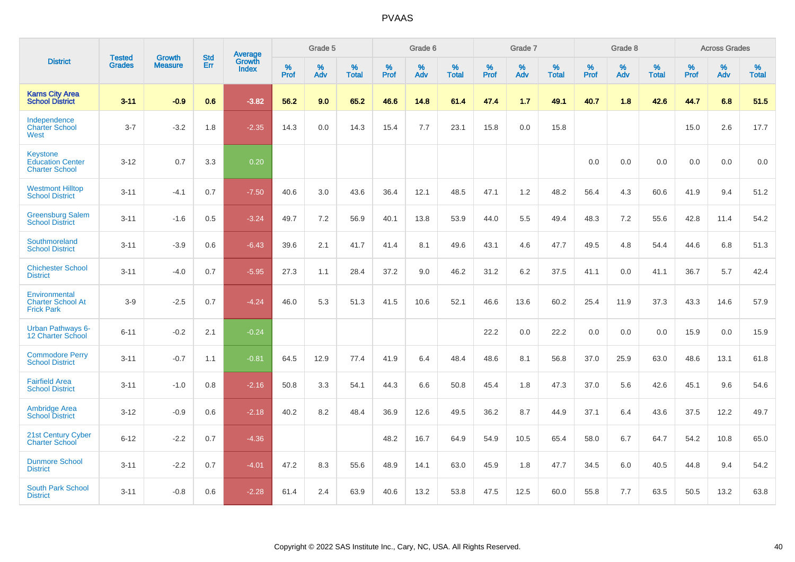|                                                                     | <b>Tested</b> | <b>Growth</b>  | <b>Std</b> | Average                       |           | Grade 5  |                   |           | Grade 6  |                   |           | Grade 7  |                   |           | Grade 8  |                   |           | <b>Across Grades</b> |                   |
|---------------------------------------------------------------------|---------------|----------------|------------|-------------------------------|-----------|----------|-------------------|-----------|----------|-------------------|-----------|----------|-------------------|-----------|----------|-------------------|-----------|----------------------|-------------------|
| <b>District</b>                                                     | <b>Grades</b> | <b>Measure</b> | Err        | <b>Growth</b><br><b>Index</b> | %<br>Prof | %<br>Adv | %<br><b>Total</b> | %<br>Prof | %<br>Adv | %<br><b>Total</b> | %<br>Prof | %<br>Adv | %<br><b>Total</b> | %<br>Prof | %<br>Adv | %<br><b>Total</b> | %<br>Prof | %<br>Adv             | %<br><b>Total</b> |
| <b>Karns City Area</b><br><b>School District</b>                    | $3 - 11$      | $-0.9$         | 0.6        | $-3.82$                       | 56.2      | 9.0      | 65.2              | 46.6      | 14.8     | 61.4              | 47.4      | 1.7      | 49.1              | 40.7      | 1.8      | 42.6              | 44.7      | 6.8                  | 51.5              |
| Independence<br><b>Charter School</b><br>West                       | $3 - 7$       | $-3.2$         | 1.8        | $-2.35$                       | 14.3      | 0.0      | 14.3              | 15.4      | 7.7      | 23.1              | 15.8      | 0.0      | 15.8              |           |          |                   | 15.0      | 2.6                  | 17.7              |
| <b>Keystone</b><br><b>Education Center</b><br><b>Charter School</b> | $3 - 12$      | 0.7            | 3.3        | 0.20                          |           |          |                   |           |          |                   |           |          |                   | 0.0       | 0.0      | 0.0               | 0.0       | 0.0                  | 0.0               |
| <b>Westmont Hilltop</b><br><b>School District</b>                   | $3 - 11$      | $-4.1$         | 0.7        | $-7.50$                       | 40.6      | 3.0      | 43.6              | 36.4      | 12.1     | 48.5              | 47.1      | 1.2      | 48.2              | 56.4      | 4.3      | 60.6              | 41.9      | 9.4                  | 51.2              |
| <b>Greensburg Salem</b><br><b>School District</b>                   | $3 - 11$      | $-1.6$         | 0.5        | $-3.24$                       | 49.7      | 7.2      | 56.9              | 40.1      | 13.8     | 53.9              | 44.0      | 5.5      | 49.4              | 48.3      | 7.2      | 55.6              | 42.8      | 11.4                 | 54.2              |
| Southmoreland<br><b>School District</b>                             | $3 - 11$      | $-3.9$         | 0.6        | $-6.43$                       | 39.6      | 2.1      | 41.7              | 41.4      | 8.1      | 49.6              | 43.1      | 4.6      | 47.7              | 49.5      | 4.8      | 54.4              | 44.6      | 6.8                  | 51.3              |
| <b>Chichester School</b><br><b>District</b>                         | $3 - 11$      | $-4.0$         | 0.7        | $-5.95$                       | 27.3      | 1.1      | 28.4              | 37.2      | 9.0      | 46.2              | 31.2      | 6.2      | 37.5              | 41.1      | 0.0      | 41.1              | 36.7      | 5.7                  | 42.4              |
| Environmental<br><b>Charter School At</b><br><b>Frick Park</b>      | $3-9$         | $-2.5$         | 0.7        | $-4.24$                       | 46.0      | 5.3      | 51.3              | 41.5      | 10.6     | 52.1              | 46.6      | 13.6     | 60.2              | 25.4      | 11.9     | 37.3              | 43.3      | 14.6                 | 57.9              |
| <b>Urban Pathways 6-</b><br>12 Charter School                       | $6 - 11$      | $-0.2$         | 2.1        | $-0.24$                       |           |          |                   |           |          |                   | 22.2      | 0.0      | 22.2              | 0.0       | 0.0      | 0.0               | 15.9      | 0.0                  | 15.9              |
| <b>Commodore Perry</b><br><b>School District</b>                    | $3 - 11$      | $-0.7$         | 1.1        | $-0.81$                       | 64.5      | 12.9     | 77.4              | 41.9      | 6.4      | 48.4              | 48.6      | 8.1      | 56.8              | 37.0      | 25.9     | 63.0              | 48.6      | 13.1                 | 61.8              |
| <b>Fairfield Area</b><br><b>School District</b>                     | $3 - 11$      | $-1.0$         | 0.8        | $-2.16$                       | 50.8      | 3.3      | 54.1              | 44.3      | 6.6      | 50.8              | 45.4      | 1.8      | 47.3              | 37.0      | 5.6      | 42.6              | 45.1      | 9.6                  | 54.6              |
| <b>Ambridge Area</b><br><b>School District</b>                      | $3 - 12$      | $-0.9$         | 0.6        | $-2.18$                       | 40.2      | 8.2      | 48.4              | 36.9      | 12.6     | 49.5              | 36.2      | 8.7      | 44.9              | 37.1      | 6.4      | 43.6              | 37.5      | 12.2                 | 49.7              |
| <b>21st Century Cyber</b><br><b>Charter School</b>                  | $6 - 12$      | $-2.2$         | 0.7        | $-4.36$                       |           |          |                   | 48.2      | 16.7     | 64.9              | 54.9      | 10.5     | 65.4              | 58.0      | 6.7      | 64.7              | 54.2      | 10.8                 | 65.0              |
| <b>Dunmore School</b><br><b>District</b>                            | $3 - 11$      | $-2.2$         | 0.7        | $-4.01$                       | 47.2      | 8.3      | 55.6              | 48.9      | 14.1     | 63.0              | 45.9      | 1.8      | 47.7              | 34.5      | 6.0      | 40.5              | 44.8      | 9.4                  | 54.2              |
| <b>South Park School</b><br><b>District</b>                         | $3 - 11$      | $-0.8$         | 0.6        | $-2.28$                       | 61.4      | 2.4      | 63.9              | 40.6      | 13.2     | 53.8              | 47.5      | 12.5     | 60.0              | 55.8      | 7.7      | 63.5              | 50.5      | 13.2                 | 63.8              |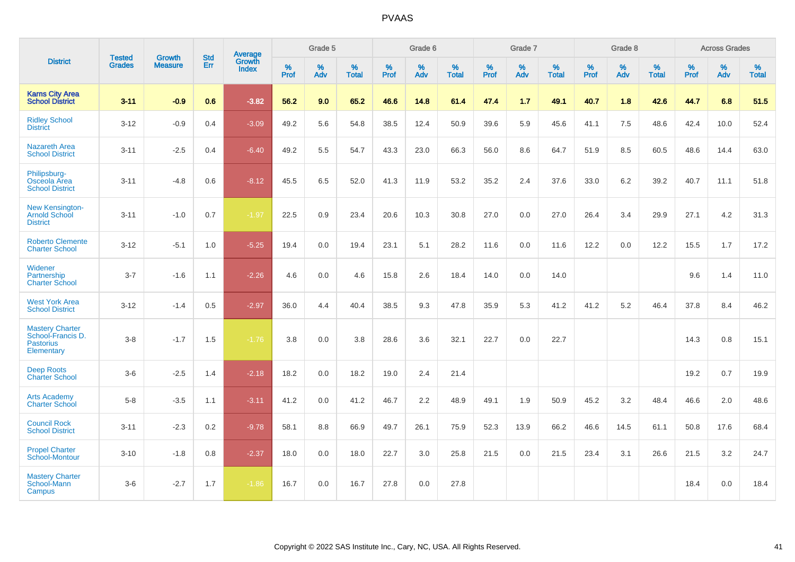|                                                                               |                                |                          | <b>Std</b> | <b>Average</b>         |           | Grade 5  |                   |           | Grade 6  |                   |           | Grade 7  |                   |           | Grade 8  |                   |           | <b>Across Grades</b> |                   |
|-------------------------------------------------------------------------------|--------------------------------|--------------------------|------------|------------------------|-----------|----------|-------------------|-----------|----------|-------------------|-----------|----------|-------------------|-----------|----------|-------------------|-----------|----------------------|-------------------|
| <b>District</b>                                                               | <b>Tested</b><br><b>Grades</b> | Growth<br><b>Measure</b> | Err        | <b>Growth</b><br>Index | %<br>Prof | %<br>Adv | %<br><b>Total</b> | %<br>Prof | %<br>Adv | %<br><b>Total</b> | %<br>Prof | %<br>Adv | %<br><b>Total</b> | %<br>Prof | %<br>Adv | %<br><b>Total</b> | %<br>Prof | %<br>Adv             | %<br><b>Total</b> |
| <b>Karns City Area</b><br><b>School District</b>                              | $3 - 11$                       | $-0.9$                   | 0.6        | $-3.82$                | 56.2      | 9.0      | 65.2              | 46.6      | 14.8     | 61.4              | 47.4      | 1.7      | 49.1              | 40.7      | 1.8      | 42.6              | 44.7      | 6.8                  | 51.5              |
| <b>Ridley School</b><br><b>District</b>                                       | $3 - 12$                       | $-0.9$                   | 0.4        | $-3.09$                | 49.2      | 5.6      | 54.8              | 38.5      | 12.4     | 50.9              | 39.6      | 5.9      | 45.6              | 41.1      | 7.5      | 48.6              | 42.4      | 10.0                 | 52.4              |
| <b>Nazareth Area</b><br><b>School District</b>                                | $3 - 11$                       | $-2.5$                   | 0.4        | $-6.40$                | 49.2      | 5.5      | 54.7              | 43.3      | 23.0     | 66.3              | 56.0      | 8.6      | 64.7              | 51.9      | 8.5      | 60.5              | 48.6      | 14.4                 | 63.0              |
| Philipsburg-<br>Osceola Area<br><b>School District</b>                        | $3 - 11$                       | $-4.8$                   | 0.6        | $-8.12$                | 45.5      | 6.5      | 52.0              | 41.3      | 11.9     | 53.2              | 35.2      | 2.4      | 37.6              | 33.0      | 6.2      | 39.2              | 40.7      | 11.1                 | 51.8              |
| <b>New Kensington-</b><br><b>Arnold School</b><br><b>District</b>             | $3 - 11$                       | $-1.0$                   | 0.7        | $-1.97$                | 22.5      | 0.9      | 23.4              | 20.6      | 10.3     | 30.8              | 27.0      | 0.0      | 27.0              | 26.4      | 3.4      | 29.9              | 27.1      | 4.2                  | 31.3              |
| <b>Roberto Clemente</b><br><b>Charter School</b>                              | $3 - 12$                       | $-5.1$                   | 1.0        | $-5.25$                | 19.4      | 0.0      | 19.4              | 23.1      | 5.1      | 28.2              | 11.6      | 0.0      | 11.6              | 12.2      | 0.0      | 12.2              | 15.5      | 1.7                  | 17.2              |
| Widener<br>Partnership<br><b>Charter School</b>                               | $3 - 7$                        | $-1.6$                   | 1.1        | $-2.26$                | 4.6       | 0.0      | 4.6               | 15.8      | 2.6      | 18.4              | 14.0      | 0.0      | 14.0              |           |          |                   | 9.6       | 1.4                  | 11.0              |
| <b>West York Area</b><br><b>School District</b>                               | $3-12$                         | $-1.4$                   | 0.5        | $-2.97$                | 36.0      | 4.4      | 40.4              | 38.5      | 9.3      | 47.8              | 35.9      | 5.3      | 41.2              | 41.2      | 5.2      | 46.4              | 37.8      | 8.4                  | 46.2              |
| <b>Mastery Charter</b><br>School-Francis D.<br><b>Pastorius</b><br>Elementary | $3 - 8$                        | $-1.7$                   | 1.5        | $-1.76$                | 3.8       | 0.0      | 3.8               | 28.6      | 3.6      | 32.1              | 22.7      | 0.0      | 22.7              |           |          |                   | 14.3      | 0.8                  | 15.1              |
| <b>Deep Roots</b><br><b>Charter School</b>                                    | $3-6$                          | $-2.5$                   | 1.4        | $-2.18$                | 18.2      | 0.0      | 18.2              | 19.0      | 2.4      | 21.4              |           |          |                   |           |          |                   | 19.2      | 0.7                  | 19.9              |
| <b>Arts Academy</b><br><b>Charter School</b>                                  | $5 - 8$                        | $-3.5$                   | 1.1        | $-3.11$                | 41.2      | 0.0      | 41.2              | 46.7      | 2.2      | 48.9              | 49.1      | 1.9      | 50.9              | 45.2      | 3.2      | 48.4              | 46.6      | 2.0                  | 48.6              |
| <b>Council Rock</b><br><b>School District</b>                                 | $3 - 11$                       | $-2.3$                   | 0.2        | $-9.78$                | 58.1      | 8.8      | 66.9              | 49.7      | 26.1     | 75.9              | 52.3      | 13.9     | 66.2              | 46.6      | 14.5     | 61.1              | 50.8      | 17.6                 | 68.4              |
| <b>Propel Charter</b><br>School-Montour                                       | $3 - 10$                       | $-1.8$                   | 0.8        | $-2.37$                | 18.0      | 0.0      | 18.0              | 22.7      | 3.0      | 25.8              | 21.5      | 0.0      | 21.5              | 23.4      | 3.1      | 26.6              | 21.5      | 3.2                  | 24.7              |
| <b>Mastery Charter</b><br>School-Mann<br>Campus                               | $3-6$                          | $-2.7$                   | 1.7        | $-1.86$                | 16.7      | 0.0      | 16.7              | 27.8      | 0.0      | 27.8              |           |          |                   |           |          |                   | 18.4      | 0.0                  | 18.4              |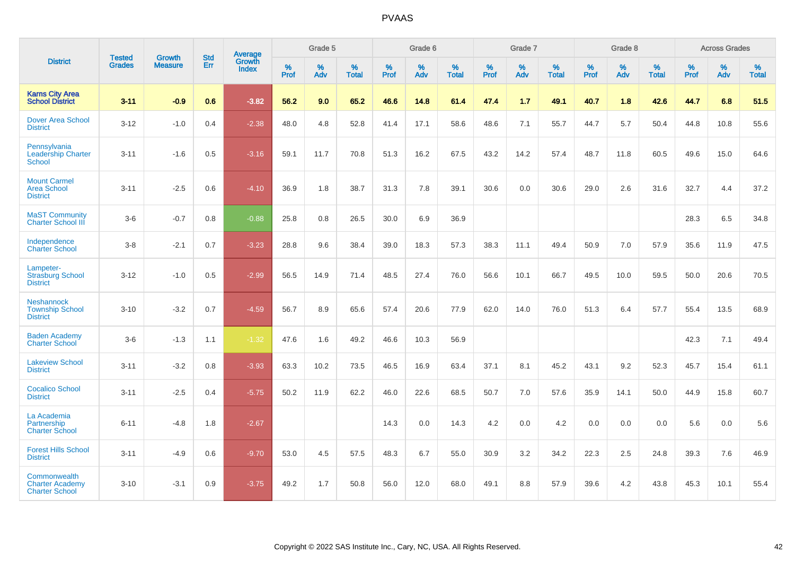|                                                                 | <b>Tested</b> | <b>Growth</b>  | <b>Std</b> | Average                |                     | Grade 5  |                   |              | Grade 6  |                   |              | Grade 7  |                   |           | Grade 8  |                   |           | <b>Across Grades</b> |                   |
|-----------------------------------------------------------------|---------------|----------------|------------|------------------------|---------------------|----------|-------------------|--------------|----------|-------------------|--------------|----------|-------------------|-----------|----------|-------------------|-----------|----------------------|-------------------|
| <b>District</b>                                                 | <b>Grades</b> | <b>Measure</b> | Err        | Growth<br><b>Index</b> | $\%$<br><b>Prof</b> | %<br>Adv | %<br><b>Total</b> | $\%$<br>Prof | %<br>Adv | %<br><b>Total</b> | $\%$<br>Prof | %<br>Adv | %<br><b>Total</b> | %<br>Prof | %<br>Adv | %<br><b>Total</b> | %<br>Prof | %<br>Adv             | %<br><b>Total</b> |
| <b>Karns City Area</b><br><b>School District</b>                | $3 - 11$      | $-0.9$         | 0.6        | $-3.82$                | 56.2                | 9.0      | 65.2              | 46.6         | 14.8     | 61.4              | 47.4         | 1.7      | 49.1              | 40.7      | 1.8      | 42.6              | 44.7      | 6.8                  | 51.5              |
| <b>Dover Area School</b><br><b>District</b>                     | $3 - 12$      | $-1.0$         | 0.4        | $-2.38$                | 48.0                | 4.8      | 52.8              | 41.4         | 17.1     | 58.6              | 48.6         | 7.1      | 55.7              | 44.7      | 5.7      | 50.4              | 44.8      | 10.8                 | 55.6              |
| Pennsylvania<br><b>Leadership Charter</b><br>School             | $3 - 11$      | $-1.6$         | 0.5        | $-3.16$                | 59.1                | 11.7     | 70.8              | 51.3         | 16.2     | 67.5              | 43.2         | 14.2     | 57.4              | 48.7      | 11.8     | 60.5              | 49.6      | 15.0                 | 64.6              |
| <b>Mount Carmel</b><br><b>Area School</b><br><b>District</b>    | $3 - 11$      | $-2.5$         | 0.6        | $-4.10$                | 36.9                | 1.8      | 38.7              | 31.3         | 7.8      | 39.1              | 30.6         | 0.0      | 30.6              | 29.0      | 2.6      | 31.6              | 32.7      | 4.4                  | 37.2              |
| <b>MaST Community</b><br><b>Charter School III</b>              | $3-6$         | $-0.7$         | 0.8        | $-0.88$                | 25.8                | 0.8      | 26.5              | 30.0         | 6.9      | 36.9              |              |          |                   |           |          |                   | 28.3      | 6.5                  | 34.8              |
| Independence<br><b>Charter School</b>                           | $3 - 8$       | $-2.1$         | 0.7        | $-3.23$                | 28.8                | 9.6      | 38.4              | 39.0         | 18.3     | 57.3              | 38.3         | 11.1     | 49.4              | 50.9      | 7.0      | 57.9              | 35.6      | 11.9                 | 47.5              |
| Lampeter-<br><b>Strasburg School</b><br><b>District</b>         | $3 - 12$      | $-1.0$         | 0.5        | $-2.99$                | 56.5                | 14.9     | 71.4              | 48.5         | 27.4     | 76.0              | 56.6         | 10.1     | 66.7              | 49.5      | 10.0     | 59.5              | 50.0      | 20.6                 | 70.5              |
| <b>Neshannock</b><br><b>Township School</b><br><b>District</b>  | $3 - 10$      | $-3.2$         | 0.7        | $-4.59$                | 56.7                | 8.9      | 65.6              | 57.4         | 20.6     | 77.9              | 62.0         | 14.0     | 76.0              | 51.3      | 6.4      | 57.7              | 55.4      | 13.5                 | 68.9              |
| <b>Baden Academy</b><br><b>Charter School</b>                   | $3-6$         | $-1.3$         | 1.1        | $-1.32$                | 47.6                | 1.6      | 49.2              | 46.6         | 10.3     | 56.9              |              |          |                   |           |          |                   | 42.3      | 7.1                  | 49.4              |
| <b>Lakeview School</b><br><b>District</b>                       | $3 - 11$      | $-3.2$         | 0.8        | $-3.93$                | 63.3                | 10.2     | 73.5              | 46.5         | 16.9     | 63.4              | 37.1         | 8.1      | 45.2              | 43.1      | 9.2      | 52.3              | 45.7      | 15.4                 | 61.1              |
| <b>Cocalico School</b><br><b>District</b>                       | $3 - 11$      | $-2.5$         | 0.4        | $-5.75$                | 50.2                | 11.9     | 62.2              | 46.0         | 22.6     | 68.5              | 50.7         | 7.0      | 57.6              | 35.9      | 14.1     | 50.0              | 44.9      | 15.8                 | 60.7              |
| La Academia<br>Partnership<br><b>Charter School</b>             | $6 - 11$      | $-4.8$         | 1.8        | $-2.67$                |                     |          |                   | 14.3         | 0.0      | 14.3              | 4.2          | $0.0\,$  | 4.2               | 0.0       | 0.0      | 0.0               | 5.6       | $0.0\,$              | 5.6               |
| <b>Forest Hills School</b><br><b>District</b>                   | $3 - 11$      | $-4.9$         | 0.6        | $-9.70$                | 53.0                | 4.5      | 57.5              | 48.3         | 6.7      | 55.0              | 30.9         | 3.2      | 34.2              | 22.3      | 2.5      | 24.8              | 39.3      | 7.6                  | 46.9              |
| Commonwealth<br><b>Charter Academy</b><br><b>Charter School</b> | $3 - 10$      | $-3.1$         | 0.9        | $-3.75$                | 49.2                | 1.7      | 50.8              | 56.0         | 12.0     | 68.0              | 49.1         | 8.8      | 57.9              | 39.6      | 4.2      | 43.8              | 45.3      | 10.1                 | 55.4              |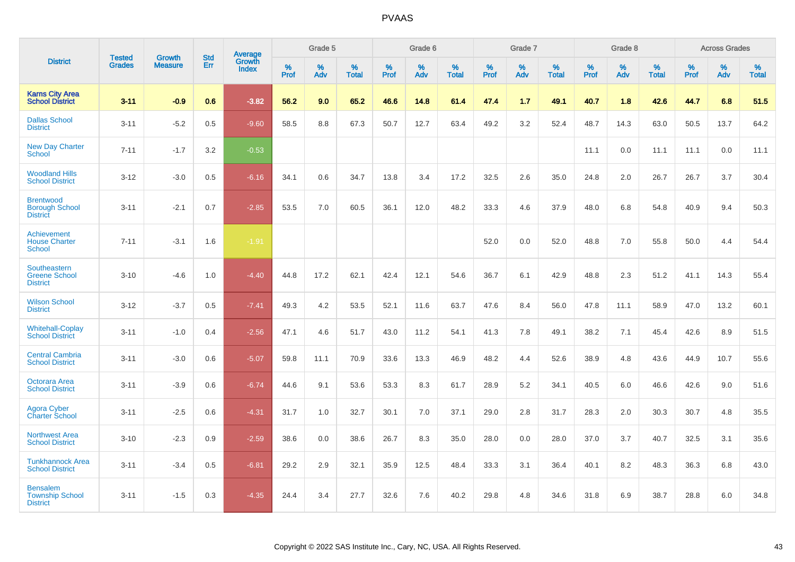|                                                              |                                |                          | <b>Std</b> | Average                |           | Grade 5  |                   |           | Grade 6  |                   |           | Grade 7  |                   |           | Grade 8  |                   |           | <b>Across Grades</b> |                   |
|--------------------------------------------------------------|--------------------------------|--------------------------|------------|------------------------|-----------|----------|-------------------|-----------|----------|-------------------|-----------|----------|-------------------|-----------|----------|-------------------|-----------|----------------------|-------------------|
| <b>District</b>                                              | <b>Tested</b><br><b>Grades</b> | Growth<br><b>Measure</b> | Err        | Growth<br><b>Index</b> | %<br>Prof | %<br>Adv | %<br><b>Total</b> | %<br>Prof | %<br>Adv | %<br><b>Total</b> | %<br>Prof | %<br>Adv | %<br><b>Total</b> | %<br>Prof | %<br>Adv | %<br><b>Total</b> | %<br>Prof | %<br>Adv             | %<br><b>Total</b> |
| <b>Karns City Area</b><br><b>School District</b>             | $3 - 11$                       | $-0.9$                   | 0.6        | $-3.82$                | 56.2      | 9.0      | 65.2              | 46.6      | 14.8     | 61.4              | 47.4      | 1.7      | 49.1              | 40.7      | 1.8      | 42.6              | 44.7      | 6.8                  | 51.5              |
| <b>Dallas School</b><br><b>District</b>                      | $3 - 11$                       | $-5.2$                   | 0.5        | $-9.60$                | 58.5      | 8.8      | 67.3              | 50.7      | 12.7     | 63.4              | 49.2      | 3.2      | 52.4              | 48.7      | 14.3     | 63.0              | 50.5      | 13.7                 | 64.2              |
| <b>New Day Charter</b><br><b>School</b>                      | $7 - 11$                       | $-1.7$                   | 3.2        | $-0.53$                |           |          |                   |           |          |                   |           |          |                   | 11.1      | 0.0      | 11.1              | 11.1      | 0.0                  | 11.1              |
| <b>Woodland Hills</b><br><b>School District</b>              | $3 - 12$                       | $-3.0$                   | 0.5        | $-6.16$                | 34.1      | 0.6      | 34.7              | 13.8      | 3.4      | 17.2              | 32.5      | 2.6      | 35.0              | 24.8      | 2.0      | 26.7              | 26.7      | 3.7                  | 30.4              |
| <b>Brentwood</b><br><b>Borough School</b><br><b>District</b> | $3 - 11$                       | $-2.1$                   | 0.7        | $-2.85$                | 53.5      | 7.0      | 60.5              | 36.1      | 12.0     | 48.2              | 33.3      | 4.6      | 37.9              | 48.0      | 6.8      | 54.8              | 40.9      | 9.4                  | 50.3              |
| Achievement<br><b>House Charter</b><br><b>School</b>         | $7 - 11$                       | $-3.1$                   | 1.6        | $-1.91$                |           |          |                   |           |          |                   | 52.0      | 0.0      | 52.0              | 48.8      | 7.0      | 55.8              | 50.0      | 4.4                  | 54.4              |
| Southeastern<br><b>Greene School</b><br><b>District</b>      | $3 - 10$                       | $-4.6$                   | 1.0        | $-4.40$                | 44.8      | 17.2     | 62.1              | 42.4      | 12.1     | 54.6              | 36.7      | 6.1      | 42.9              | 48.8      | 2.3      | 51.2              | 41.1      | 14.3                 | 55.4              |
| <b>Wilson School</b><br><b>District</b>                      | $3 - 12$                       | $-3.7$                   | 0.5        | $-7.41$                | 49.3      | 4.2      | 53.5              | 52.1      | 11.6     | 63.7              | 47.6      | 8.4      | 56.0              | 47.8      | 11.1     | 58.9              | 47.0      | 13.2                 | 60.1              |
| <b>Whitehall-Coplay</b><br><b>School District</b>            | $3 - 11$                       | $-1.0$                   | 0.4        | $-2.56$                | 47.1      | 4.6      | 51.7              | 43.0      | 11.2     | 54.1              | 41.3      | 7.8      | 49.1              | 38.2      | 7.1      | 45.4              | 42.6      | 8.9                  | 51.5              |
| <b>Central Cambria</b><br><b>School District</b>             | $3 - 11$                       | $-3.0$                   | 0.6        | $-5.07$                | 59.8      | 11.1     | 70.9              | 33.6      | 13.3     | 46.9              | 48.2      | 4.4      | 52.6              | 38.9      | 4.8      | 43.6              | 44.9      | 10.7                 | 55.6              |
| Octorara Area<br><b>School District</b>                      | $3 - 11$                       | $-3.9$                   | 0.6        | $-6.74$                | 44.6      | 9.1      | 53.6              | 53.3      | 8.3      | 61.7              | 28.9      | 5.2      | 34.1              | 40.5      | 6.0      | 46.6              | 42.6      | 9.0                  | 51.6              |
| Agora Cyber<br><b>Charter School</b>                         | $3 - 11$                       | $-2.5$                   | 0.6        | $-4.31$                | 31.7      | 1.0      | 32.7              | 30.1      | 7.0      | 37.1              | 29.0      | 2.8      | 31.7              | 28.3      | 2.0      | 30.3              | 30.7      | 4.8                  | 35.5              |
| <b>Northwest Area</b><br><b>School District</b>              | $3 - 10$                       | $-2.3$                   | 0.9        | $-2.59$                | 38.6      | 0.0      | 38.6              | 26.7      | 8.3      | 35.0              | 28.0      | 0.0      | 28.0              | 37.0      | 3.7      | 40.7              | 32.5      | 3.1                  | 35.6              |
| <b>Tunkhannock Area</b><br><b>School District</b>            | $3 - 11$                       | $-3.4$                   | 0.5        | $-6.81$                | 29.2      | 2.9      | 32.1              | 35.9      | 12.5     | 48.4              | 33.3      | 3.1      | 36.4              | 40.1      | 8.2      | 48.3              | 36.3      | 6.8                  | 43.0              |
| <b>Bensalem</b><br><b>Township School</b><br><b>District</b> | $3 - 11$                       | $-1.5$                   | 0.3        | $-4.35$                | 24.4      | 3.4      | 27.7              | 32.6      | 7.6      | 40.2              | 29.8      | 4.8      | 34.6              | 31.8      | 6.9      | 38.7              | 28.8      | 6.0                  | 34.8              |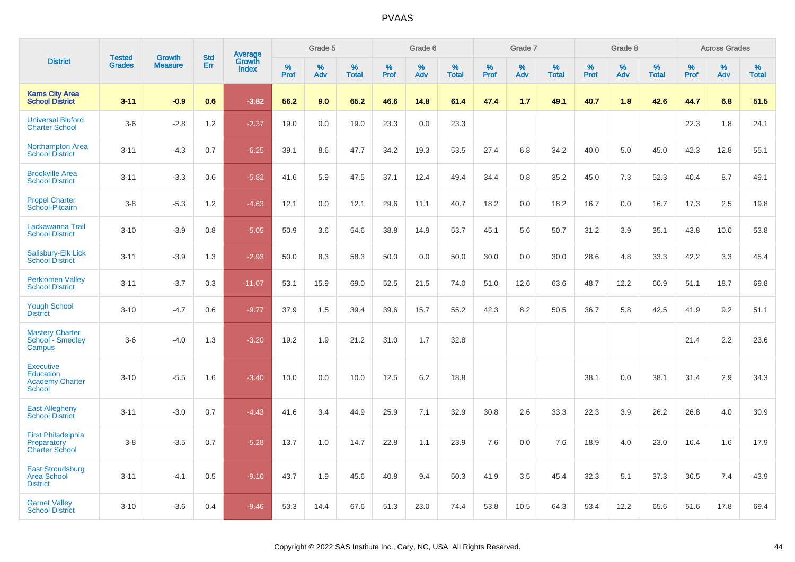|                                                                                 | <b>Tested</b> | <b>Growth</b>  | <b>Std</b> | Average         |           | Grade 5  |                   |           | Grade 6  |                   |           | Grade 7  |                   |           | Grade 8  |                   |           | <b>Across Grades</b> |                   |
|---------------------------------------------------------------------------------|---------------|----------------|------------|-----------------|-----------|----------|-------------------|-----------|----------|-------------------|-----------|----------|-------------------|-----------|----------|-------------------|-----------|----------------------|-------------------|
| <b>District</b>                                                                 | <b>Grades</b> | <b>Measure</b> | Err        | Growth<br>Index | %<br>Prof | %<br>Adv | %<br><b>Total</b> | %<br>Prof | %<br>Adv | %<br><b>Total</b> | %<br>Prof | %<br>Adv | %<br><b>Total</b> | %<br>Prof | %<br>Adv | %<br><b>Total</b> | %<br>Prof | %<br>Adv             | %<br><b>Total</b> |
| <b>Karns City Area</b><br><b>School District</b>                                | $3 - 11$      | $-0.9$         | 0.6        | $-3.82$         | 56.2      | 9.0      | 65.2              | 46.6      | 14.8     | 61.4              | 47.4      | 1.7      | 49.1              | 40.7      | 1.8      | 42.6              | 44.7      | 6.8                  | 51.5              |
| <b>Universal Bluford</b><br><b>Charter School</b>                               | $3-6$         | $-2.8$         | 1.2        | $-2.37$         | 19.0      | 0.0      | 19.0              | 23.3      | 0.0      | 23.3              |           |          |                   |           |          |                   | 22.3      | 1.8                  | 24.1              |
| <b>Northampton Area</b><br><b>School District</b>                               | $3 - 11$      | $-4.3$         | 0.7        | $-6.25$         | 39.1      | 8.6      | 47.7              | 34.2      | 19.3     | 53.5              | 27.4      | 6.8      | 34.2              | 40.0      | 5.0      | 45.0              | 42.3      | 12.8                 | 55.1              |
| <b>Brookville Area</b><br><b>School District</b>                                | $3 - 11$      | $-3.3$         | 0.6        | $-5.82$         | 41.6      | 5.9      | 47.5              | 37.1      | 12.4     | 49.4              | 34.4      | 0.8      | 35.2              | 45.0      | 7.3      | 52.3              | 40.4      | 8.7                  | 49.1              |
| <b>Propel Charter</b><br>School-Pitcairn                                        | $3 - 8$       | $-5.3$         | 1.2        | $-4.63$         | 12.1      | 0.0      | 12.1              | 29.6      | 11.1     | 40.7              | 18.2      | 0.0      | 18.2              | 16.7      | 0.0      | 16.7              | 17.3      | 2.5                  | 19.8              |
| Lackawanna Trail<br><b>School District</b>                                      | $3 - 10$      | $-3.9$         | 0.8        | $-5.05$         | 50.9      | 3.6      | 54.6              | 38.8      | 14.9     | 53.7              | 45.1      | 5.6      | 50.7              | 31.2      | 3.9      | 35.1              | 43.8      | 10.0                 | 53.8              |
| Salisbury-Elk Lick<br><b>School District</b>                                    | $3 - 11$      | $-3.9$         | 1.3        | $-2.93$         | 50.0      | 8.3      | 58.3              | 50.0      | 0.0      | 50.0              | 30.0      | 0.0      | 30.0              | 28.6      | 4.8      | 33.3              | 42.2      | 3.3                  | 45.4              |
| <b>Perkiomen Valley</b><br><b>School District</b>                               | $3 - 11$      | $-3.7$         | 0.3        | $-11.07$        | 53.1      | 15.9     | 69.0              | 52.5      | 21.5     | 74.0              | 51.0      | 12.6     | 63.6              | 48.7      | 12.2     | 60.9              | 51.1      | 18.7                 | 69.8              |
| <b>Yough School</b><br><b>District</b>                                          | $3 - 10$      | $-4.7$         | 0.6        | $-9.77$         | 37.9      | 1.5      | 39.4              | 39.6      | 15.7     | 55.2              | 42.3      | 8.2      | 50.5              | 36.7      | 5.8      | 42.5              | 41.9      | 9.2                  | 51.1              |
| <b>Mastery Charter</b><br>School - Smedley<br>Campus                            | $3-6$         | $-4.0$         | 1.3        | $-3.20$         | 19.2      | 1.9      | 21.2              | 31.0      | 1.7      | 32.8              |           |          |                   |           |          |                   | 21.4      | 2.2                  | 23.6              |
| <b>Executive</b><br><b>Education</b><br><b>Academy Charter</b><br><b>School</b> | $3 - 10$      | $-5.5$         | 1.6        | $-3.40$         | 10.0      | 0.0      | 10.0              | 12.5      | 6.2      | 18.8              |           |          |                   | 38.1      | 0.0      | 38.1              | 31.4      | 2.9                  | 34.3              |
| <b>East Allegheny</b><br><b>School District</b>                                 | $3 - 11$      | $-3.0$         | 0.7        | $-4.43$         | 41.6      | 3.4      | 44.9              | 25.9      | 7.1      | 32.9              | 30.8      | 2.6      | 33.3              | 22.3      | 3.9      | 26.2              | 26.8      | 4.0                  | 30.9              |
| <b>First Philadelphia</b><br>Preparatory<br><b>Charter School</b>               | $3-8$         | $-3.5$         | 0.7        | $-5.28$         | 13.7      | 1.0      | 14.7              | 22.8      | 1.1      | 23.9              | 7.6       | 0.0      | 7.6               | 18.9      | 4.0      | 23.0              | 16.4      | 1.6                  | 17.9              |
| <b>East Stroudsburg</b><br><b>Area School</b><br><b>District</b>                | $3 - 11$      | $-4.1$         | 0.5        | $-9.10$         | 43.7      | 1.9      | 45.6              | 40.8      | 9.4      | 50.3              | 41.9      | 3.5      | 45.4              | 32.3      | 5.1      | 37.3              | 36.5      | 7.4                  | 43.9              |
| <b>Garnet Valley</b><br><b>School District</b>                                  | $3 - 10$      | $-3.6$         | 0.4        | $-9.46$         | 53.3      | 14.4     | 67.6              | 51.3      | 23.0     | 74.4              | 53.8      | 10.5     | 64.3              | 53.4      | 12.2     | 65.6              | 51.6      | 17.8                 | 69.4              |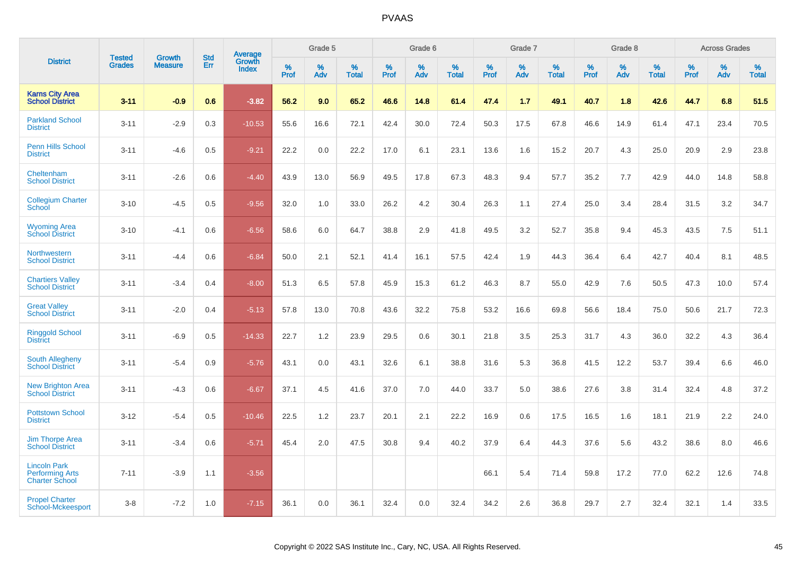|                                                                        |                                | <b>Growth</b>  | <b>Std</b> | <b>Average</b><br>Growth |              | Grade 5  |                      |              | Grade 6     |                      |              | Grade 7  |                      |              | Grade 8     |                      |              | <b>Across Grades</b> |                      |
|------------------------------------------------------------------------|--------------------------------|----------------|------------|--------------------------|--------------|----------|----------------------|--------------|-------------|----------------------|--------------|----------|----------------------|--------------|-------------|----------------------|--------------|----------------------|----------------------|
| <b>District</b>                                                        | <b>Tested</b><br><b>Grades</b> | <b>Measure</b> | Err        | <b>Index</b>             | $\%$<br>Prof | %<br>Adv | $\%$<br><b>Total</b> | $\%$<br>Prof | $\%$<br>Adv | $\%$<br><b>Total</b> | $\%$<br>Prof | %<br>Adv | $\%$<br><b>Total</b> | $\%$<br>Prof | $\%$<br>Adv | $\%$<br><b>Total</b> | $\%$<br>Prof | $\%$<br>Adv          | $\%$<br><b>Total</b> |
| <b>Karns City Area</b><br><b>School District</b>                       | $3 - 11$                       | $-0.9$         | 0.6        | $-3.82$                  | 56.2         | 9.0      | 65.2                 | 46.6         | 14.8        | 61.4                 | 47.4         | 1.7      | 49.1                 | 40.7         | 1.8         | 42.6                 | 44.7         | 6.8                  | 51.5                 |
| <b>Parkland School</b><br><b>District</b>                              | $3 - 11$                       | $-2.9$         | 0.3        | $-10.53$                 | 55.6         | 16.6     | 72.1                 | 42.4         | 30.0        | 72.4                 | 50.3         | 17.5     | 67.8                 | 46.6         | 14.9        | 61.4                 | 47.1         | 23.4                 | 70.5                 |
| <b>Penn Hills School</b><br><b>District</b>                            | $3 - 11$                       | $-4.6$         | 0.5        | $-9.21$                  | 22.2         | 0.0      | 22.2                 | 17.0         | 6.1         | 23.1                 | 13.6         | 1.6      | 15.2                 | 20.7         | 4.3         | 25.0                 | 20.9         | 2.9                  | 23.8                 |
| Cheltenham<br><b>School District</b>                                   | $3 - 11$                       | $-2.6$         | 0.6        | $-4.40$                  | 43.9         | 13.0     | 56.9                 | 49.5         | 17.8        | 67.3                 | 48.3         | 9.4      | 57.7                 | 35.2         | 7.7         | 42.9                 | 44.0         | 14.8                 | 58.8                 |
| <b>Collegium Charter</b><br>School                                     | $3 - 10$                       | $-4.5$         | 0.5        | $-9.56$                  | 32.0         | 1.0      | 33.0                 | 26.2         | 4.2         | 30.4                 | 26.3         | 1.1      | 27.4                 | 25.0         | 3.4         | 28.4                 | 31.5         | 3.2                  | 34.7                 |
| <b>Wyoming Area</b><br><b>School District</b>                          | $3 - 10$                       | $-4.1$         | 0.6        | $-6.56$                  | 58.6         | 6.0      | 64.7                 | 38.8         | 2.9         | 41.8                 | 49.5         | 3.2      | 52.7                 | 35.8         | 9.4         | 45.3                 | 43.5         | 7.5                  | 51.1                 |
| Northwestern<br><b>School District</b>                                 | $3 - 11$                       | $-4.4$         | 0.6        | $-6.84$                  | 50.0         | 2.1      | 52.1                 | 41.4         | 16.1        | 57.5                 | 42.4         | 1.9      | 44.3                 | 36.4         | 6.4         | 42.7                 | 40.4         | 8.1                  | 48.5                 |
| <b>Chartiers Valley</b><br><b>School District</b>                      | $3 - 11$                       | $-3.4$         | 0.4        | $-8.00$                  | 51.3         | 6.5      | 57.8                 | 45.9         | 15.3        | 61.2                 | 46.3         | 8.7      | 55.0                 | 42.9         | 7.6         | 50.5                 | 47.3         | 10.0                 | 57.4                 |
| <b>Great Valley</b><br><b>School District</b>                          | $3 - 11$                       | $-2.0$         | 0.4        | $-5.13$                  | 57.8         | 13.0     | 70.8                 | 43.6         | 32.2        | 75.8                 | 53.2         | 16.6     | 69.8                 | 56.6         | 18.4        | 75.0                 | 50.6         | 21.7                 | 72.3                 |
| <b>Ringgold School</b><br><b>District</b>                              | $3 - 11$                       | $-6.9$         | 0.5        | $-14.33$                 | 22.7         | 1.2      | 23.9                 | 29.5         | 0.6         | 30.1                 | 21.8         | 3.5      | 25.3                 | 31.7         | 4.3         | 36.0                 | 32.2         | 4.3                  | 36.4                 |
| South Allegheny<br><b>School District</b>                              | $3 - 11$                       | $-5.4$         | 0.9        | $-5.76$                  | 43.1         | 0.0      | 43.1                 | 32.6         | 6.1         | 38.8                 | 31.6         | 5.3      | 36.8                 | 41.5         | 12.2        | 53.7                 | 39.4         | 6.6                  | 46.0                 |
| <b>New Brighton Area</b><br><b>School District</b>                     | $3 - 11$                       | $-4.3$         | 0.6        | $-6.67$                  | 37.1         | 4.5      | 41.6                 | 37.0         | 7.0         | 44.0                 | 33.7         | 5.0      | 38.6                 | 27.6         | 3.8         | 31.4                 | 32.4         | 4.8                  | 37.2                 |
| <b>Pottstown School</b><br><b>District</b>                             | $3 - 12$                       | $-5.4$         | 0.5        | $-10.46$                 | 22.5         | 1.2      | 23.7                 | 20.1         | 2.1         | 22.2                 | 16.9         | 0.6      | 17.5                 | 16.5         | 1.6         | 18.1                 | 21.9         | 2.2                  | 24.0                 |
| <b>Jim Thorpe Area</b><br><b>School District</b>                       | $3 - 11$                       | $-3.4$         | 0.6        | $-5.71$                  | 45.4         | 2.0      | 47.5                 | 30.8         | 9.4         | 40.2                 | 37.9         | 6.4      | 44.3                 | 37.6         | 5.6         | 43.2                 | 38.6         | 8.0                  | 46.6                 |
| <b>Lincoln Park</b><br><b>Performing Arts</b><br><b>Charter School</b> | $7 - 11$                       | $-3.9$         | 1.1        | $-3.56$                  |              |          |                      |              |             |                      | 66.1         | 5.4      | 71.4                 | 59.8         | 17.2        | 77.0                 | 62.2         | 12.6                 | 74.8                 |
| <b>Propel Charter</b><br>School-Mckeesport                             | $3 - 8$                        | $-7.2$         | 1.0        | $-7.15$                  | 36.1         | 0.0      | 36.1                 | 32.4         | 0.0         | 32.4                 | 34.2         | 2.6      | 36.8                 | 29.7         | 2.7         | 32.4                 | 32.1         | 1.4                  | 33.5                 |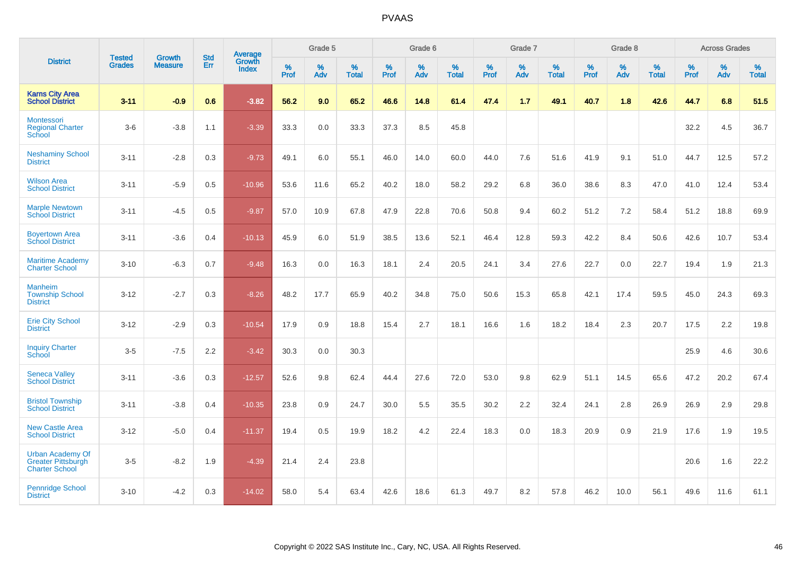|                                                                               | <b>Tested</b> | <b>Growth</b>  | <b>Std</b> | Average                       |              | Grade 5  |                   |           | Grade 6  |                   |           | Grade 7  |                   |           | Grade 8  |                   |           | <b>Across Grades</b> |                   |
|-------------------------------------------------------------------------------|---------------|----------------|------------|-------------------------------|--------------|----------|-------------------|-----------|----------|-------------------|-----------|----------|-------------------|-----------|----------|-------------------|-----------|----------------------|-------------------|
| <b>District</b>                                                               | <b>Grades</b> | <b>Measure</b> | Err        | <b>Growth</b><br><b>Index</b> | $\%$<br>Prof | %<br>Adv | %<br><b>Total</b> | %<br>Prof | %<br>Adv | %<br><b>Total</b> | %<br>Prof | %<br>Adv | %<br><b>Total</b> | %<br>Prof | %<br>Adv | %<br><b>Total</b> | %<br>Prof | %<br>Adv             | %<br><b>Total</b> |
| <b>Karns City Area</b><br><b>School District</b>                              | $3 - 11$      | $-0.9$         | 0.6        | $-3.82$                       | 56.2         | 9.0      | 65.2              | 46.6      | 14.8     | 61.4              | 47.4      | 1.7      | 49.1              | 40.7      | 1.8      | 42.6              | 44.7      | 6.8                  | 51.5              |
| Montessori<br><b>Regional Charter</b><br>School                               | $3-6$         | $-3.8$         | 1.1        | $-3.39$                       | 33.3         | $0.0\,$  | 33.3              | 37.3      | 8.5      | 45.8              |           |          |                   |           |          |                   | 32.2      | 4.5                  | 36.7              |
| <b>Neshaminy School</b><br><b>District</b>                                    | $3 - 11$      | $-2.8$         | 0.3        | $-9.73$                       | 49.1         | 6.0      | 55.1              | 46.0      | 14.0     | 60.0              | 44.0      | 7.6      | 51.6              | 41.9      | 9.1      | 51.0              | 44.7      | 12.5                 | 57.2              |
| <b>Wilson Area</b><br><b>School District</b>                                  | $3 - 11$      | $-5.9$         | 0.5        | $-10.96$                      | 53.6         | 11.6     | 65.2              | 40.2      | 18.0     | 58.2              | 29.2      | 6.8      | 36.0              | 38.6      | 8.3      | 47.0              | 41.0      | 12.4                 | 53.4              |
| <b>Marple Newtown</b><br><b>School District</b>                               | $3 - 11$      | $-4.5$         | 0.5        | $-9.87$                       | 57.0         | 10.9     | 67.8              | 47.9      | 22.8     | 70.6              | 50.8      | 9.4      | 60.2              | 51.2      | 7.2      | 58.4              | 51.2      | 18.8                 | 69.9              |
| <b>Boyertown Area</b><br><b>School District</b>                               | $3 - 11$      | $-3.6$         | 0.4        | $-10.13$                      | 45.9         | 6.0      | 51.9              | 38.5      | 13.6     | 52.1              | 46.4      | 12.8     | 59.3              | 42.2      | 8.4      | 50.6              | 42.6      | 10.7                 | 53.4              |
| <b>Maritime Academy</b><br><b>Charter School</b>                              | $3 - 10$      | $-6.3$         | 0.7        | $-9.48$                       | 16.3         | 0.0      | 16.3              | 18.1      | 2.4      | 20.5              | 24.1      | 3.4      | 27.6              | 22.7      | 0.0      | 22.7              | 19.4      | 1.9                  | 21.3              |
| <b>Manheim</b><br><b>Township School</b><br><b>District</b>                   | $3 - 12$      | $-2.7$         | 0.3        | $-8.26$                       | 48.2         | 17.7     | 65.9              | 40.2      | 34.8     | 75.0              | 50.6      | 15.3     | 65.8              | 42.1      | 17.4     | 59.5              | 45.0      | 24.3                 | 69.3              |
| <b>Erie City School</b><br><b>District</b>                                    | $3 - 12$      | $-2.9$         | 0.3        | $-10.54$                      | 17.9         | 0.9      | 18.8              | 15.4      | 2.7      | 18.1              | 16.6      | 1.6      | 18.2              | 18.4      | 2.3      | 20.7              | 17.5      | 2.2                  | 19.8              |
| <b>Inquiry Charter</b><br>School                                              | $3-5$         | $-7.5$         | 2.2        | $-3.42$                       | 30.3         | 0.0      | 30.3              |           |          |                   |           |          |                   |           |          |                   | 25.9      | 4.6                  | 30.6              |
| <b>Seneca Valley</b><br><b>School District</b>                                | $3 - 11$      | $-3.6$         | 0.3        | $-12.57$                      | 52.6         | 9.8      | 62.4              | 44.4      | 27.6     | 72.0              | 53.0      | 9.8      | 62.9              | 51.1      | 14.5     | 65.6              | 47.2      | 20.2                 | 67.4              |
| <b>Bristol Township</b><br><b>School District</b>                             | $3 - 11$      | $-3.8$         | 0.4        | $-10.35$                      | 23.8         | 0.9      | 24.7              | 30.0      | 5.5      | 35.5              | 30.2      | 2.2      | 32.4              | 24.1      | 2.8      | 26.9              | 26.9      | 2.9                  | 29.8              |
| <b>New Castle Area</b><br><b>School District</b>                              | $3 - 12$      | $-5.0$         | 0.4        | $-11.37$                      | 19.4         | 0.5      | 19.9              | 18.2      | 4.2      | 22.4              | 18.3      | 0.0      | 18.3              | 20.9      | 0.9      | 21.9              | 17.6      | 1.9                  | 19.5              |
| <b>Urban Academy Of</b><br><b>Greater Pittsburgh</b><br><b>Charter School</b> | $3-5$         | $-8.2$         | 1.9        | $-4.39$                       | 21.4         | 2.4      | 23.8              |           |          |                   |           |          |                   |           |          |                   | 20.6      | 1.6                  | 22.2              |
| <b>Pennridge School</b><br><b>District</b>                                    | $3 - 10$      | $-4.2$         | 0.3        | $-14.02$                      | 58.0         | 5.4      | 63.4              | 42.6      | 18.6     | 61.3              | 49.7      | 8.2      | 57.8              | 46.2      | 10.0     | 56.1              | 49.6      | 11.6                 | 61.1              |